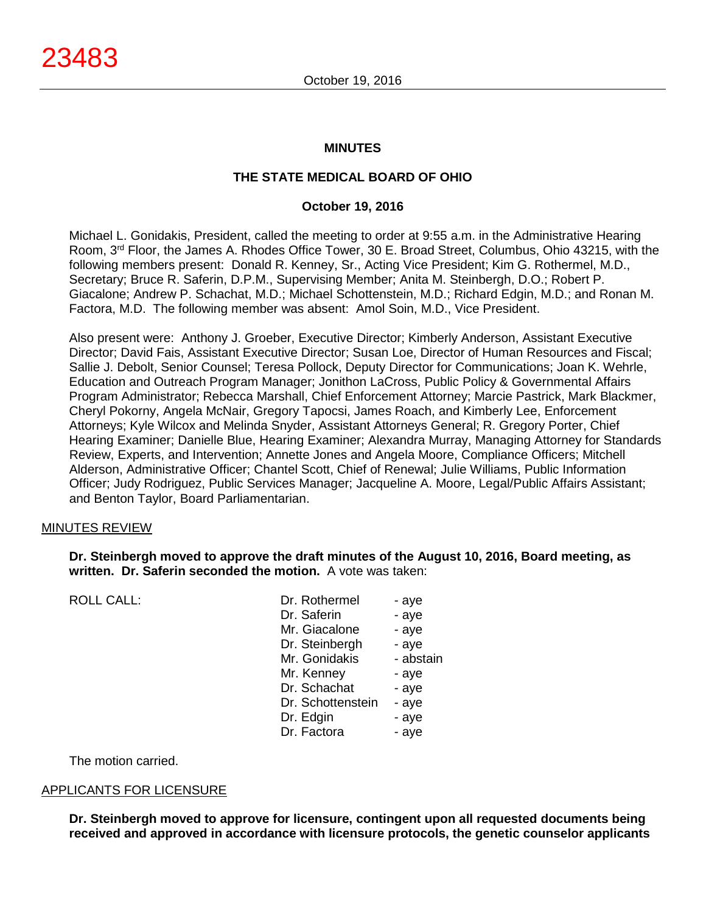#### **MINUTES**

# **THE STATE MEDICAL BOARD OF OHIO**

# **October 19, 2016**

Michael L. Gonidakis, President, called the meeting to order at 9:55 a.m. in the Administrative Hearing Room, 3rd Floor, the James A. Rhodes Office Tower, 30 E. Broad Street, Columbus, Ohio 43215, with the following members present: Donald R. Kenney, Sr., Acting Vice President; Kim G. Rothermel, M.D., Secretary; Bruce R. Saferin, D.P.M., Supervising Member; Anita M. Steinbergh, D.O.; Robert P. Giacalone; Andrew P. Schachat, M.D.; Michael Schottenstein, M.D.; Richard Edgin, M.D.; and Ronan M. Factora, M.D. The following member was absent: Amol Soin, M.D., Vice President.

Also present were: Anthony J. Groeber, Executive Director; Kimberly Anderson, Assistant Executive Director; David Fais, Assistant Executive Director; Susan Loe, Director of Human Resources and Fiscal; Sallie J. Debolt, Senior Counsel; Teresa Pollock, Deputy Director for Communications; Joan K. Wehrle, Education and Outreach Program Manager; Jonithon LaCross, Public Policy & Governmental Affairs Program Administrator; Rebecca Marshall, Chief Enforcement Attorney; Marcie Pastrick, Mark Blackmer, Cheryl Pokorny, Angela McNair, Gregory Tapocsi, James Roach, and Kimberly Lee, Enforcement Attorneys; Kyle Wilcox and Melinda Snyder, Assistant Attorneys General; R. Gregory Porter, Chief Hearing Examiner; Danielle Blue, Hearing Examiner; Alexandra Murray, Managing Attorney for Standards Review, Experts, and Intervention; Annette Jones and Angela Moore, Compliance Officers; Mitchell Alderson, Administrative Officer; Chantel Scott, Chief of Renewal; Julie Williams, Public Information Officer; Judy Rodriguez, Public Services Manager; Jacqueline A. Moore, Legal/Public Affairs Assistant; and Benton Taylor, Board Parliamentarian.

#### MINUTES REVIEW

#### **Dr. Steinbergh moved to approve the draft minutes of the August 10, 2016, Board meeting, as written. Dr. Saferin seconded the motion.** A vote was taken:

ROLL CALL:

| Dr. Rothermel     | - aye     |
|-------------------|-----------|
| Dr. Saferin       | - aye     |
| Mr. Giacalone     | - aye     |
| Dr. Steinbergh    | - aye     |
| Mr. Gonidakis     | - abstain |
| Mr. Kenney        | - aye     |
| Dr. Schachat      | - aye     |
| Dr. Schottenstein | - aye     |
| Dr. Edgin         | - aye     |
| Dr. Factora       | - aye     |

The motion carried.

#### APPLICANTS FOR LICENSURE

**Dr. Steinbergh moved to approve for licensure, contingent upon all requested documents being received and approved in accordance with licensure protocols, the genetic counselor applicants**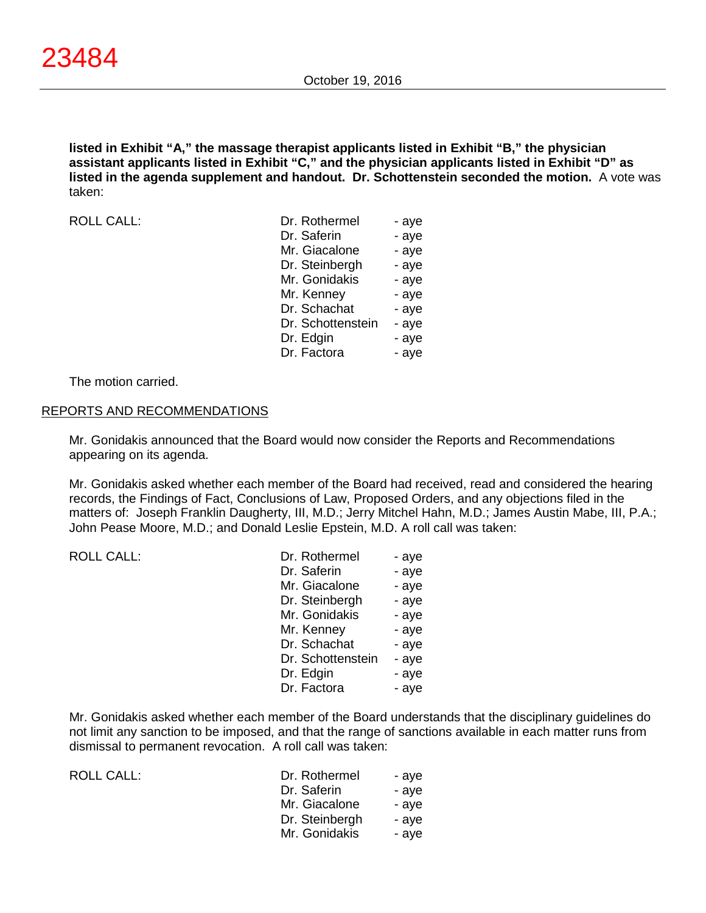**listed in Exhibit "A," the massage therapist applicants listed in Exhibit "B," the physician assistant applicants listed in Exhibit "C," and the physician applicants listed in Exhibit "D" as listed in the agenda supplement and handout. Dr. Schottenstein seconded the motion.** A vote was taken:

ROLL CALL:

| Dr. Rothermel     | - aye |
|-------------------|-------|
| Dr. Saferin       | - aye |
| Mr. Giacalone     | - aye |
| Dr. Steinbergh    | - aye |
| Mr. Gonidakis     | - aye |
| Mr. Kenney        | - aye |
| Dr. Schachat      | - aye |
| Dr. Schottenstein | - aye |
| Dr. Edgin         | - aye |
| Dr. Factora       | - aye |

The motion carried.

#### REPORTS AND RECOMMENDATIONS

Mr. Gonidakis announced that the Board would now consider the Reports and Recommendations appearing on its agenda.

Mr. Gonidakis asked whether each member of the Board had received, read and considered the hearing records, the Findings of Fact, Conclusions of Law, Proposed Orders, and any objections filed in the matters of: Joseph Franklin Daugherty, III, M.D.; Jerry Mitchel Hahn, M.D.; James Austin Mabe, III, P.A.; John Pease Moore, M.D.; and Donald Leslie Epstein, M.D. A roll call was taken:

| <b>ROLL CALL:</b> | Dr. Rothermel     | - aye |
|-------------------|-------------------|-------|
|                   | Dr. Saferin       | - aye |
|                   | Mr. Giacalone     | - aye |
|                   | Dr. Steinbergh    | - aye |
|                   | Mr. Gonidakis     | - aye |
|                   | Mr. Kenney        | - aye |
|                   | Dr. Schachat      | - aye |
|                   | Dr. Schottenstein | - aye |
|                   | Dr. Edgin         | - aye |
|                   | Dr. Factora       | - aye |
|                   |                   |       |

Mr. Gonidakis asked whether each member of the Board understands that the disciplinary guidelines do not limit any sanction to be imposed, and that the range of sanctions available in each matter runs from dismissal to permanent revocation. A roll call was taken:

| ROLL CALL: | Dr. Rothermel  | - ave |
|------------|----------------|-------|
|            | Dr. Saferin    | - ave |
|            | Mr. Giacalone  | - ave |
|            | Dr. Steinbergh | - ave |
|            | Mr. Gonidakis  | - ave |
|            |                |       |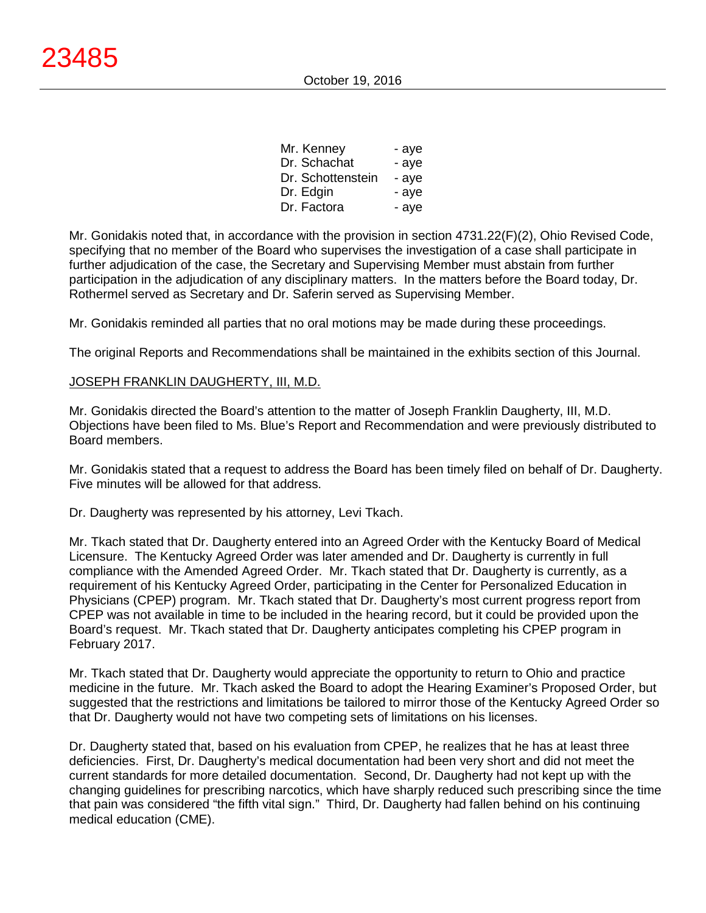| Mr. Kenney        | - aye |
|-------------------|-------|
| Dr. Schachat      | - aye |
| Dr. Schottenstein | - aye |
| Dr. Edgin         | - aye |
| Dr. Factora       | - aye |

Mr. Gonidakis noted that, in accordance with the provision in section 4731.22(F)(2), Ohio Revised Code, specifying that no member of the Board who supervises the investigation of a case shall participate in further adjudication of the case, the Secretary and Supervising Member must abstain from further participation in the adjudication of any disciplinary matters. In the matters before the Board today, Dr. Rothermel served as Secretary and Dr. Saferin served as Supervising Member.

Mr. Gonidakis reminded all parties that no oral motions may be made during these proceedings.

The original Reports and Recommendations shall be maintained in the exhibits section of this Journal.

#### JOSEPH FRANKLIN DAUGHERTY, III, M.D.

Mr. Gonidakis directed the Board's attention to the matter of Joseph Franklin Daugherty, III, M.D. Objections have been filed to Ms. Blue's Report and Recommendation and were previously distributed to Board members.

Mr. Gonidakis stated that a request to address the Board has been timely filed on behalf of Dr. Daugherty. Five minutes will be allowed for that address.

Dr. Daugherty was represented by his attorney, Levi Tkach.

Mr. Tkach stated that Dr. Daugherty entered into an Agreed Order with the Kentucky Board of Medical Licensure. The Kentucky Agreed Order was later amended and Dr. Daugherty is currently in full compliance with the Amended Agreed Order. Mr. Tkach stated that Dr. Daugherty is currently, as a requirement of his Kentucky Agreed Order, participating in the Center for Personalized Education in Physicians (CPEP) program. Mr. Tkach stated that Dr. Daugherty's most current progress report from CPEP was not available in time to be included in the hearing record, but it could be provided upon the Board's request. Mr. Tkach stated that Dr. Daugherty anticipates completing his CPEP program in February 2017.

Mr. Tkach stated that Dr. Daugherty would appreciate the opportunity to return to Ohio and practice medicine in the future. Mr. Tkach asked the Board to adopt the Hearing Examiner's Proposed Order, but suggested that the restrictions and limitations be tailored to mirror those of the Kentucky Agreed Order so that Dr. Daugherty would not have two competing sets of limitations on his licenses.

Dr. Daugherty stated that, based on his evaluation from CPEP, he realizes that he has at least three deficiencies. First, Dr. Daugherty's medical documentation had been very short and did not meet the current standards for more detailed documentation. Second, Dr. Daugherty had not kept up with the changing guidelines for prescribing narcotics, which have sharply reduced such prescribing since the time that pain was considered "the fifth vital sign." Third, Dr. Daugherty had fallen behind on his continuing medical education (CME).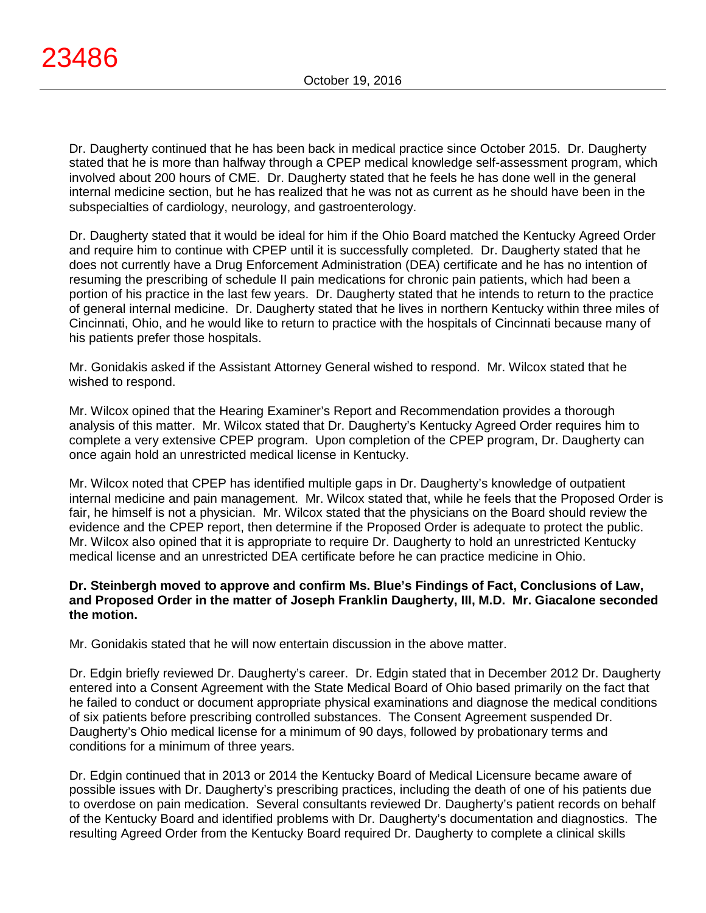Dr. Daugherty continued that he has been back in medical practice since October 2015. Dr. Daugherty stated that he is more than halfway through a CPEP medical knowledge self-assessment program, which involved about 200 hours of CME. Dr. Daugherty stated that he feels he has done well in the general internal medicine section, but he has realized that he was not as current as he should have been in the subspecialties of cardiology, neurology, and gastroenterology.

Dr. Daugherty stated that it would be ideal for him if the Ohio Board matched the Kentucky Agreed Order and require him to continue with CPEP until it is successfully completed. Dr. Daugherty stated that he does not currently have a Drug Enforcement Administration (DEA) certificate and he has no intention of resuming the prescribing of schedule II pain medications for chronic pain patients, which had been a portion of his practice in the last few years. Dr. Daugherty stated that he intends to return to the practice of general internal medicine. Dr. Daugherty stated that he lives in northern Kentucky within three miles of Cincinnati, Ohio, and he would like to return to practice with the hospitals of Cincinnati because many of his patients prefer those hospitals.

Mr. Gonidakis asked if the Assistant Attorney General wished to respond. Mr. Wilcox stated that he wished to respond.

Mr. Wilcox opined that the Hearing Examiner's Report and Recommendation provides a thorough analysis of this matter. Mr. Wilcox stated that Dr. Daugherty's Kentucky Agreed Order requires him to complete a very extensive CPEP program. Upon completion of the CPEP program, Dr. Daugherty can once again hold an unrestricted medical license in Kentucky.

Mr. Wilcox noted that CPEP has identified multiple gaps in Dr. Daugherty's knowledge of outpatient internal medicine and pain management. Mr. Wilcox stated that, while he feels that the Proposed Order is fair, he himself is not a physician. Mr. Wilcox stated that the physicians on the Board should review the evidence and the CPEP report, then determine if the Proposed Order is adequate to protect the public. Mr. Wilcox also opined that it is appropriate to require Dr. Daugherty to hold an unrestricted Kentucky medical license and an unrestricted DEA certificate before he can practice medicine in Ohio.

# **Dr. Steinbergh moved to approve and confirm Ms. Blue's Findings of Fact, Conclusions of Law, and Proposed Order in the matter of Joseph Franklin Daugherty, III, M.D. Mr. Giacalone seconded the motion.**

Mr. Gonidakis stated that he will now entertain discussion in the above matter.

Dr. Edgin briefly reviewed Dr. Daugherty's career. Dr. Edgin stated that in December 2012 Dr. Daugherty entered into a Consent Agreement with the State Medical Board of Ohio based primarily on the fact that he failed to conduct or document appropriate physical examinations and diagnose the medical conditions of six patients before prescribing controlled substances. The Consent Agreement suspended Dr. Daugherty's Ohio medical license for a minimum of 90 days, followed by probationary terms and conditions for a minimum of three years.

Dr. Edgin continued that in 2013 or 2014 the Kentucky Board of Medical Licensure became aware of possible issues with Dr. Daugherty's prescribing practices, including the death of one of his patients due to overdose on pain medication. Several consultants reviewed Dr. Daugherty's patient records on behalf of the Kentucky Board and identified problems with Dr. Daugherty's documentation and diagnostics. The resulting Agreed Order from the Kentucky Board required Dr. Daugherty to complete a clinical skills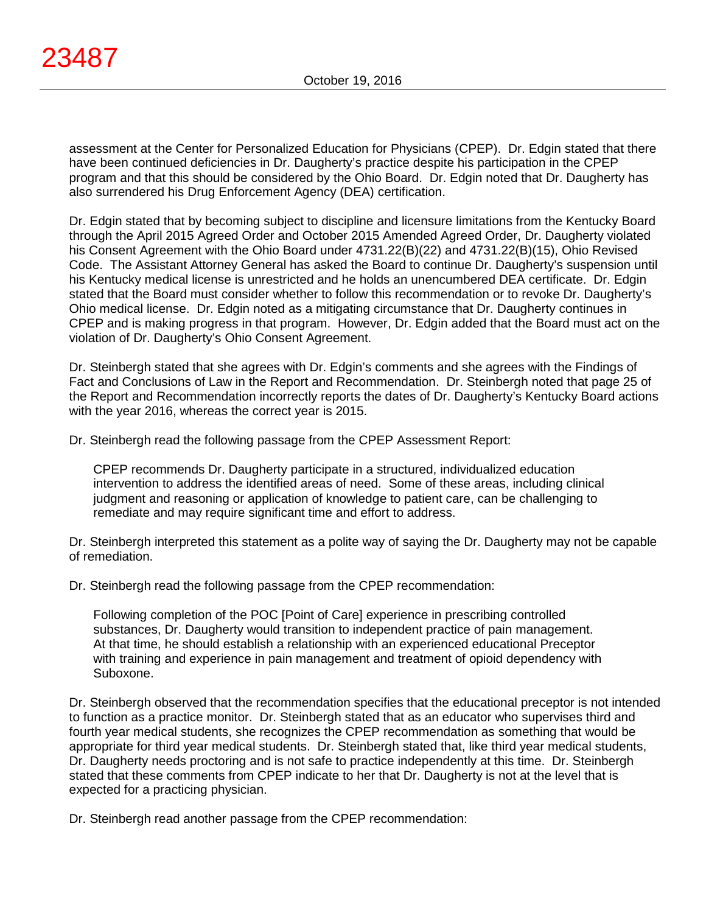assessment at the Center for Personalized Education for Physicians (CPEP). Dr. Edgin stated that there have been continued deficiencies in Dr. Daugherty's practice despite his participation in the CPEP program and that this should be considered by the Ohio Board. Dr. Edgin noted that Dr. Daugherty has also surrendered his Drug Enforcement Agency (DEA) certification.

Dr. Edgin stated that by becoming subject to discipline and licensure limitations from the Kentucky Board through the April 2015 Agreed Order and October 2015 Amended Agreed Order, Dr. Daugherty violated his Consent Agreement with the Ohio Board under 4731.22(B)(22) and 4731.22(B)(15), Ohio Revised Code. The Assistant Attorney General has asked the Board to continue Dr. Daugherty's suspension until his Kentucky medical license is unrestricted and he holds an unencumbered DEA certificate. Dr. Edgin stated that the Board must consider whether to follow this recommendation or to revoke Dr. Daugherty's Ohio medical license. Dr. Edgin noted as a mitigating circumstance that Dr. Daugherty continues in CPEP and is making progress in that program. However, Dr. Edgin added that the Board must act on the violation of Dr. Daugherty's Ohio Consent Agreement.

Dr. Steinbergh stated that she agrees with Dr. Edgin's comments and she agrees with the Findings of Fact and Conclusions of Law in the Report and Recommendation. Dr. Steinbergh noted that page 25 of the Report and Recommendation incorrectly reports the dates of Dr. Daugherty's Kentucky Board actions with the year 2016, whereas the correct year is 2015.

Dr. Steinbergh read the following passage from the CPEP Assessment Report:

CPEP recommends Dr. Daugherty participate in a structured, individualized education intervention to address the identified areas of need. Some of these areas, including clinical judgment and reasoning or application of knowledge to patient care, can be challenging to remediate and may require significant time and effort to address.

Dr. Steinbergh interpreted this statement as a polite way of saying the Dr. Daugherty may not be capable of remediation.

Dr. Steinbergh read the following passage from the CPEP recommendation:

Following completion of the POC [Point of Care] experience in prescribing controlled substances, Dr. Daugherty would transition to independent practice of pain management. At that time, he should establish a relationship with an experienced educational Preceptor with training and experience in pain management and treatment of opioid dependency with Suboxone.

Dr. Steinbergh observed that the recommendation specifies that the educational preceptor is not intended to function as a practice monitor. Dr. Steinbergh stated that as an educator who supervises third and fourth year medical students, she recognizes the CPEP recommendation as something that would be appropriate for third year medical students. Dr. Steinbergh stated that, like third year medical students, Dr. Daugherty needs proctoring and is not safe to practice independently at this time. Dr. Steinbergh stated that these comments from CPEP indicate to her that Dr. Daugherty is not at the level that is expected for a practicing physician.

Dr. Steinbergh read another passage from the CPEP recommendation: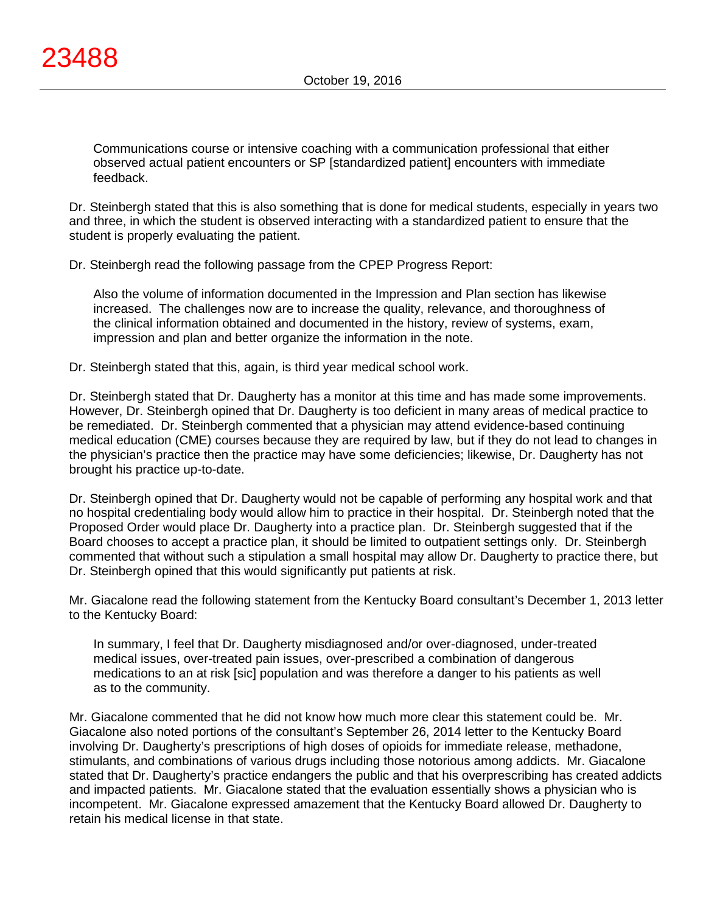Communications course or intensive coaching with a communication professional that either observed actual patient encounters or SP [standardized patient] encounters with immediate feedback.

Dr. Steinbergh stated that this is also something that is done for medical students, especially in years two and three, in which the student is observed interacting with a standardized patient to ensure that the student is properly evaluating the patient.

Dr. Steinbergh read the following passage from the CPEP Progress Report:

Also the volume of information documented in the Impression and Plan section has likewise increased. The challenges now are to increase the quality, relevance, and thoroughness of the clinical information obtained and documented in the history, review of systems, exam, impression and plan and better organize the information in the note.

Dr. Steinbergh stated that this, again, is third year medical school work.

Dr. Steinbergh stated that Dr. Daugherty has a monitor at this time and has made some improvements. However, Dr. Steinbergh opined that Dr. Daugherty is too deficient in many areas of medical practice to be remediated. Dr. Steinbergh commented that a physician may attend evidence-based continuing medical education (CME) courses because they are required by law, but if they do not lead to changes in the physician's practice then the practice may have some deficiencies; likewise, Dr. Daugherty has not brought his practice up-to-date.

Dr. Steinbergh opined that Dr. Daugherty would not be capable of performing any hospital work and that no hospital credentialing body would allow him to practice in their hospital. Dr. Steinbergh noted that the Proposed Order would place Dr. Daugherty into a practice plan. Dr. Steinbergh suggested that if the Board chooses to accept a practice plan, it should be limited to outpatient settings only. Dr. Steinbergh commented that without such a stipulation a small hospital may allow Dr. Daugherty to practice there, but Dr. Steinbergh opined that this would significantly put patients at risk.

Mr. Giacalone read the following statement from the Kentucky Board consultant's December 1, 2013 letter to the Kentucky Board:

In summary, I feel that Dr. Daugherty misdiagnosed and/or over-diagnosed, under-treated medical issues, over-treated pain issues, over-prescribed a combination of dangerous medications to an at risk [sic] population and was therefore a danger to his patients as well as to the community.

Mr. Giacalone commented that he did not know how much more clear this statement could be. Mr. Giacalone also noted portions of the consultant's September 26, 2014 letter to the Kentucky Board involving Dr. Daugherty's prescriptions of high doses of opioids for immediate release, methadone, stimulants, and combinations of various drugs including those notorious among addicts. Mr. Giacalone stated that Dr. Daugherty's practice endangers the public and that his overprescribing has created addicts and impacted patients. Mr. Giacalone stated that the evaluation essentially shows a physician who is incompetent. Mr. Giacalone expressed amazement that the Kentucky Board allowed Dr. Daugherty to retain his medical license in that state.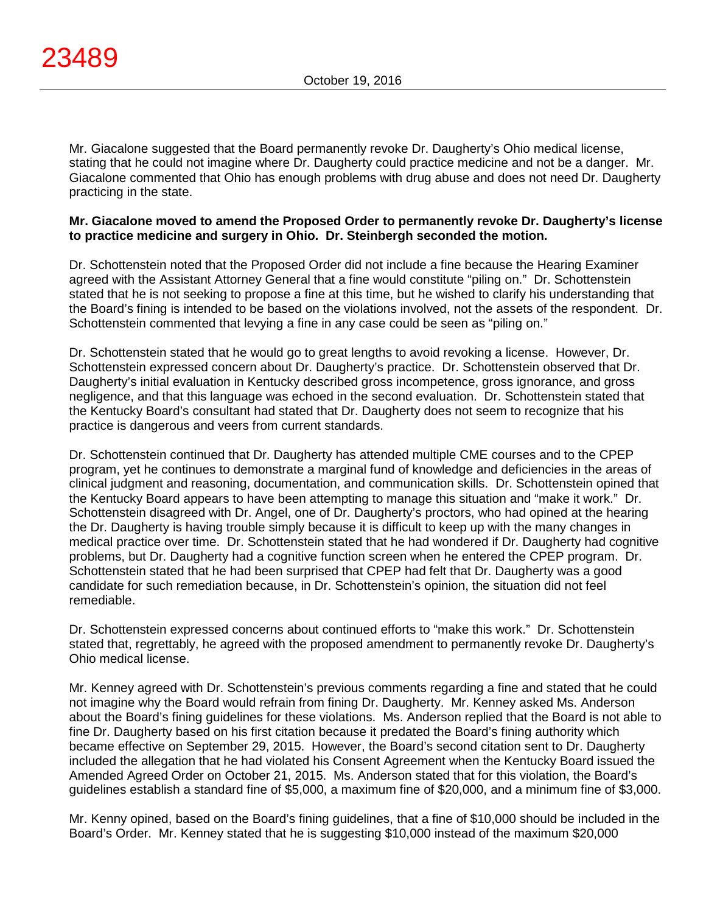Mr. Giacalone suggested that the Board permanently revoke Dr. Daugherty's Ohio medical license, stating that he could not imagine where Dr. Daugherty could practice medicine and not be a danger. Mr. Giacalone commented that Ohio has enough problems with drug abuse and does not need Dr. Daugherty practicing in the state.

#### **Mr. Giacalone moved to amend the Proposed Order to permanently revoke Dr. Daugherty's license to practice medicine and surgery in Ohio. Dr. Steinbergh seconded the motion.**

Dr. Schottenstein noted that the Proposed Order did not include a fine because the Hearing Examiner agreed with the Assistant Attorney General that a fine would constitute "piling on." Dr. Schottenstein stated that he is not seeking to propose a fine at this time, but he wished to clarify his understanding that the Board's fining is intended to be based on the violations involved, not the assets of the respondent. Dr. Schottenstein commented that levying a fine in any case could be seen as "piling on."

Dr. Schottenstein stated that he would go to great lengths to avoid revoking a license. However, Dr. Schottenstein expressed concern about Dr. Daugherty's practice. Dr. Schottenstein observed that Dr. Daugherty's initial evaluation in Kentucky described gross incompetence, gross ignorance, and gross negligence, and that this language was echoed in the second evaluation. Dr. Schottenstein stated that the Kentucky Board's consultant had stated that Dr. Daugherty does not seem to recognize that his practice is dangerous and veers from current standards.

Dr. Schottenstein continued that Dr. Daugherty has attended multiple CME courses and to the CPEP program, yet he continues to demonstrate a marginal fund of knowledge and deficiencies in the areas of clinical judgment and reasoning, documentation, and communication skills. Dr. Schottenstein opined that the Kentucky Board appears to have been attempting to manage this situation and "make it work." Dr. Schottenstein disagreed with Dr. Angel, one of Dr. Daugherty's proctors, who had opined at the hearing the Dr. Daugherty is having trouble simply because it is difficult to keep up with the many changes in medical practice over time. Dr. Schottenstein stated that he had wondered if Dr. Daugherty had cognitive problems, but Dr. Daugherty had a cognitive function screen when he entered the CPEP program. Dr. Schottenstein stated that he had been surprised that CPEP had felt that Dr. Daugherty was a good candidate for such remediation because, in Dr. Schottenstein's opinion, the situation did not feel remediable.

Dr. Schottenstein expressed concerns about continued efforts to "make this work." Dr. Schottenstein stated that, regrettably, he agreed with the proposed amendment to permanently revoke Dr. Daugherty's Ohio medical license.

Mr. Kenney agreed with Dr. Schottenstein's previous comments regarding a fine and stated that he could not imagine why the Board would refrain from fining Dr. Daugherty. Mr. Kenney asked Ms. Anderson about the Board's fining guidelines for these violations. Ms. Anderson replied that the Board is not able to fine Dr. Daugherty based on his first citation because it predated the Board's fining authority which became effective on September 29, 2015. However, the Board's second citation sent to Dr. Daugherty included the allegation that he had violated his Consent Agreement when the Kentucky Board issued the Amended Agreed Order on October 21, 2015. Ms. Anderson stated that for this violation, the Board's guidelines establish a standard fine of \$5,000, a maximum fine of \$20,000, and a minimum fine of \$3,000.

Mr. Kenny opined, based on the Board's fining guidelines, that a fine of \$10,000 should be included in the Board's Order. Mr. Kenney stated that he is suggesting \$10,000 instead of the maximum \$20,000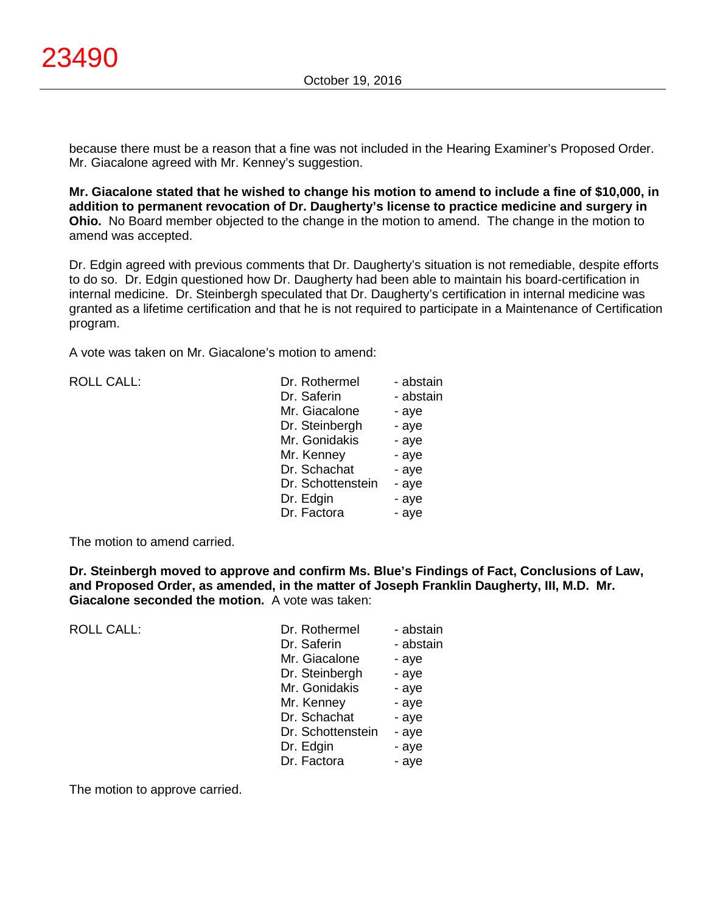because there must be a reason that a fine was not included in the Hearing Examiner's Proposed Order. Mr. Giacalone agreed with Mr. Kenney's suggestion.

**Mr. Giacalone stated that he wished to change his motion to amend to include a fine of \$10,000, in addition to permanent revocation of Dr. Daugherty's license to practice medicine and surgery in Ohio.** No Board member objected to the change in the motion to amend. The change in the motion to amend was accepted.

Dr. Edgin agreed with previous comments that Dr. Daugherty's situation is not remediable, despite efforts to do so. Dr. Edgin questioned how Dr. Daugherty had been able to maintain his board-certification in internal medicine. Dr. Steinbergh speculated that Dr. Daugherty's certification in internal medicine was granted as a lifetime certification and that he is not required to participate in a Maintenance of Certification program.

A vote was taken on Mr. Giacalone's motion to amend:

| <b>ROLL CALL:</b> | Dr. Rothermel     | - abstain |
|-------------------|-------------------|-----------|
|                   | Dr. Saferin       | - abstain |
|                   | Mr. Giacalone     | - aye     |
|                   | Dr. Steinbergh    | - aye     |
|                   | Mr. Gonidakis     | - aye     |
|                   | Mr. Kenney        | - aye     |
|                   | Dr. Schachat      | - aye     |
|                   | Dr. Schottenstein | - aye     |
|                   | Dr. Edgin         | - aye     |
|                   | Dr. Factora       | - aye     |

The motion to amend carried.

**Dr. Steinbergh moved to approve and confirm Ms. Blue's Findings of Fact, Conclusions of Law, and Proposed Order, as amended, in the matter of Joseph Franklin Daugherty, III, M.D. Mr. Giacalone seconded the motion.** A vote was taken:

| <b>ROLL CALL:</b> | Dr. Rothermel     | - abstain |
|-------------------|-------------------|-----------|
|                   | Dr. Saferin       | - abstain |
|                   | Mr. Giacalone     | - aye     |
|                   | Dr. Steinbergh    | - aye     |
|                   | Mr. Gonidakis     | - aye     |
|                   | Mr. Kenney        | - aye     |
|                   | Dr. Schachat      | - aye     |
|                   | Dr. Schottenstein | - aye     |
|                   | Dr. Edgin         | - aye     |
|                   | Dr. Factora       | - aye     |
|                   |                   |           |

The motion to approve carried.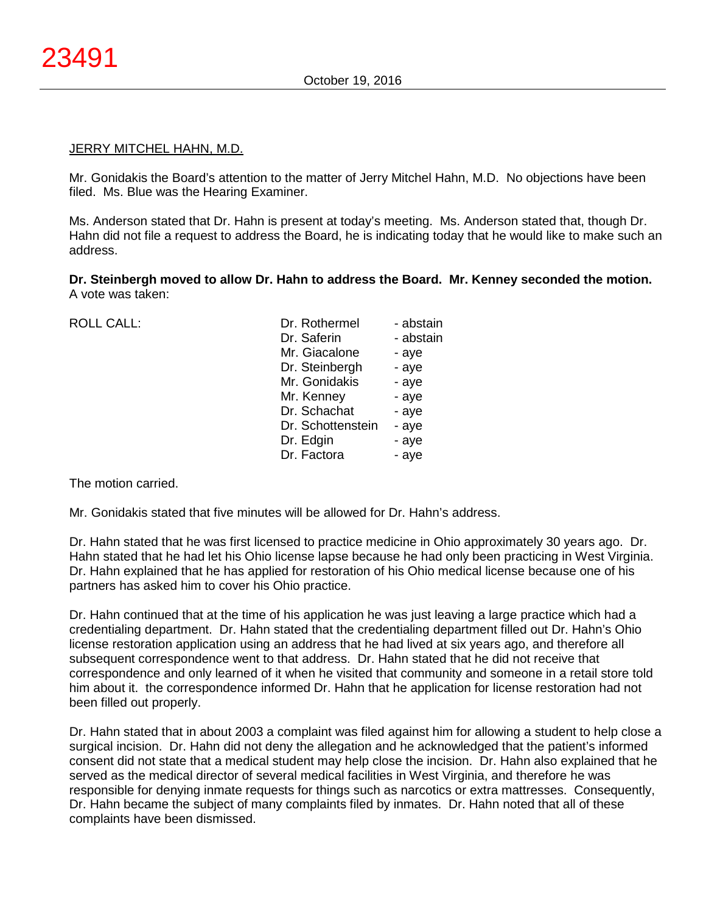#### **JERRY MITCHEL HAHN, M.D.**

Mr. Gonidakis the Board's attention to the matter of Jerry Mitchel Hahn, M.D. No objections have been filed. Ms. Blue was the Hearing Examiner.

Ms. Anderson stated that Dr. Hahn is present at today's meeting. Ms. Anderson stated that, though Dr. Hahn did not file a request to address the Board, he is indicating today that he would like to make such an address.

**Dr. Steinbergh moved to allow Dr. Hahn to address the Board. Mr. Kenney seconded the motion.** A vote was taken:

ROLL CALL:

| Dr. Rothermel     | - abstain |
|-------------------|-----------|
| Dr. Saferin       | - abstain |
| Mr. Giacalone     | - aye     |
| Dr. Steinbergh    | - aye     |
| Mr. Gonidakis     | - aye     |
| Mr. Kenney        | - aye     |
| Dr. Schachat      | - aye     |
| Dr. Schottenstein | - aye     |
| Dr. Edgin         | - aye     |
| Dr. Factora       | - aye     |
|                   |           |

The motion carried.

Mr. Gonidakis stated that five minutes will be allowed for Dr. Hahn's address.

Dr. Hahn stated that he was first licensed to practice medicine in Ohio approximately 30 years ago. Dr. Hahn stated that he had let his Ohio license lapse because he had only been practicing in West Virginia. Dr. Hahn explained that he has applied for restoration of his Ohio medical license because one of his partners has asked him to cover his Ohio practice.

Dr. Hahn continued that at the time of his application he was just leaving a large practice which had a credentialing department. Dr. Hahn stated that the credentialing department filled out Dr. Hahn's Ohio license restoration application using an address that he had lived at six years ago, and therefore all subsequent correspondence went to that address. Dr. Hahn stated that he did not receive that correspondence and only learned of it when he visited that community and someone in a retail store told him about it. the correspondence informed Dr. Hahn that he application for license restoration had not been filled out properly.

Dr. Hahn stated that in about 2003 a complaint was filed against him for allowing a student to help close a surgical incision. Dr. Hahn did not deny the allegation and he acknowledged that the patient's informed consent did not state that a medical student may help close the incision. Dr. Hahn also explained that he served as the medical director of several medical facilities in West Virginia, and therefore he was responsible for denying inmate requests for things such as narcotics or extra mattresses. Consequently, Dr. Hahn became the subject of many complaints filed by inmates. Dr. Hahn noted that all of these complaints have been dismissed.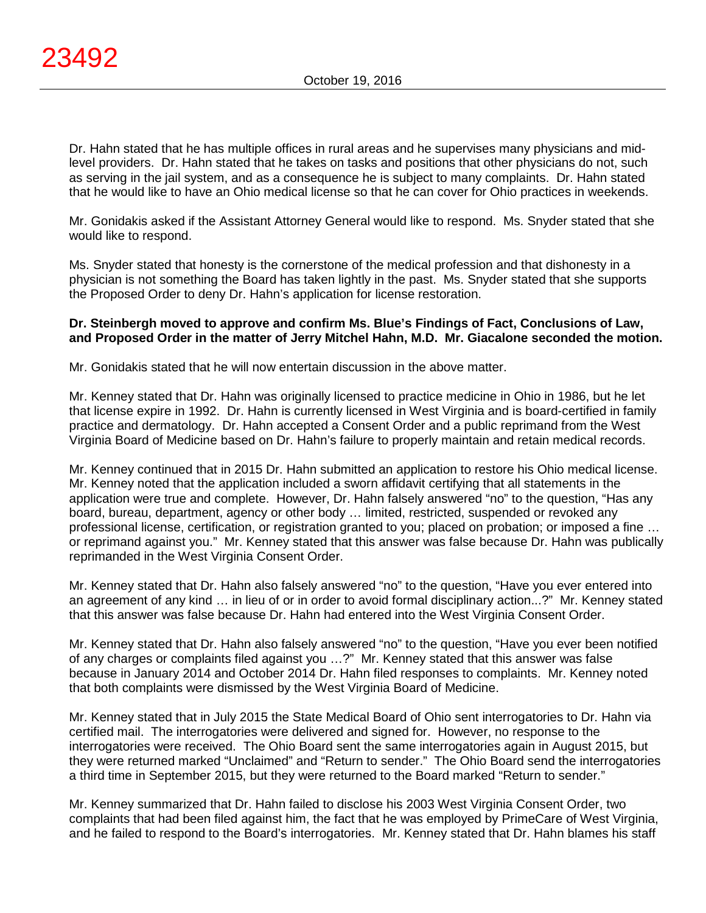Dr. Hahn stated that he has multiple offices in rural areas and he supervises many physicians and midlevel providers. Dr. Hahn stated that he takes on tasks and positions that other physicians do not, such as serving in the jail system, and as a consequence he is subject to many complaints. Dr. Hahn stated that he would like to have an Ohio medical license so that he can cover for Ohio practices in weekends.

Mr. Gonidakis asked if the Assistant Attorney General would like to respond. Ms. Snyder stated that she would like to respond.

Ms. Snyder stated that honesty is the cornerstone of the medical profession and that dishonesty in a physician is not something the Board has taken lightly in the past. Ms. Snyder stated that she supports the Proposed Order to deny Dr. Hahn's application for license restoration.

#### **Dr. Steinbergh moved to approve and confirm Ms. Blue's Findings of Fact, Conclusions of Law, and Proposed Order in the matter of Jerry Mitchel Hahn, M.D. Mr. Giacalone seconded the motion.**

Mr. Gonidakis stated that he will now entertain discussion in the above matter.

Mr. Kenney stated that Dr. Hahn was originally licensed to practice medicine in Ohio in 1986, but he let that license expire in 1992. Dr. Hahn is currently licensed in West Virginia and is board-certified in family practice and dermatology. Dr. Hahn accepted a Consent Order and a public reprimand from the West Virginia Board of Medicine based on Dr. Hahn's failure to properly maintain and retain medical records.

Mr. Kenney continued that in 2015 Dr. Hahn submitted an application to restore his Ohio medical license. Mr. Kenney noted that the application included a sworn affidavit certifying that all statements in the application were true and complete. However, Dr. Hahn falsely answered "no" to the question, "Has any board, bureau, department, agency or other body … limited, restricted, suspended or revoked any professional license, certification, or registration granted to you; placed on probation; or imposed a fine … or reprimand against you." Mr. Kenney stated that this answer was false because Dr. Hahn was publically reprimanded in the West Virginia Consent Order.

Mr. Kenney stated that Dr. Hahn also falsely answered "no" to the question, "Have you ever entered into an agreement of any kind … in lieu of or in order to avoid formal disciplinary action...?" Mr. Kenney stated that this answer was false because Dr. Hahn had entered into the West Virginia Consent Order.

Mr. Kenney stated that Dr. Hahn also falsely answered "no" to the question, "Have you ever been notified of any charges or complaints filed against you …?" Mr. Kenney stated that this answer was false because in January 2014 and October 2014 Dr. Hahn filed responses to complaints. Mr. Kenney noted that both complaints were dismissed by the West Virginia Board of Medicine.

Mr. Kenney stated that in July 2015 the State Medical Board of Ohio sent interrogatories to Dr. Hahn via certified mail. The interrogatories were delivered and signed for. However, no response to the interrogatories were received. The Ohio Board sent the same interrogatories again in August 2015, but they were returned marked "Unclaimed" and "Return to sender." The Ohio Board send the interrogatories a third time in September 2015, but they were returned to the Board marked "Return to sender."

Mr. Kenney summarized that Dr. Hahn failed to disclose his 2003 West Virginia Consent Order, two complaints that had been filed against him, the fact that he was employed by PrimeCare of West Virginia, and he failed to respond to the Board's interrogatories. Mr. Kenney stated that Dr. Hahn blames his staff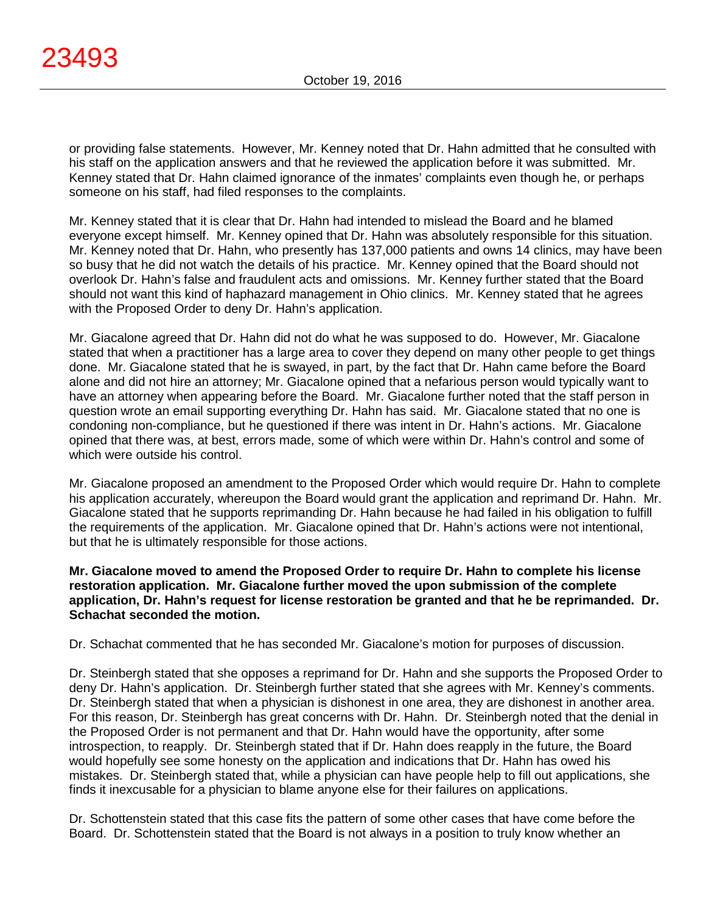or providing false statements. However, Mr. Kenney noted that Dr. Hahn admitted that he consulted with his staff on the application answers and that he reviewed the application before it was submitted. Mr. Kenney stated that Dr. Hahn claimed ignorance of the inmates' complaints even though he, or perhaps someone on his staff, had filed responses to the complaints.

Mr. Kenney stated that it is clear that Dr. Hahn had intended to mislead the Board and he blamed everyone except himself. Mr. Kenney opined that Dr. Hahn was absolutely responsible for this situation. Mr. Kenney noted that Dr. Hahn, who presently has 137,000 patients and owns 14 clinics, may have been so busy that he did not watch the details of his practice. Mr. Kenney opined that the Board should not overlook Dr. Hahn's false and fraudulent acts and omissions. Mr. Kenney further stated that the Board should not want this kind of haphazard management in Ohio clinics. Mr. Kenney stated that he agrees with the Proposed Order to deny Dr. Hahn's application.

Mr. Giacalone agreed that Dr. Hahn did not do what he was supposed to do. However, Mr. Giacalone stated that when a practitioner has a large area to cover they depend on many other people to get things done. Mr. Giacalone stated that he is swayed, in part, by the fact that Dr. Hahn came before the Board alone and did not hire an attorney; Mr. Giacalone opined that a nefarious person would typically want to have an attorney when appearing before the Board. Mr. Giacalone further noted that the staff person in question wrote an email supporting everything Dr. Hahn has said. Mr. Giacalone stated that no one is condoning non-compliance, but he questioned if there was intent in Dr. Hahn's actions. Mr. Giacalone opined that there was, at best, errors made, some of which were within Dr. Hahn's control and some of which were outside his control.

Mr. Giacalone proposed an amendment to the Proposed Order which would require Dr. Hahn to complete his application accurately, whereupon the Board would grant the application and reprimand Dr. Hahn. Mr. Giacalone stated that he supports reprimanding Dr. Hahn because he had failed in his obligation to fulfill the requirements of the application. Mr. Giacalone opined that Dr. Hahn's actions were not intentional, but that he is ultimately responsible for those actions.

**Mr. Giacalone moved to amend the Proposed Order to require Dr. Hahn to complete his license restoration application. Mr. Giacalone further moved the upon submission of the complete application, Dr. Hahn's request for license restoration be granted and that he be reprimanded. Dr. Schachat seconded the motion.**

Dr. Schachat commented that he has seconded Mr. Giacalone's motion for purposes of discussion.

Dr. Steinbergh stated that she opposes a reprimand for Dr. Hahn and she supports the Proposed Order to deny Dr. Hahn's application. Dr. Steinbergh further stated that she agrees with Mr. Kenney's comments. Dr. Steinbergh stated that when a physician is dishonest in one area, they are dishonest in another area. For this reason, Dr. Steinbergh has great concerns with Dr. Hahn. Dr. Steinbergh noted that the denial in the Proposed Order is not permanent and that Dr. Hahn would have the opportunity, after some introspection, to reapply. Dr. Steinbergh stated that if Dr. Hahn does reapply in the future, the Board would hopefully see some honesty on the application and indications that Dr. Hahn has owed his mistakes. Dr. Steinbergh stated that, while a physician can have people help to fill out applications, she finds it inexcusable for a physician to blame anyone else for their failures on applications.

Dr. Schottenstein stated that this case fits the pattern of some other cases that have come before the Board. Dr. Schottenstein stated that the Board is not always in a position to truly know whether an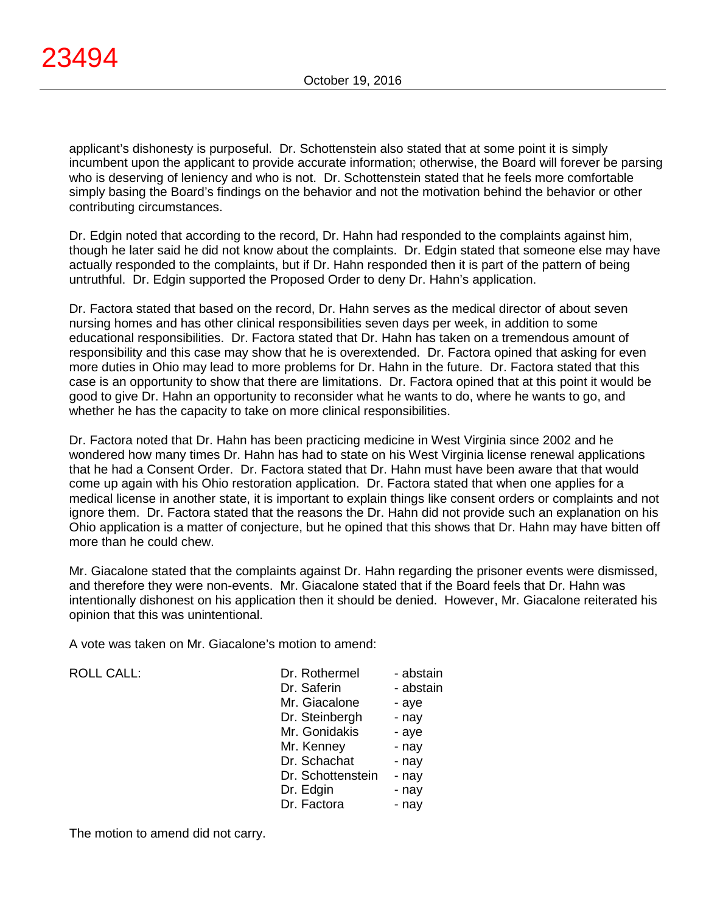applicant's dishonesty is purposeful. Dr. Schottenstein also stated that at some point it is simply incumbent upon the applicant to provide accurate information; otherwise, the Board will forever be parsing who is deserving of leniency and who is not. Dr. Schottenstein stated that he feels more comfortable simply basing the Board's findings on the behavior and not the motivation behind the behavior or other contributing circumstances.

Dr. Edgin noted that according to the record, Dr. Hahn had responded to the complaints against him, though he later said he did not know about the complaints. Dr. Edgin stated that someone else may have actually responded to the complaints, but if Dr. Hahn responded then it is part of the pattern of being untruthful. Dr. Edgin supported the Proposed Order to deny Dr. Hahn's application.

Dr. Factora stated that based on the record, Dr. Hahn serves as the medical director of about seven nursing homes and has other clinical responsibilities seven days per week, in addition to some educational responsibilities. Dr. Factora stated that Dr. Hahn has taken on a tremendous amount of responsibility and this case may show that he is overextended. Dr. Factora opined that asking for even more duties in Ohio may lead to more problems for Dr. Hahn in the future. Dr. Factora stated that this case is an opportunity to show that there are limitations. Dr. Factora opined that at this point it would be good to give Dr. Hahn an opportunity to reconsider what he wants to do, where he wants to go, and whether he has the capacity to take on more clinical responsibilities.

Dr. Factora noted that Dr. Hahn has been practicing medicine in West Virginia since 2002 and he wondered how many times Dr. Hahn has had to state on his West Virginia license renewal applications that he had a Consent Order. Dr. Factora stated that Dr. Hahn must have been aware that that would come up again with his Ohio restoration application. Dr. Factora stated that when one applies for a medical license in another state, it is important to explain things like consent orders or complaints and not ignore them. Dr. Factora stated that the reasons the Dr. Hahn did not provide such an explanation on his Ohio application is a matter of conjecture, but he opined that this shows that Dr. Hahn may have bitten off more than he could chew.

Mr. Giacalone stated that the complaints against Dr. Hahn regarding the prisoner events were dismissed, and therefore they were non-events. Mr. Giacalone stated that if the Board feels that Dr. Hahn was intentionally dishonest on his application then it should be denied. However, Mr. Giacalone reiterated his opinion that this was unintentional.

A vote was taken on Mr. Giacalone's motion to amend:

| <b>ROLL CALL:</b> | Dr. Rothermel     | - abstain |
|-------------------|-------------------|-----------|
|                   | Dr. Saferin       | - abstain |
|                   | Mr. Giacalone     | - aye     |
|                   | Dr. Steinbergh    | - nay     |
|                   | Mr. Gonidakis     | - aye     |
|                   | Mr. Kenney        | - nay     |
|                   | Dr. Schachat      | - nay     |
|                   | Dr. Schottenstein | - nay     |
|                   | Dr. Edgin         | - nay     |
|                   | Dr. Factora       | - nav     |

The motion to amend did not carry.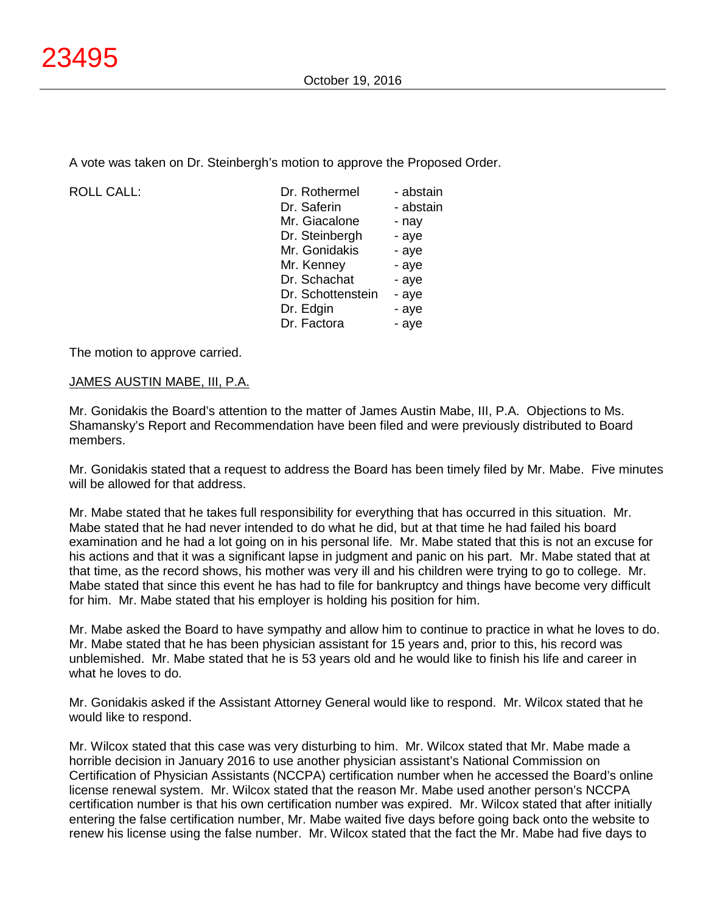A vote was taken on Dr. Steinbergh's motion to approve the Proposed Order.

ROLL CALL:

| Dr. Rothermel     | - abstain |
|-------------------|-----------|
| Dr. Saferin       | - abstain |
| Mr. Giacalone     | - nay     |
| Dr. Steinbergh    | - aye     |
| Mr. Gonidakis     | - aye     |
| Mr. Kenney        | - aye     |
| Dr. Schachat      | - aye     |
| Dr. Schottenstein | - aye     |
| Dr. Edgin         | - aye     |
| Dr. Factora       | - aye     |
|                   |           |

The motion to approve carried.

# JAMES AUSTIN MABE, III, P.A.

Mr. Gonidakis the Board's attention to the matter of James Austin Mabe, III, P.A. Objections to Ms. Shamansky's Report and Recommendation have been filed and were previously distributed to Board members.

Mr. Gonidakis stated that a request to address the Board has been timely filed by Mr. Mabe. Five minutes will be allowed for that address.

Mr. Mabe stated that he takes full responsibility for everything that has occurred in this situation. Mr. Mabe stated that he had never intended to do what he did, but at that time he had failed his board examination and he had a lot going on in his personal life. Mr. Mabe stated that this is not an excuse for his actions and that it was a significant lapse in judgment and panic on his part. Mr. Mabe stated that at that time, as the record shows, his mother was very ill and his children were trying to go to college. Mr. Mabe stated that since this event he has had to file for bankruptcy and things have become very difficult for him. Mr. Mabe stated that his employer is holding his position for him.

Mr. Mabe asked the Board to have sympathy and allow him to continue to practice in what he loves to do. Mr. Mabe stated that he has been physician assistant for 15 years and, prior to this, his record was unblemished. Mr. Mabe stated that he is 53 years old and he would like to finish his life and career in what he loves to do.

Mr. Gonidakis asked if the Assistant Attorney General would like to respond. Mr. Wilcox stated that he would like to respond.

Mr. Wilcox stated that this case was very disturbing to him. Mr. Wilcox stated that Mr. Mabe made a horrible decision in January 2016 to use another physician assistant's National Commission on Certification of Physician Assistants (NCCPA) certification number when he accessed the Board's online license renewal system. Mr. Wilcox stated that the reason Mr. Mabe used another person's NCCPA certification number is that his own certification number was expired. Mr. Wilcox stated that after initially entering the false certification number, Mr. Mabe waited five days before going back onto the website to renew his license using the false number. Mr. Wilcox stated that the fact the Mr. Mabe had five days to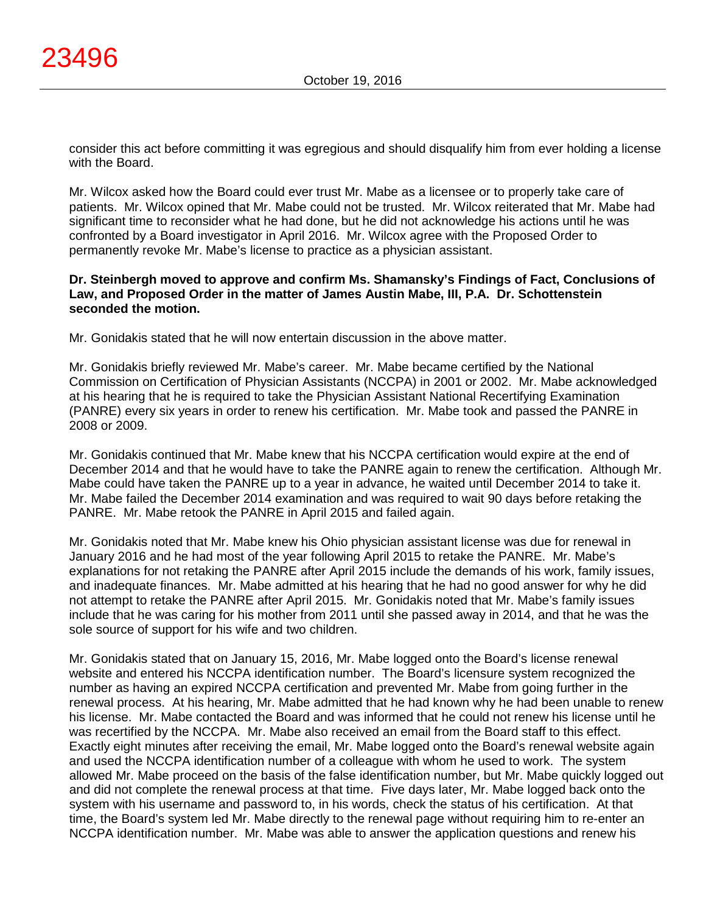consider this act before committing it was egregious and should disqualify him from ever holding a license with the Board.

Mr. Wilcox asked how the Board could ever trust Mr. Mabe as a licensee or to properly take care of patients. Mr. Wilcox opined that Mr. Mabe could not be trusted. Mr. Wilcox reiterated that Mr. Mabe had significant time to reconsider what he had done, but he did not acknowledge his actions until he was confronted by a Board investigator in April 2016. Mr. Wilcox agree with the Proposed Order to permanently revoke Mr. Mabe's license to practice as a physician assistant.

### **Dr. Steinbergh moved to approve and confirm Ms. Shamansky's Findings of Fact, Conclusions of Law, and Proposed Order in the matter of James Austin Mabe, III, P.A. Dr. Schottenstein seconded the motion.**

Mr. Gonidakis stated that he will now entertain discussion in the above matter.

Mr. Gonidakis briefly reviewed Mr. Mabe's career. Mr. Mabe became certified by the National Commission on Certification of Physician Assistants (NCCPA) in 2001 or 2002. Mr. Mabe acknowledged at his hearing that he is required to take the Physician Assistant National Recertifying Examination (PANRE) every six years in order to renew his certification. Mr. Mabe took and passed the PANRE in 2008 or 2009.

Mr. Gonidakis continued that Mr. Mabe knew that his NCCPA certification would expire at the end of December 2014 and that he would have to take the PANRE again to renew the certification. Although Mr. Mabe could have taken the PANRE up to a year in advance, he waited until December 2014 to take it. Mr. Mabe failed the December 2014 examination and was required to wait 90 days before retaking the PANRE. Mr. Mabe retook the PANRE in April 2015 and failed again.

Mr. Gonidakis noted that Mr. Mabe knew his Ohio physician assistant license was due for renewal in January 2016 and he had most of the year following April 2015 to retake the PANRE. Mr. Mabe's explanations for not retaking the PANRE after April 2015 include the demands of his work, family issues, and inadequate finances. Mr. Mabe admitted at his hearing that he had no good answer for why he did not attempt to retake the PANRE after April 2015. Mr. Gonidakis noted that Mr. Mabe's family issues include that he was caring for his mother from 2011 until she passed away in 2014, and that he was the sole source of support for his wife and two children.

Mr. Gonidakis stated that on January 15, 2016, Mr. Mabe logged onto the Board's license renewal website and entered his NCCPA identification number. The Board's licensure system recognized the number as having an expired NCCPA certification and prevented Mr. Mabe from going further in the renewal process. At his hearing, Mr. Mabe admitted that he had known why he had been unable to renew his license. Mr. Mabe contacted the Board and was informed that he could not renew his license until he was recertified by the NCCPA. Mr. Mabe also received an email from the Board staff to this effect. Exactly eight minutes after receiving the email, Mr. Mabe logged onto the Board's renewal website again and used the NCCPA identification number of a colleague with whom he used to work. The system allowed Mr. Mabe proceed on the basis of the false identification number, but Mr. Mabe quickly logged out and did not complete the renewal process at that time. Five days later, Mr. Mabe logged back onto the system with his username and password to, in his words, check the status of his certification. At that time, the Board's system led Mr. Mabe directly to the renewal page without requiring him to re-enter an NCCPA identification number. Mr. Mabe was able to answer the application questions and renew his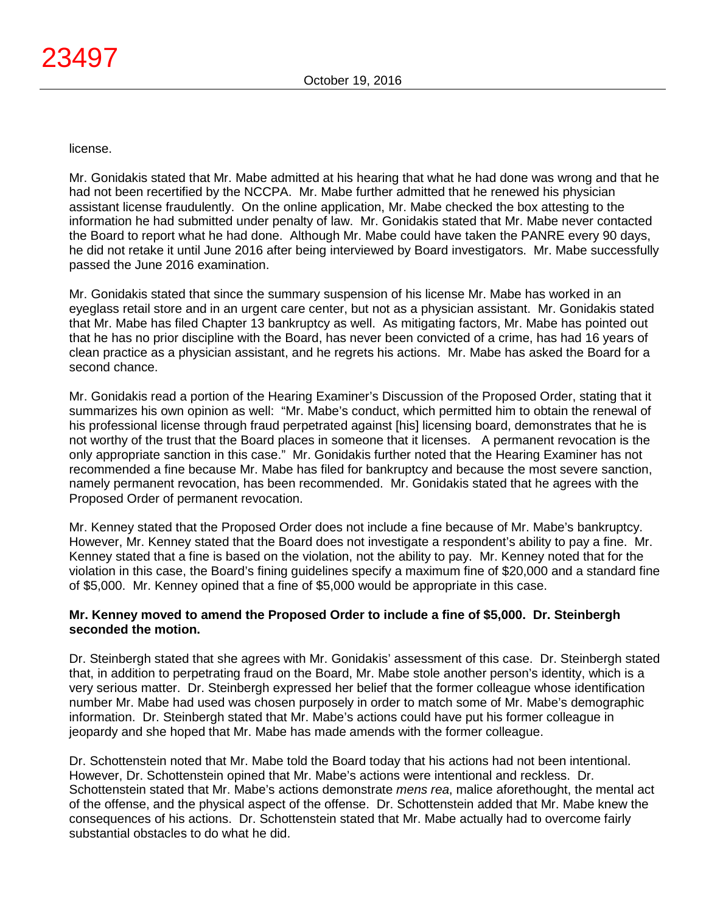license.

Mr. Gonidakis stated that Mr. Mabe admitted at his hearing that what he had done was wrong and that he had not been recertified by the NCCPA. Mr. Mabe further admitted that he renewed his physician assistant license fraudulently. On the online application, Mr. Mabe checked the box attesting to the information he had submitted under penalty of law. Mr. Gonidakis stated that Mr. Mabe never contacted the Board to report what he had done. Although Mr. Mabe could have taken the PANRE every 90 days, he did not retake it until June 2016 after being interviewed by Board investigators. Mr. Mabe successfully passed the June 2016 examination.

Mr. Gonidakis stated that since the summary suspension of his license Mr. Mabe has worked in an eyeglass retail store and in an urgent care center, but not as a physician assistant. Mr. Gonidakis stated that Mr. Mabe has filed Chapter 13 bankruptcy as well. As mitigating factors, Mr. Mabe has pointed out that he has no prior discipline with the Board, has never been convicted of a crime, has had 16 years of clean practice as a physician assistant, and he regrets his actions. Mr. Mabe has asked the Board for a second chance.

Mr. Gonidakis read a portion of the Hearing Examiner's Discussion of the Proposed Order, stating that it summarizes his own opinion as well: "Mr. Mabe's conduct, which permitted him to obtain the renewal of his professional license through fraud perpetrated against [his] licensing board, demonstrates that he is not worthy of the trust that the Board places in someone that it licenses. A permanent revocation is the only appropriate sanction in this case." Mr. Gonidakis further noted that the Hearing Examiner has not recommended a fine because Mr. Mabe has filed for bankruptcy and because the most severe sanction, namely permanent revocation, has been recommended. Mr. Gonidakis stated that he agrees with the Proposed Order of permanent revocation.

Mr. Kenney stated that the Proposed Order does not include a fine because of Mr. Mabe's bankruptcy. However, Mr. Kenney stated that the Board does not investigate a respondent's ability to pay a fine. Mr. Kenney stated that a fine is based on the violation, not the ability to pay. Mr. Kenney noted that for the violation in this case, the Board's fining guidelines specify a maximum fine of \$20,000 and a standard fine of \$5,000. Mr. Kenney opined that a fine of \$5,000 would be appropriate in this case.

# **Mr. Kenney moved to amend the Proposed Order to include a fine of \$5,000. Dr. Steinbergh seconded the motion.**

Dr. Steinbergh stated that she agrees with Mr. Gonidakis' assessment of this case. Dr. Steinbergh stated that, in addition to perpetrating fraud on the Board, Mr. Mabe stole another person's identity, which is a very serious matter. Dr. Steinbergh expressed her belief that the former colleague whose identification number Mr. Mabe had used was chosen purposely in order to match some of Mr. Mabe's demographic information. Dr. Steinbergh stated that Mr. Mabe's actions could have put his former colleague in jeopardy and she hoped that Mr. Mabe has made amends with the former colleague.

Dr. Schottenstein noted that Mr. Mabe told the Board today that his actions had not been intentional. However, Dr. Schottenstein opined that Mr. Mabe's actions were intentional and reckless. Dr. Schottenstein stated that Mr. Mabe's actions demonstrate *mens rea*, malice aforethought, the mental act of the offense, and the physical aspect of the offense. Dr. Schottenstein added that Mr. Mabe knew the consequences of his actions. Dr. Schottenstein stated that Mr. Mabe actually had to overcome fairly substantial obstacles to do what he did.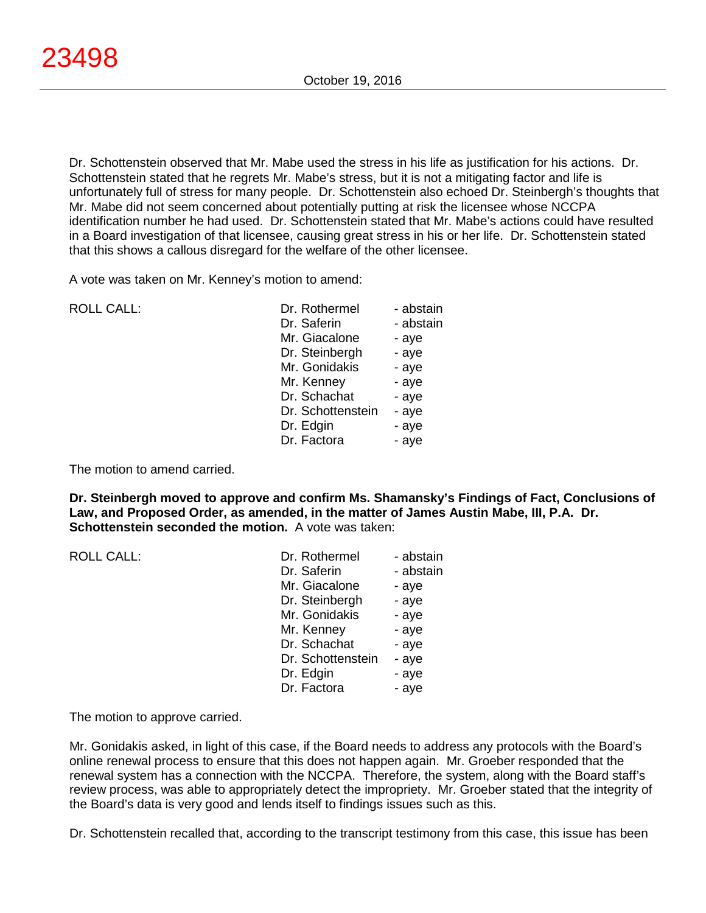Dr. Schottenstein observed that Mr. Mabe used the stress in his life as justification for his actions. Dr. Schottenstein stated that he regrets Mr. Mabe's stress, but it is not a mitigating factor and life is unfortunately full of stress for many people. Dr. Schottenstein also echoed Dr. Steinbergh's thoughts that Mr. Mabe did not seem concerned about potentially putting at risk the licensee whose NCCPA identification number he had used. Dr. Schottenstein stated that Mr. Mabe's actions could have resulted in a Board investigation of that licensee, causing great stress in his or her life. Dr. Schottenstein stated that this shows a callous disregard for the welfare of the other licensee.

A vote was taken on Mr. Kenney's motion to amend:

| <b>ROLL CALL:</b> |  |
|-------------------|--|
|                   |  |

| ROLL CALL: | Dr. Rothermel     | - abstain |
|------------|-------------------|-----------|
|            | Dr. Saferin       | - abstain |
|            | Mr. Giacalone     | - aye     |
|            | Dr. Steinbergh    | - aye     |
|            | Mr. Gonidakis     | - aye     |
|            | Mr. Kenney        | - aye     |
|            | Dr. Schachat      | - aye     |
|            | Dr. Schottenstein | - aye     |
|            | Dr. Edgin         | - aye     |
|            | Dr. Factora       | - aye     |

The motion to amend carried.

**Dr. Steinbergh moved to approve and confirm Ms. Shamansky's Findings of Fact, Conclusions of Law, and Proposed Order, as amended, in the matter of James Austin Mabe, III, P.A. Dr. Schottenstein seconded the motion.** A vote was taken:

| <b>ROLL CALL:</b> | Dr. Rothermel     | - abstain |
|-------------------|-------------------|-----------|
|                   | Dr. Saferin       | - abstain |
|                   | Mr. Giacalone     | - aye     |
|                   | Dr. Steinbergh    | - aye     |
|                   | Mr. Gonidakis     | - aye     |
|                   | Mr. Kenney        | - aye     |
|                   | Dr. Schachat      | - aye     |
|                   | Dr. Schottenstein | - aye     |
|                   | Dr. Edgin         | - aye     |
|                   | Dr. Factora       | - aye     |

The motion to approve carried.

Mr. Gonidakis asked, in light of this case, if the Board needs to address any protocols with the Board's online renewal process to ensure that this does not happen again. Mr. Groeber responded that the renewal system has a connection with the NCCPA. Therefore, the system, along with the Board staff's review process, was able to appropriately detect the impropriety. Mr. Groeber stated that the integrity of the Board's data is very good and lends itself to findings issues such as this.

Dr. Schottenstein recalled that, according to the transcript testimony from this case, this issue has been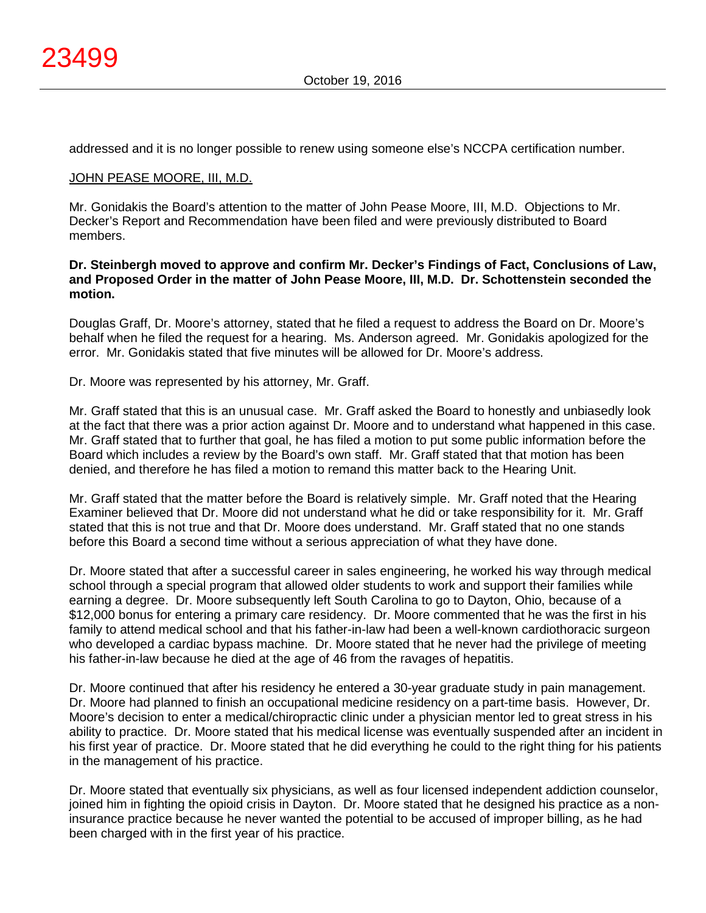addressed and it is no longer possible to renew using someone else's NCCPA certification number.

#### JOHN PEASE MOORE, III, M.D.

Mr. Gonidakis the Board's attention to the matter of John Pease Moore, III, M.D. Objections to Mr. Decker's Report and Recommendation have been filed and were previously distributed to Board members.

### **Dr. Steinbergh moved to approve and confirm Mr. Decker's Findings of Fact, Conclusions of Law, and Proposed Order in the matter of John Pease Moore, III, M.D. Dr. Schottenstein seconded the motion.**

Douglas Graff, Dr. Moore's attorney, stated that he filed a request to address the Board on Dr. Moore's behalf when he filed the request for a hearing. Ms. Anderson agreed. Mr. Gonidakis apologized for the error. Mr. Gonidakis stated that five minutes will be allowed for Dr. Moore's address.

Dr. Moore was represented by his attorney, Mr. Graff.

Mr. Graff stated that this is an unusual case. Mr. Graff asked the Board to honestly and unbiasedly look at the fact that there was a prior action against Dr. Moore and to understand what happened in this case. Mr. Graff stated that to further that goal, he has filed a motion to put some public information before the Board which includes a review by the Board's own staff. Mr. Graff stated that that motion has been denied, and therefore he has filed a motion to remand this matter back to the Hearing Unit.

Mr. Graff stated that the matter before the Board is relatively simple. Mr. Graff noted that the Hearing Examiner believed that Dr. Moore did not understand what he did or take responsibility for it. Mr. Graff stated that this is not true and that Dr. Moore does understand. Mr. Graff stated that no one stands before this Board a second time without a serious appreciation of what they have done.

Dr. Moore stated that after a successful career in sales engineering, he worked his way through medical school through a special program that allowed older students to work and support their families while earning a degree. Dr. Moore subsequently left South Carolina to go to Dayton, Ohio, because of a \$12,000 bonus for entering a primary care residency. Dr. Moore commented that he was the first in his family to attend medical school and that his father-in-law had been a well-known cardiothoracic surgeon who developed a cardiac bypass machine. Dr. Moore stated that he never had the privilege of meeting his father-in-law because he died at the age of 46 from the ravages of hepatitis.

Dr. Moore continued that after his residency he entered a 30-year graduate study in pain management. Dr. Moore had planned to finish an occupational medicine residency on a part-time basis. However, Dr. Moore's decision to enter a medical/chiropractic clinic under a physician mentor led to great stress in his ability to practice. Dr. Moore stated that his medical license was eventually suspended after an incident in his first year of practice. Dr. Moore stated that he did everything he could to the right thing for his patients in the management of his practice.

Dr. Moore stated that eventually six physicians, as well as four licensed independent addiction counselor, joined him in fighting the opioid crisis in Dayton. Dr. Moore stated that he designed his practice as a noninsurance practice because he never wanted the potential to be accused of improper billing, as he had been charged with in the first year of his practice.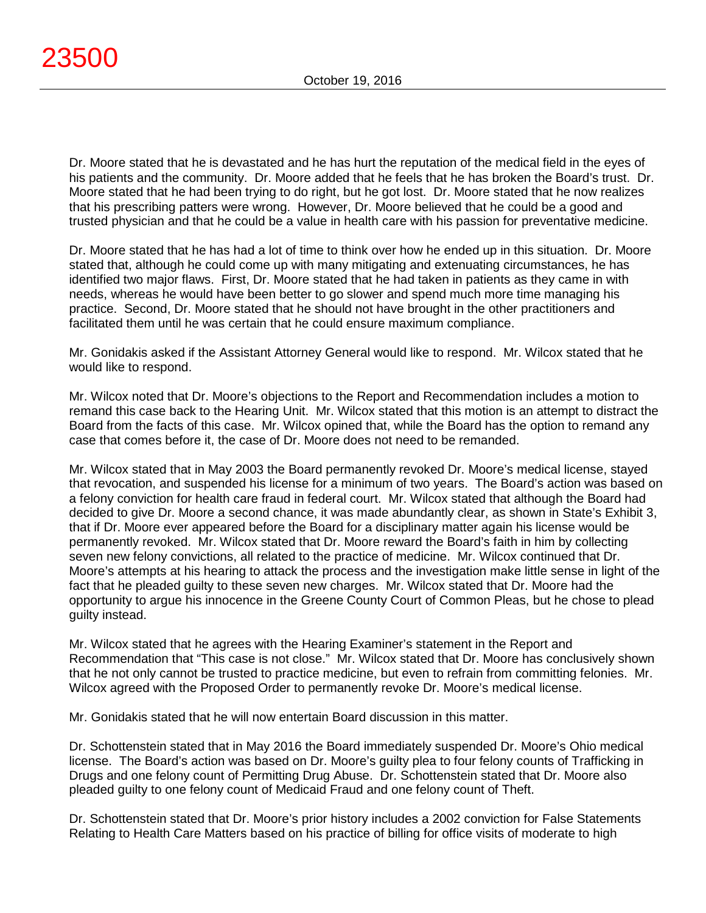Dr. Moore stated that he is devastated and he has hurt the reputation of the medical field in the eyes of his patients and the community. Dr. Moore added that he feels that he has broken the Board's trust. Dr. Moore stated that he had been trying to do right, but he got lost. Dr. Moore stated that he now realizes that his prescribing patters were wrong. However, Dr. Moore believed that he could be a good and trusted physician and that he could be a value in health care with his passion for preventative medicine.

Dr. Moore stated that he has had a lot of time to think over how he ended up in this situation. Dr. Moore stated that, although he could come up with many mitigating and extenuating circumstances, he has identified two major flaws. First, Dr. Moore stated that he had taken in patients as they came in with needs, whereas he would have been better to go slower and spend much more time managing his practice. Second, Dr. Moore stated that he should not have brought in the other practitioners and facilitated them until he was certain that he could ensure maximum compliance.

Mr. Gonidakis asked if the Assistant Attorney General would like to respond. Mr. Wilcox stated that he would like to respond.

Mr. Wilcox noted that Dr. Moore's objections to the Report and Recommendation includes a motion to remand this case back to the Hearing Unit. Mr. Wilcox stated that this motion is an attempt to distract the Board from the facts of this case. Mr. Wilcox opined that, while the Board has the option to remand any case that comes before it, the case of Dr. Moore does not need to be remanded.

Mr. Wilcox stated that in May 2003 the Board permanently revoked Dr. Moore's medical license, stayed that revocation, and suspended his license for a minimum of two years. The Board's action was based on a felony conviction for health care fraud in federal court. Mr. Wilcox stated that although the Board had decided to give Dr. Moore a second chance, it was made abundantly clear, as shown in State's Exhibit 3, that if Dr. Moore ever appeared before the Board for a disciplinary matter again his license would be permanently revoked. Mr. Wilcox stated that Dr. Moore reward the Board's faith in him by collecting seven new felony convictions, all related to the practice of medicine. Mr. Wilcox continued that Dr. Moore's attempts at his hearing to attack the process and the investigation make little sense in light of the fact that he pleaded guilty to these seven new charges. Mr. Wilcox stated that Dr. Moore had the opportunity to argue his innocence in the Greene County Court of Common Pleas, but he chose to plead guilty instead.

Mr. Wilcox stated that he agrees with the Hearing Examiner's statement in the Report and Recommendation that "This case is not close." Mr. Wilcox stated that Dr. Moore has conclusively shown that he not only cannot be trusted to practice medicine, but even to refrain from committing felonies. Mr. Wilcox agreed with the Proposed Order to permanently revoke Dr. Moore's medical license.

Mr. Gonidakis stated that he will now entertain Board discussion in this matter.

Dr. Schottenstein stated that in May 2016 the Board immediately suspended Dr. Moore's Ohio medical license. The Board's action was based on Dr. Moore's guilty plea to four felony counts of Trafficking in Drugs and one felony count of Permitting Drug Abuse. Dr. Schottenstein stated that Dr. Moore also pleaded guilty to one felony count of Medicaid Fraud and one felony count of Theft.

Dr. Schottenstein stated that Dr. Moore's prior history includes a 2002 conviction for False Statements Relating to Health Care Matters based on his practice of billing for office visits of moderate to high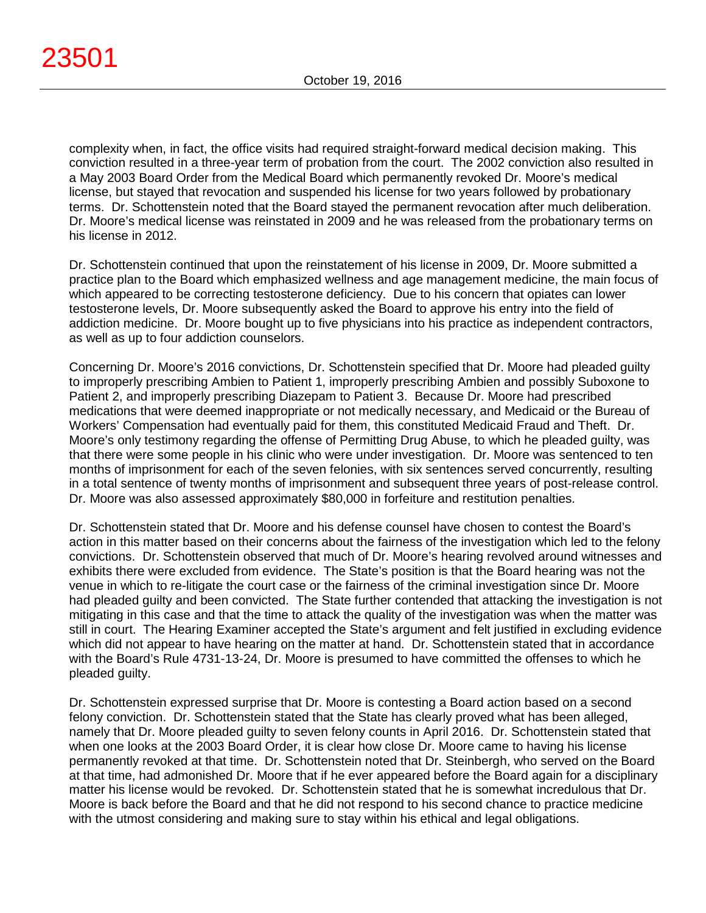complexity when, in fact, the office visits had required straight-forward medical decision making. This conviction resulted in a three-year term of probation from the court. The 2002 conviction also resulted in a May 2003 Board Order from the Medical Board which permanently revoked Dr. Moore's medical license, but stayed that revocation and suspended his license for two years followed by probationary terms. Dr. Schottenstein noted that the Board stayed the permanent revocation after much deliberation. Dr. Moore's medical license was reinstated in 2009 and he was released from the probationary terms on his license in 2012.

Dr. Schottenstein continued that upon the reinstatement of his license in 2009, Dr. Moore submitted a practice plan to the Board which emphasized wellness and age management medicine, the main focus of which appeared to be correcting testosterone deficiency. Due to his concern that opiates can lower testosterone levels, Dr. Moore subsequently asked the Board to approve his entry into the field of addiction medicine. Dr. Moore bought up to five physicians into his practice as independent contractors, as well as up to four addiction counselors.

Concerning Dr. Moore's 2016 convictions, Dr. Schottenstein specified that Dr. Moore had pleaded guilty to improperly prescribing Ambien to Patient 1, improperly prescribing Ambien and possibly Suboxone to Patient 2, and improperly prescribing Diazepam to Patient 3. Because Dr. Moore had prescribed medications that were deemed inappropriate or not medically necessary, and Medicaid or the Bureau of Workers' Compensation had eventually paid for them, this constituted Medicaid Fraud and Theft. Dr. Moore's only testimony regarding the offense of Permitting Drug Abuse, to which he pleaded guilty, was that there were some people in his clinic who were under investigation. Dr. Moore was sentenced to ten months of imprisonment for each of the seven felonies, with six sentences served concurrently, resulting in a total sentence of twenty months of imprisonment and subsequent three years of post-release control. Dr. Moore was also assessed approximately \$80,000 in forfeiture and restitution penalties.

Dr. Schottenstein stated that Dr. Moore and his defense counsel have chosen to contest the Board's action in this matter based on their concerns about the fairness of the investigation which led to the felony convictions. Dr. Schottenstein observed that much of Dr. Moore's hearing revolved around witnesses and exhibits there were excluded from evidence. The State's position is that the Board hearing was not the venue in which to re-litigate the court case or the fairness of the criminal investigation since Dr. Moore had pleaded guilty and been convicted. The State further contended that attacking the investigation is not mitigating in this case and that the time to attack the quality of the investigation was when the matter was still in court. The Hearing Examiner accepted the State's argument and felt justified in excluding evidence which did not appear to have hearing on the matter at hand. Dr. Schottenstein stated that in accordance with the Board's Rule 4731-13-24, Dr. Moore is presumed to have committed the offenses to which he pleaded guilty.

Dr. Schottenstein expressed surprise that Dr. Moore is contesting a Board action based on a second felony conviction. Dr. Schottenstein stated that the State has clearly proved what has been alleged, namely that Dr. Moore pleaded guilty to seven felony counts in April 2016. Dr. Schottenstein stated that when one looks at the 2003 Board Order, it is clear how close Dr. Moore came to having his license permanently revoked at that time. Dr. Schottenstein noted that Dr. Steinbergh, who served on the Board at that time, had admonished Dr. Moore that if he ever appeared before the Board again for a disciplinary matter his license would be revoked. Dr. Schottenstein stated that he is somewhat incredulous that Dr. Moore is back before the Board and that he did not respond to his second chance to practice medicine with the utmost considering and making sure to stay within his ethical and legal obligations.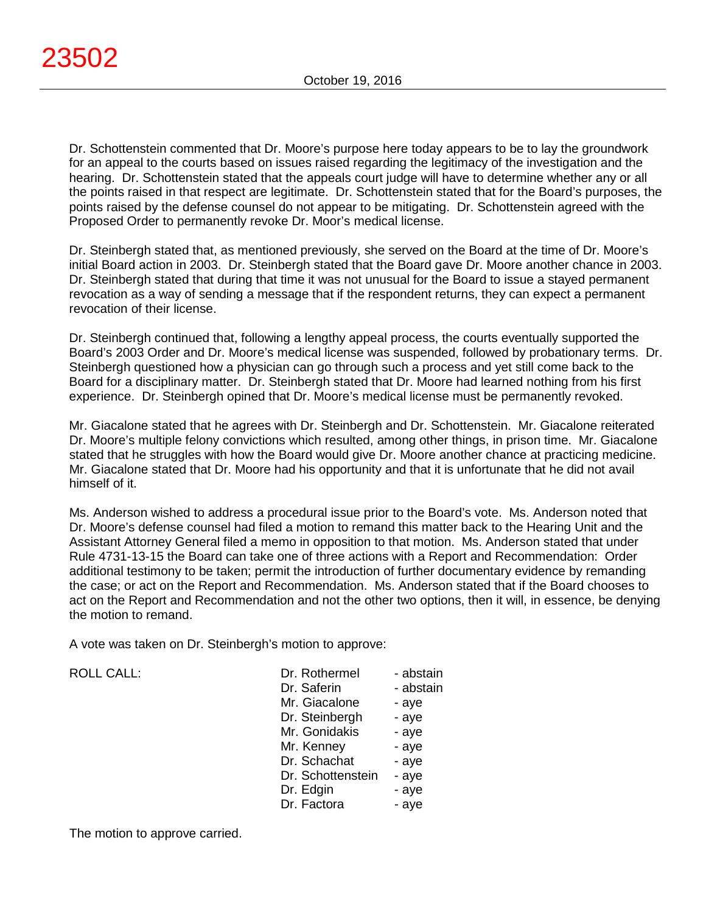Dr. Schottenstein commented that Dr. Moore's purpose here today appears to be to lay the groundwork for an appeal to the courts based on issues raised regarding the legitimacy of the investigation and the hearing. Dr. Schottenstein stated that the appeals court judge will have to determine whether any or all the points raised in that respect are legitimate. Dr. Schottenstein stated that for the Board's purposes, the points raised by the defense counsel do not appear to be mitigating. Dr. Schottenstein agreed with the Proposed Order to permanently revoke Dr. Moor's medical license.

Dr. Steinbergh stated that, as mentioned previously, she served on the Board at the time of Dr. Moore's initial Board action in 2003. Dr. Steinbergh stated that the Board gave Dr. Moore another chance in 2003. Dr. Steinbergh stated that during that time it was not unusual for the Board to issue a stayed permanent revocation as a way of sending a message that if the respondent returns, they can expect a permanent revocation of their license.

Dr. Steinbergh continued that, following a lengthy appeal process, the courts eventually supported the Board's 2003 Order and Dr. Moore's medical license was suspended, followed by probationary terms. Dr. Steinbergh questioned how a physician can go through such a process and yet still come back to the Board for a disciplinary matter. Dr. Steinbergh stated that Dr. Moore had learned nothing from his first experience. Dr. Steinbergh opined that Dr. Moore's medical license must be permanently revoked.

Mr. Giacalone stated that he agrees with Dr. Steinbergh and Dr. Schottenstein. Mr. Giacalone reiterated Dr. Moore's multiple felony convictions which resulted, among other things, in prison time. Mr. Giacalone stated that he struggles with how the Board would give Dr. Moore another chance at practicing medicine. Mr. Giacalone stated that Dr. Moore had his opportunity and that it is unfortunate that he did not avail himself of it.

Ms. Anderson wished to address a procedural issue prior to the Board's vote. Ms. Anderson noted that Dr. Moore's defense counsel had filed a motion to remand this matter back to the Hearing Unit and the Assistant Attorney General filed a memo in opposition to that motion. Ms. Anderson stated that under Rule 4731-13-15 the Board can take one of three actions with a Report and Recommendation: Order additional testimony to be taken; permit the introduction of further documentary evidence by remanding the case; or act on the Report and Recommendation. Ms. Anderson stated that if the Board chooses to act on the Report and Recommendation and not the other two options, then it will, in essence, be denying the motion to remand.

A vote was taken on Dr. Steinbergh's motion to approve:

| <b>ROLL CALL:</b> |  |
|-------------------|--|
|                   |  |
|                   |  |

| <b>ROLL CALL:</b> | Dr. Rothermel     | - abstain |
|-------------------|-------------------|-----------|
|                   | Dr. Saferin       | - abstain |
|                   | Mr. Giacalone     | - aye     |
|                   | Dr. Steinbergh    | - aye     |
|                   | Mr. Gonidakis     | - aye     |
|                   | Mr. Kenney        | - aye     |
|                   | Dr. Schachat      | - aye     |
|                   | Dr. Schottenstein | - aye     |
|                   | Dr. Edgin         | - aye     |
|                   | Dr. Factora       | - aye     |
|                   |                   |           |

The motion to approve carried.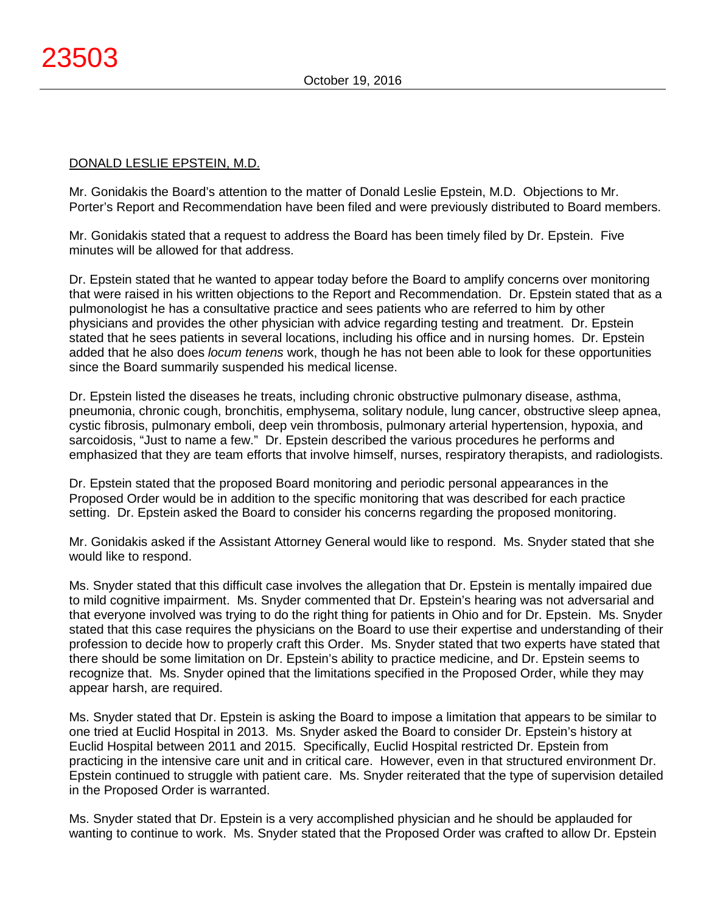# DONALD LESLIE EPSTEIN, M.D.

Mr. Gonidakis the Board's attention to the matter of Donald Leslie Epstein, M.D. Objections to Mr. Porter's Report and Recommendation have been filed and were previously distributed to Board members.

Mr. Gonidakis stated that a request to address the Board has been timely filed by Dr. Epstein. Five minutes will be allowed for that address.

Dr. Epstein stated that he wanted to appear today before the Board to amplify concerns over monitoring that were raised in his written objections to the Report and Recommendation. Dr. Epstein stated that as a pulmonologist he has a consultative practice and sees patients who are referred to him by other physicians and provides the other physician with advice regarding testing and treatment. Dr. Epstein stated that he sees patients in several locations, including his office and in nursing homes. Dr. Epstein added that he also does *locum tenens* work, though he has not been able to look for these opportunities since the Board summarily suspended his medical license.

Dr. Epstein listed the diseases he treats, including chronic obstructive pulmonary disease, asthma, pneumonia, chronic cough, bronchitis, emphysema, solitary nodule, lung cancer, obstructive sleep apnea, cystic fibrosis, pulmonary emboli, deep vein thrombosis, pulmonary arterial hypertension, hypoxia, and sarcoidosis, "Just to name a few." Dr. Epstein described the various procedures he performs and emphasized that they are team efforts that involve himself, nurses, respiratory therapists, and radiologists.

Dr. Epstein stated that the proposed Board monitoring and periodic personal appearances in the Proposed Order would be in addition to the specific monitoring that was described for each practice setting. Dr. Epstein asked the Board to consider his concerns regarding the proposed monitoring.

Mr. Gonidakis asked if the Assistant Attorney General would like to respond. Ms. Snyder stated that she would like to respond.

Ms. Snyder stated that this difficult case involves the allegation that Dr. Epstein is mentally impaired due to mild cognitive impairment. Ms. Snyder commented that Dr. Epstein's hearing was not adversarial and that everyone involved was trying to do the right thing for patients in Ohio and for Dr. Epstein. Ms. Snyder stated that this case requires the physicians on the Board to use their expertise and understanding of their profession to decide how to properly craft this Order. Ms. Snyder stated that two experts have stated that there should be some limitation on Dr. Epstein's ability to practice medicine, and Dr. Epstein seems to recognize that. Ms. Snyder opined that the limitations specified in the Proposed Order, while they may appear harsh, are required.

Ms. Snyder stated that Dr. Epstein is asking the Board to impose a limitation that appears to be similar to one tried at Euclid Hospital in 2013. Ms. Snyder asked the Board to consider Dr. Epstein's history at Euclid Hospital between 2011 and 2015. Specifically, Euclid Hospital restricted Dr. Epstein from practicing in the intensive care unit and in critical care. However, even in that structured environment Dr. Epstein continued to struggle with patient care. Ms. Snyder reiterated that the type of supervision detailed in the Proposed Order is warranted.

Ms. Snyder stated that Dr. Epstein is a very accomplished physician and he should be applauded for wanting to continue to work. Ms. Snyder stated that the Proposed Order was crafted to allow Dr. Epstein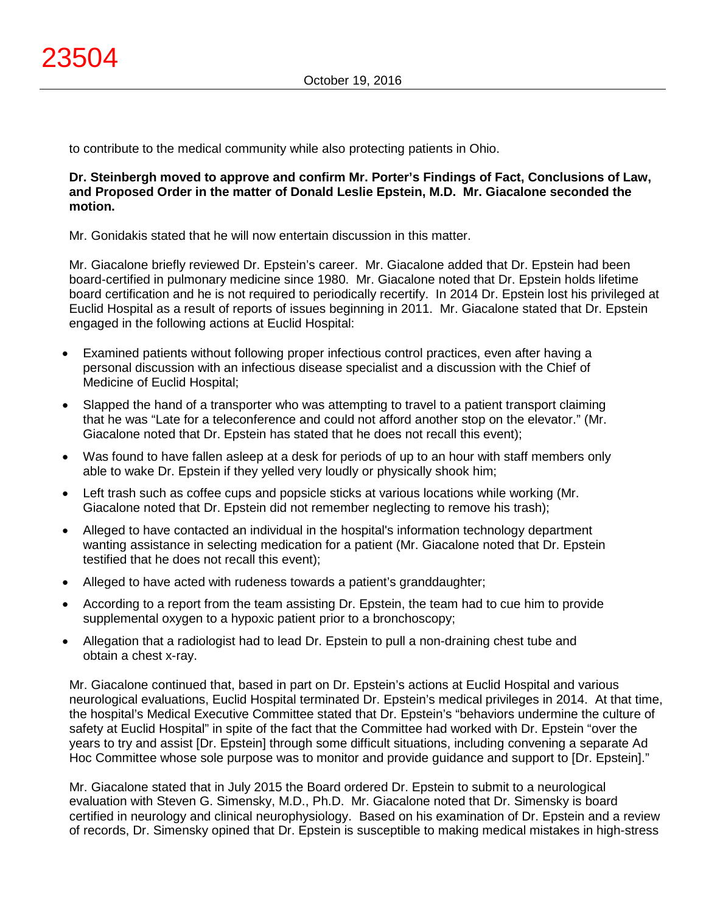to contribute to the medical community while also protecting patients in Ohio.

# **Dr. Steinbergh moved to approve and confirm Mr. Porter's Findings of Fact, Conclusions of Law, and Proposed Order in the matter of Donald Leslie Epstein, M.D. Mr. Giacalone seconded the motion.**

Mr. Gonidakis stated that he will now entertain discussion in this matter.

Mr. Giacalone briefly reviewed Dr. Epstein's career. Mr. Giacalone added that Dr. Epstein had been board-certified in pulmonary medicine since 1980. Mr. Giacalone noted that Dr. Epstein holds lifetime board certification and he is not required to periodically recertify. In 2014 Dr. Epstein lost his privileged at Euclid Hospital as a result of reports of issues beginning in 2011. Mr. Giacalone stated that Dr. Epstein engaged in the following actions at Euclid Hospital:

- Examined patients without following proper infectious control practices, even after having a personal discussion with an infectious disease specialist and a discussion with the Chief of Medicine of Euclid Hospital;
- Slapped the hand of a transporter who was attempting to travel to a patient transport claiming that he was "Late for a teleconference and could not afford another stop on the elevator." (Mr. Giacalone noted that Dr. Epstein has stated that he does not recall this event);
- Was found to have fallen asleep at a desk for periods of up to an hour with staff members only able to wake Dr. Epstein if they yelled very loudly or physically shook him;
- Left trash such as coffee cups and popsicle sticks at various locations while working (Mr. Giacalone noted that Dr. Epstein did not remember neglecting to remove his trash);
- Alleged to have contacted an individual in the hospital's information technology department wanting assistance in selecting medication for a patient (Mr. Giacalone noted that Dr. Epstein testified that he does not recall this event);
- Alleged to have acted with rudeness towards a patient's granddaughter;
- According to a report from the team assisting Dr. Epstein, the team had to cue him to provide supplemental oxygen to a hypoxic patient prior to a bronchoscopy;
- Allegation that a radiologist had to lead Dr. Epstein to pull a non-draining chest tube and obtain a chest x-ray.

Mr. Giacalone continued that, based in part on Dr. Epstein's actions at Euclid Hospital and various neurological evaluations, Euclid Hospital terminated Dr. Epstein's medical privileges in 2014. At that time, the hospital's Medical Executive Committee stated that Dr. Epstein's "behaviors undermine the culture of safety at Euclid Hospital" in spite of the fact that the Committee had worked with Dr. Epstein "over the years to try and assist [Dr. Epstein] through some difficult situations, including convening a separate Ad Hoc Committee whose sole purpose was to monitor and provide guidance and support to [Dr. Epstein]."

Mr. Giacalone stated that in July 2015 the Board ordered Dr. Epstein to submit to a neurological evaluation with Steven G. Simensky, M.D., Ph.D. Mr. Giacalone noted that Dr. Simensky is board certified in neurology and clinical neurophysiology. Based on his examination of Dr. Epstein and a review of records, Dr. Simensky opined that Dr. Epstein is susceptible to making medical mistakes in high-stress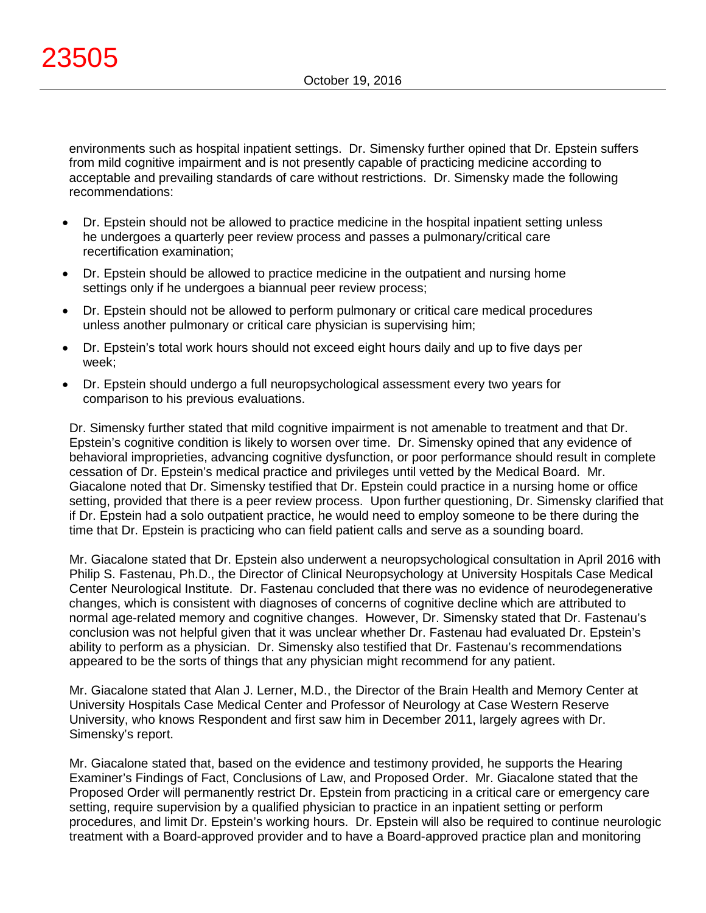environments such as hospital inpatient settings. Dr. Simensky further opined that Dr. Epstein suffers from mild cognitive impairment and is not presently capable of practicing medicine according to acceptable and prevailing standards of care without restrictions. Dr. Simensky made the following recommendations:

- Dr. Epstein should not be allowed to practice medicine in the hospital inpatient setting unless he undergoes a quarterly peer review process and passes a pulmonary/critical care recertification examination;
- Dr. Epstein should be allowed to practice medicine in the outpatient and nursing home settings only if he undergoes a biannual peer review process;
- Dr. Epstein should not be allowed to perform pulmonary or critical care medical procedures unless another pulmonary or critical care physician is supervising him;
- Dr. Epstein's total work hours should not exceed eight hours daily and up to five days per week;
- Dr. Epstein should undergo a full neuropsychological assessment every two years for comparison to his previous evaluations.

Dr. Simensky further stated that mild cognitive impairment is not amenable to treatment and that Dr. Epstein's cognitive condition is likely to worsen over time. Dr. Simensky opined that any evidence of behavioral improprieties, advancing cognitive dysfunction, or poor performance should result in complete cessation of Dr. Epstein's medical practice and privileges until vetted by the Medical Board. Mr. Giacalone noted that Dr. Simensky testified that Dr. Epstein could practice in a nursing home or office setting, provided that there is a peer review process. Upon further questioning, Dr. Simensky clarified that if Dr. Epstein had a solo outpatient practice, he would need to employ someone to be there during the time that Dr. Epstein is practicing who can field patient calls and serve as a sounding board.

Mr. Giacalone stated that Dr. Epstein also underwent a neuropsychological consultation in April 2016 with Philip S. Fastenau, Ph.D., the Director of Clinical Neuropsychology at University Hospitals Case Medical Center Neurological Institute. Dr. Fastenau concluded that there was no evidence of neurodegenerative changes, which is consistent with diagnoses of concerns of cognitive decline which are attributed to normal age-related memory and cognitive changes. However, Dr. Simensky stated that Dr. Fastenau's conclusion was not helpful given that it was unclear whether Dr. Fastenau had evaluated Dr. Epstein's ability to perform as a physician. Dr. Simensky also testified that Dr. Fastenau's recommendations appeared to be the sorts of things that any physician might recommend for any patient.

Mr. Giacalone stated that Alan J. Lerner, M.D., the Director of the Brain Health and Memory Center at University Hospitals Case Medical Center and Professor of Neurology at Case Western Reserve University, who knows Respondent and first saw him in December 2011, largely agrees with Dr. Simensky's report.

Mr. Giacalone stated that, based on the evidence and testimony provided, he supports the Hearing Examiner's Findings of Fact, Conclusions of Law, and Proposed Order. Mr. Giacalone stated that the Proposed Order will permanently restrict Dr. Epstein from practicing in a critical care or emergency care setting, require supervision by a qualified physician to practice in an inpatient setting or perform procedures, and limit Dr. Epstein's working hours. Dr. Epstein will also be required to continue neurologic treatment with a Board-approved provider and to have a Board-approved practice plan and monitoring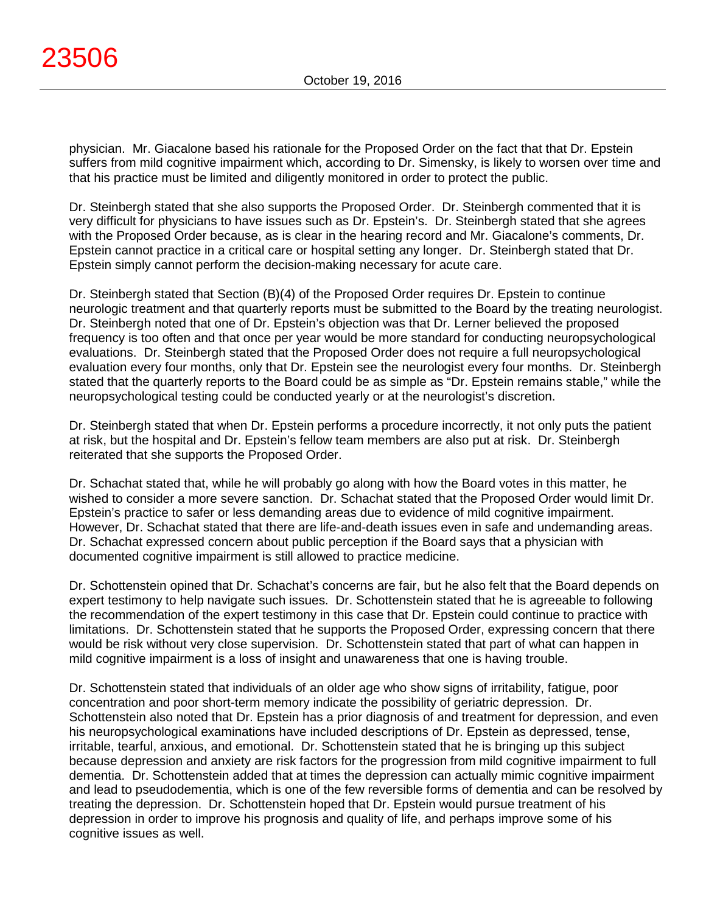physician. Mr. Giacalone based his rationale for the Proposed Order on the fact that that Dr. Epstein suffers from mild cognitive impairment which, according to Dr. Simensky, is likely to worsen over time and that his practice must be limited and diligently monitored in order to protect the public.

Dr. Steinbergh stated that she also supports the Proposed Order. Dr. Steinbergh commented that it is very difficult for physicians to have issues such as Dr. Epstein's. Dr. Steinbergh stated that she agrees with the Proposed Order because, as is clear in the hearing record and Mr. Giacalone's comments, Dr. Epstein cannot practice in a critical care or hospital setting any longer. Dr. Steinbergh stated that Dr. Epstein simply cannot perform the decision-making necessary for acute care.

Dr. Steinbergh stated that Section (B)(4) of the Proposed Order requires Dr. Epstein to continue neurologic treatment and that quarterly reports must be submitted to the Board by the treating neurologist. Dr. Steinbergh noted that one of Dr. Epstein's objection was that Dr. Lerner believed the proposed frequency is too often and that once per year would be more standard for conducting neuropsychological evaluations. Dr. Steinbergh stated that the Proposed Order does not require a full neuropsychological evaluation every four months, only that Dr. Epstein see the neurologist every four months. Dr. Steinbergh stated that the quarterly reports to the Board could be as simple as "Dr. Epstein remains stable," while the neuropsychological testing could be conducted yearly or at the neurologist's discretion.

Dr. Steinbergh stated that when Dr. Epstein performs a procedure incorrectly, it not only puts the patient at risk, but the hospital and Dr. Epstein's fellow team members are also put at risk. Dr. Steinbergh reiterated that she supports the Proposed Order.

Dr. Schachat stated that, while he will probably go along with how the Board votes in this matter, he wished to consider a more severe sanction. Dr. Schachat stated that the Proposed Order would limit Dr. Epstein's practice to safer or less demanding areas due to evidence of mild cognitive impairment. However, Dr. Schachat stated that there are life-and-death issues even in safe and undemanding areas. Dr. Schachat expressed concern about public perception if the Board says that a physician with documented cognitive impairment is still allowed to practice medicine.

Dr. Schottenstein opined that Dr. Schachat's concerns are fair, but he also felt that the Board depends on expert testimony to help navigate such issues. Dr. Schottenstein stated that he is agreeable to following the recommendation of the expert testimony in this case that Dr. Epstein could continue to practice with limitations. Dr. Schottenstein stated that he supports the Proposed Order, expressing concern that there would be risk without very close supervision. Dr. Schottenstein stated that part of what can happen in mild cognitive impairment is a loss of insight and unawareness that one is having trouble.

Dr. Schottenstein stated that individuals of an older age who show signs of irritability, fatigue, poor concentration and poor short-term memory indicate the possibility of geriatric depression. Dr. Schottenstein also noted that Dr. Epstein has a prior diagnosis of and treatment for depression, and even his neuropsychological examinations have included descriptions of Dr. Epstein as depressed, tense, irritable, tearful, anxious, and emotional. Dr. Schottenstein stated that he is bringing up this subject because depression and anxiety are risk factors for the progression from mild cognitive impairment to full dementia. Dr. Schottenstein added that at times the depression can actually mimic cognitive impairment and lead to pseudodementia, which is one of the few reversible forms of dementia and can be resolved by treating the depression. Dr. Schottenstein hoped that Dr. Epstein would pursue treatment of his depression in order to improve his prognosis and quality of life, and perhaps improve some of his cognitive issues as well.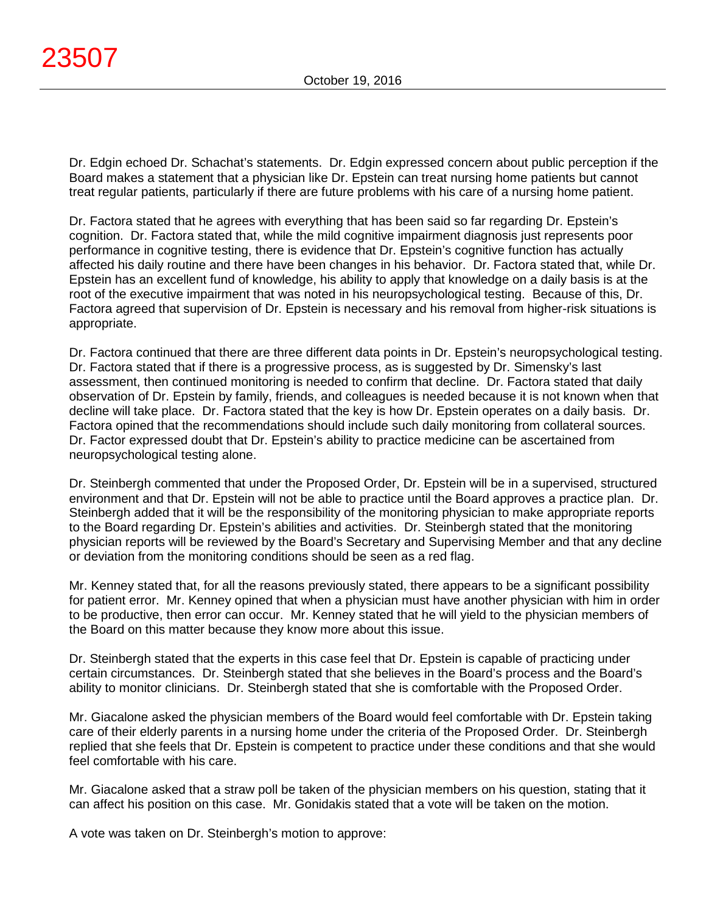Dr. Edgin echoed Dr. Schachat's statements. Dr. Edgin expressed concern about public perception if the Board makes a statement that a physician like Dr. Epstein can treat nursing home patients but cannot treat regular patients, particularly if there are future problems with his care of a nursing home patient.

Dr. Factora stated that he agrees with everything that has been said so far regarding Dr. Epstein's cognition. Dr. Factora stated that, while the mild cognitive impairment diagnosis just represents poor performance in cognitive testing, there is evidence that Dr. Epstein's cognitive function has actually affected his daily routine and there have been changes in his behavior. Dr. Factora stated that, while Dr. Epstein has an excellent fund of knowledge, his ability to apply that knowledge on a daily basis is at the root of the executive impairment that was noted in his neuropsychological testing. Because of this, Dr. Factora agreed that supervision of Dr. Epstein is necessary and his removal from higher-risk situations is appropriate.

Dr. Factora continued that there are three different data points in Dr. Epstein's neuropsychological testing. Dr. Factora stated that if there is a progressive process, as is suggested by Dr. Simensky's last assessment, then continued monitoring is needed to confirm that decline. Dr. Factora stated that daily observation of Dr. Epstein by family, friends, and colleagues is needed because it is not known when that decline will take place. Dr. Factora stated that the key is how Dr. Epstein operates on a daily basis. Dr. Factora opined that the recommendations should include such daily monitoring from collateral sources. Dr. Factor expressed doubt that Dr. Epstein's ability to practice medicine can be ascertained from neuropsychological testing alone.

Dr. Steinbergh commented that under the Proposed Order, Dr. Epstein will be in a supervised, structured environment and that Dr. Epstein will not be able to practice until the Board approves a practice plan. Dr. Steinbergh added that it will be the responsibility of the monitoring physician to make appropriate reports to the Board regarding Dr. Epstein's abilities and activities. Dr. Steinbergh stated that the monitoring physician reports will be reviewed by the Board's Secretary and Supervising Member and that any decline or deviation from the monitoring conditions should be seen as a red flag.

Mr. Kenney stated that, for all the reasons previously stated, there appears to be a significant possibility for patient error. Mr. Kenney opined that when a physician must have another physician with him in order to be productive, then error can occur. Mr. Kenney stated that he will yield to the physician members of the Board on this matter because they know more about this issue.

Dr. Steinbergh stated that the experts in this case feel that Dr. Epstein is capable of practicing under certain circumstances. Dr. Steinbergh stated that she believes in the Board's process and the Board's ability to monitor clinicians. Dr. Steinbergh stated that she is comfortable with the Proposed Order.

Mr. Giacalone asked the physician members of the Board would feel comfortable with Dr. Epstein taking care of their elderly parents in a nursing home under the criteria of the Proposed Order. Dr. Steinbergh replied that she feels that Dr. Epstein is competent to practice under these conditions and that she would feel comfortable with his care.

Mr. Giacalone asked that a straw poll be taken of the physician members on his question, stating that it can affect his position on this case. Mr. Gonidakis stated that a vote will be taken on the motion.

A vote was taken on Dr. Steinbergh's motion to approve: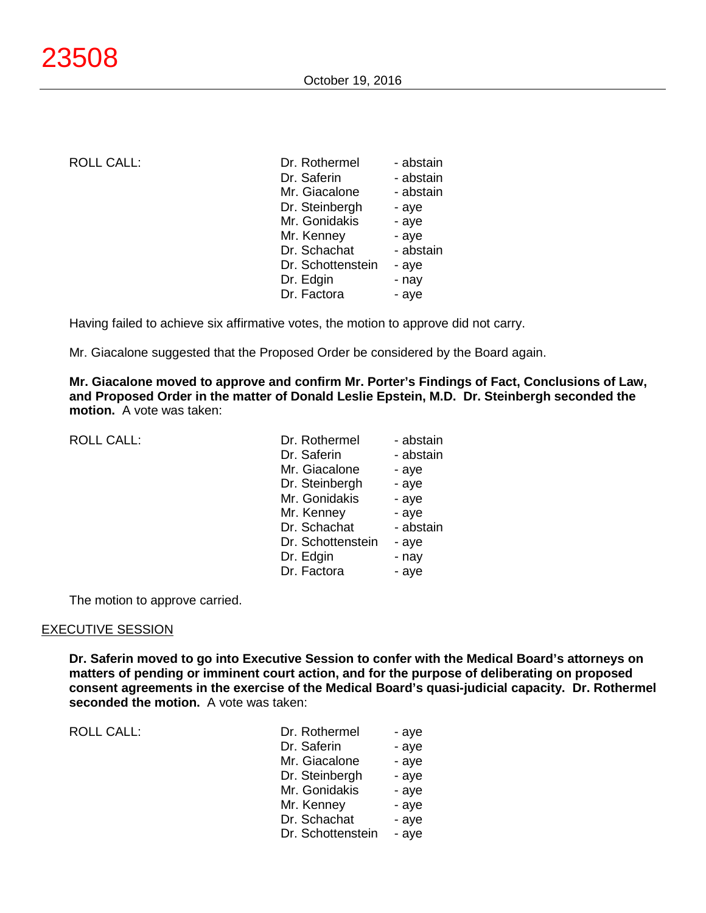ROLL CALL:

| Dr. Rothermel     | - abstain |
|-------------------|-----------|
| Dr. Saferin       | - abstain |
| Mr. Giacalone     | - abstain |
| Dr. Steinbergh    | - aye     |
| Mr. Gonidakis     | - aye     |
| Mr. Kenney        | - aye     |
| Dr. Schachat      | - abstain |
| Dr. Schottenstein | - aye     |
| Dr. Edgin         | - nay     |
| Dr. Factora       | - aye     |
|                   |           |

Having failed to achieve six affirmative votes, the motion to approve did not carry.

Mr. Giacalone suggested that the Proposed Order be considered by the Board again.

**Mr. Giacalone moved to approve and confirm Mr. Porter's Findings of Fact, Conclusions of Law, and Proposed Order in the matter of Donald Leslie Epstein, M.D. Dr. Steinbergh seconded the motion.** A vote was taken:

ROLL CALL:

| Dr. Rothermel     | - abstain |
|-------------------|-----------|
| Dr. Saferin       | - abstain |
| Mr. Giacalone     | - aye     |
| Dr. Steinbergh    | - aye     |
| Mr. Gonidakis     | - aye     |
| Mr. Kenney        | - aye     |
| Dr. Schachat      | - abstain |
| Dr. Schottenstein | - aye     |
| Dr. Edgin         | - nay     |
| Dr. Factora       | - aye     |

The motion to approve carried.

#### EXECUTIVE SESSION

**Dr. Saferin moved to go into Executive Session to confer with the Medical Board's attorneys on matters of pending or imminent court action, and for the purpose of deliberating on proposed consent agreements in the exercise of the Medical Board's quasi-judicial capacity. Dr. Rothermel seconded the motion.** A vote was taken:

ROLL CALL: T

| Dr. Rothermel     | - aye |
|-------------------|-------|
| Dr. Saferin       | - aye |
| Mr. Giacalone     | - aye |
| Dr. Steinbergh    | - aye |
| Mr. Gonidakis     | - aye |
| Mr. Kenney        | - aye |
| Dr. Schachat      | - aye |
| Dr. Schottenstein | - aye |
|                   |       |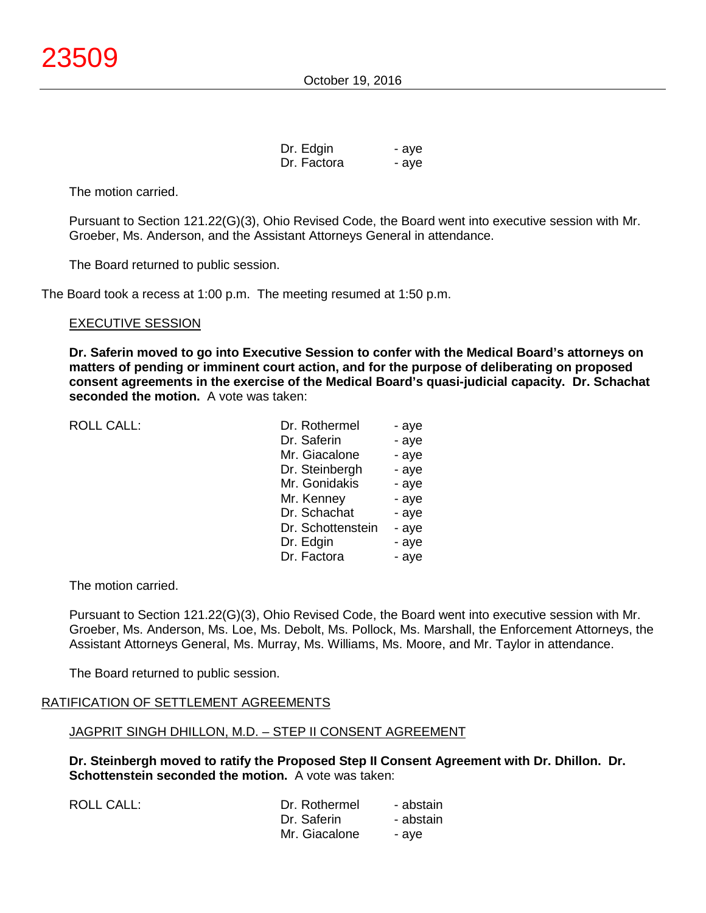| Dr. Edgin   | - aye |
|-------------|-------|
| Dr. Factora | - aye |

The motion carried.

Pursuant to Section 121.22(G)(3), Ohio Revised Code, the Board went into executive session with Mr. Groeber, Ms. Anderson, and the Assistant Attorneys General in attendance.

The Board returned to public session.

The Board took a recess at 1:00 p.m. The meeting resumed at 1:50 p.m.

#### EXECUTIVE SESSION

**Dr. Saferin moved to go into Executive Session to confer with the Medical Board's attorneys on matters of pending or imminent court action, and for the purpose of deliberating on proposed consent agreements in the exercise of the Medical Board's quasi-judicial capacity. Dr. Schachat seconded the motion.** A vote was taken:

ROLL CALL:

| Dr. Rothermel     | - aye |
|-------------------|-------|
| Dr. Saferin       | - aye |
| Mr. Giacalone     | - aye |
| Dr. Steinbergh    | - aye |
| Mr. Gonidakis     | - aye |
| Mr. Kenney        | - aye |
| Dr. Schachat      | - aye |
| Dr. Schottenstein | - aye |
| Dr. Edgin         | - aye |
| Dr. Factora       | - aye |

The motion carried.

ROLL CALL:

Pursuant to Section 121.22(G)(3), Ohio Revised Code, the Board went into executive session with Mr. Groeber, Ms. Anderson, Ms. Loe, Ms. Debolt, Ms. Pollock, Ms. Marshall, the Enforcement Attorneys, the Assistant Attorneys General, Ms. Murray, Ms. Williams, Ms. Moore, and Mr. Taylor in attendance.

The Board returned to public session.

# RATIFICATION OF SETTLEMENT AGREEMENTS

# JAGPRIT SINGH DHILLON, M.D. – STEP II CONSENT AGREEMENT

**Dr. Steinbergh moved to ratify the Proposed Step II Consent Agreement with Dr. Dhillon. Dr. Schottenstein seconded the motion.** A vote was taken:

| Dr. Rothermel | - abstain |
|---------------|-----------|
| Dr. Saferin   | - abstain |
| Mr. Giacalone | - ave     |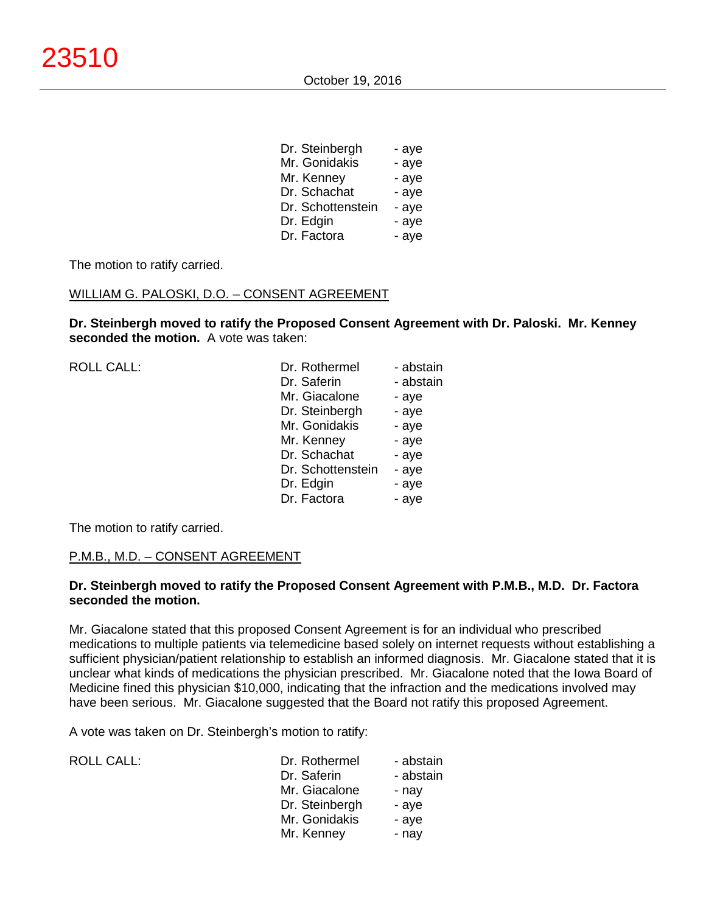| Dr. Steinbergh    | - aye |
|-------------------|-------|
| Mr. Gonidakis     | - aye |
| Mr. Kenney        | - aye |
| Dr. Schachat      | - aye |
| Dr. Schottenstein | - aye |
| Dr. Edgin         | - aye |
| Dr. Factora       | - aye |

The motion to ratify carried.

#### WILLIAM G. PALOSKI, D.O. – CONSENT AGREEMENT

**Dr. Steinbergh moved to ratify the Proposed Consent Agreement with Dr. Paloski. Mr. Kenney seconded the motion.** A vote was taken:

| <b>ROLL CALL:</b> | Dr. Rothermel     | - abstain |
|-------------------|-------------------|-----------|
|                   | Dr. Saferin       | - abstain |
|                   | Mr. Giacalone     | - aye     |
|                   | Dr. Steinbergh    | - aye     |
|                   | Mr. Gonidakis     | - aye     |
|                   | Mr. Kenney        | - aye     |
|                   | Dr. Schachat      | - aye     |
|                   | Dr. Schottenstein | - aye     |
|                   | Dr. Edgin         | - aye     |
|                   | Dr. Factora       | - aye     |
|                   |                   |           |

The motion to ratify carried.

#### P.M.B., M.D. – CONSENT AGREEMENT

#### **Dr. Steinbergh moved to ratify the Proposed Consent Agreement with P.M.B., M.D. Dr. Factora seconded the motion.**

Mr. Giacalone stated that this proposed Consent Agreement is for an individual who prescribed medications to multiple patients via telemedicine based solely on internet requests without establishing a sufficient physician/patient relationship to establish an informed diagnosis. Mr. Giacalone stated that it is unclear what kinds of medications the physician prescribed. Mr. Giacalone noted that the Iowa Board of Medicine fined this physician \$10,000, indicating that the infraction and the medications involved may have been serious. Mr. Giacalone suggested that the Board not ratify this proposed Agreement.

A vote was taken on Dr. Steinbergh's motion to ratify:

| <b>ROLL CALL:</b> | Dr. Rothermel  | - abstain |
|-------------------|----------------|-----------|
|                   | Dr. Saferin    | - abstain |
|                   | Mr. Giacalone  | - nay     |
|                   | Dr. Steinbergh | - ave     |
|                   | Mr. Gonidakis  | - ave     |
|                   | Mr. Kenney     | - nay     |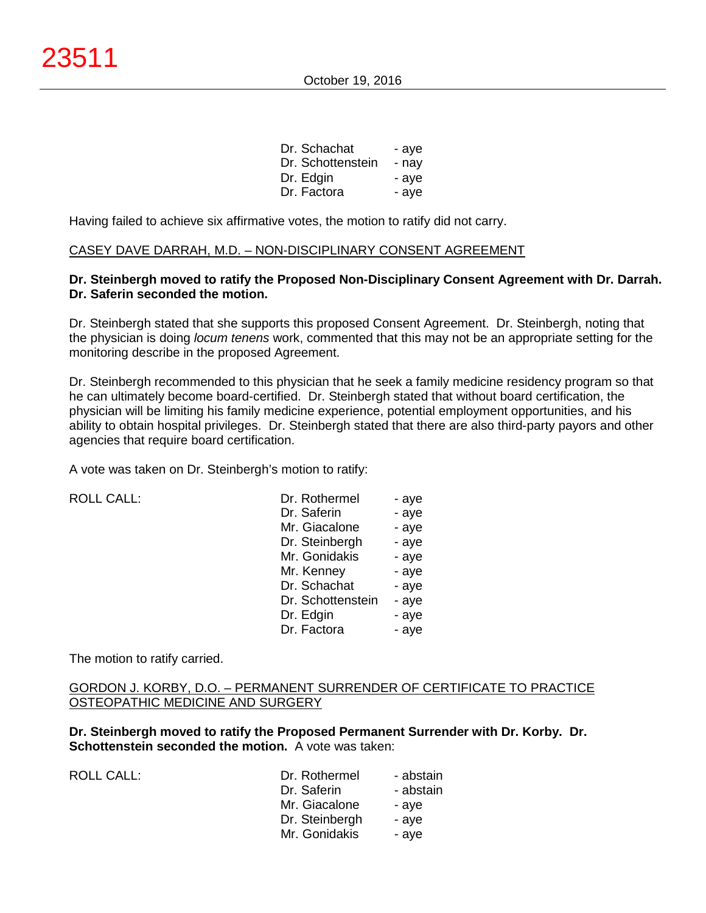| Dr. Schachat      | - aye |
|-------------------|-------|
| Dr. Schottenstein | - nav |
| Dr. Edgin         | - aye |
| Dr. Factora       | - ave |

Having failed to achieve six affirmative votes, the motion to ratify did not carry.

#### CASEY DAVE DARRAH, M.D. – NON-DISCIPLINARY CONSENT AGREEMENT

# **Dr. Steinbergh moved to ratify the Proposed Non-Disciplinary Consent Agreement with Dr. Darrah. Dr. Saferin seconded the motion.**

Dr. Steinbergh stated that she supports this proposed Consent Agreement. Dr. Steinbergh, noting that the physician is doing *locum tenens* work, commented that this may not be an appropriate setting for the monitoring describe in the proposed Agreement.

Dr. Steinbergh recommended to this physician that he seek a family medicine residency program so that he can ultimately become board-certified. Dr. Steinbergh stated that without board certification, the physician will be limiting his family medicine experience, potential employment opportunities, and his ability to obtain hospital privileges. Dr. Steinbergh stated that there are also third-party payors and other agencies that require board certification.

A vote was taken on Dr. Steinbergh's motion to ratify:

ROLL CALL:

| Dr. Rothermel     | - aye |
|-------------------|-------|
| Dr. Saferin       | - aye |
| Mr. Giacalone     | - aye |
| Dr. Steinbergh    | - aye |
| Mr. Gonidakis     | - aye |
| Mr. Kenney        | - aye |
| Dr. Schachat      | - aye |
| Dr. Schottenstein | - aye |
| Dr. Edgin         | - aye |
| Dr. Factora       | - aye |

The motion to ratify carried.

### GORDON J. KORBY, D.O. – PERMANENT SURRENDER OF CERTIFICATE TO PRACTICE OSTEOPATHIC MEDICINE AND SURGERY

**Dr. Steinbergh moved to ratify the Proposed Permanent Surrender with Dr. Korby. Dr. Schottenstein seconded the motion.** A vote was taken:

ROLL CALL:

| Dr. Rothermel  | - abstain |
|----------------|-----------|
| Dr. Saferin    | - abstain |
| Mr. Giacalone  | - aye     |
| Dr. Steinbergh | - aye     |
| Mr. Gonidakis  | - aye     |
|                |           |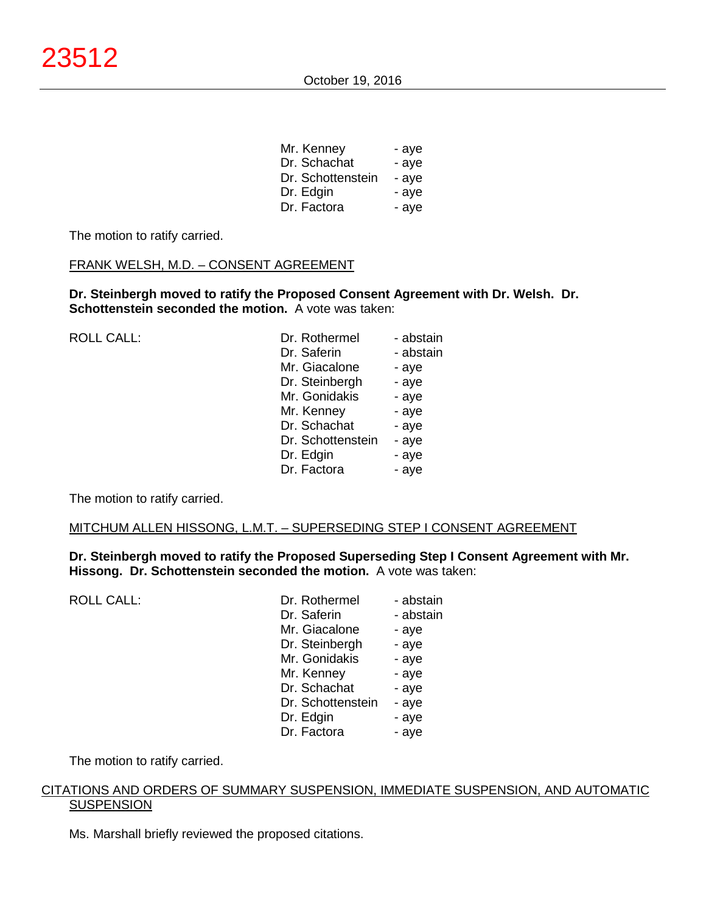| Mr. Kenney        | - aye |
|-------------------|-------|
| Dr. Schachat      | - aye |
| Dr. Schottenstein | - aye |
| Dr. Edgin         | - aye |
| Dr. Factora       | - aye |

The motion to ratify carried.

#### FRANK WELSH, M.D. – CONSENT AGREEMENT

**Dr. Steinbergh moved to ratify the Proposed Consent Agreement with Dr. Welsh. Dr. Schottenstein seconded the motion.** A vote was taken:

| <b>ROLL CALL:</b> | Dr. Rothermel     | - abstain |
|-------------------|-------------------|-----------|
|                   | Dr. Saferin       | - abstain |
|                   | Mr. Giacalone     | - aye     |
|                   | Dr. Steinbergh    | - aye     |
|                   | Mr. Gonidakis     | - aye     |
|                   | Mr. Kenney        | - aye     |
|                   | Dr. Schachat      | - aye     |
|                   | Dr. Schottenstein | - aye     |
|                   | Dr. Edgin         | - aye     |
|                   | Dr. Factora       | - aye     |
|                   |                   |           |

The motion to ratify carried.

#### MITCHUM ALLEN HISSONG, L.M.T. – SUPERSEDING STEP I CONSENT AGREEMENT

**Dr. Steinbergh moved to ratify the Proposed Superseding Step I Consent Agreement with Mr. Hissong. Dr. Schottenstein seconded the motion.** A vote was taken:

ROLL CALL:

| Dr. Rothermel     | - abstain |
|-------------------|-----------|
| Dr. Saferin       | - abstain |
| Mr. Giacalone     | - aye     |
| Dr. Steinbergh    | - aye     |
| Mr. Gonidakis     | - aye     |
| Mr. Kenney        | - aye     |
| Dr. Schachat      | - aye     |
| Dr. Schottenstein | - aye     |
| Dr. Edgin         | - aye     |
| Dr. Factora       | - ave     |

The motion to ratify carried.

## CITATIONS AND ORDERS OF SUMMARY SUSPENSION, IMMEDIATE SUSPENSION, AND AUTOMATIC **SUSPENSION**

Ms. Marshall briefly reviewed the proposed citations.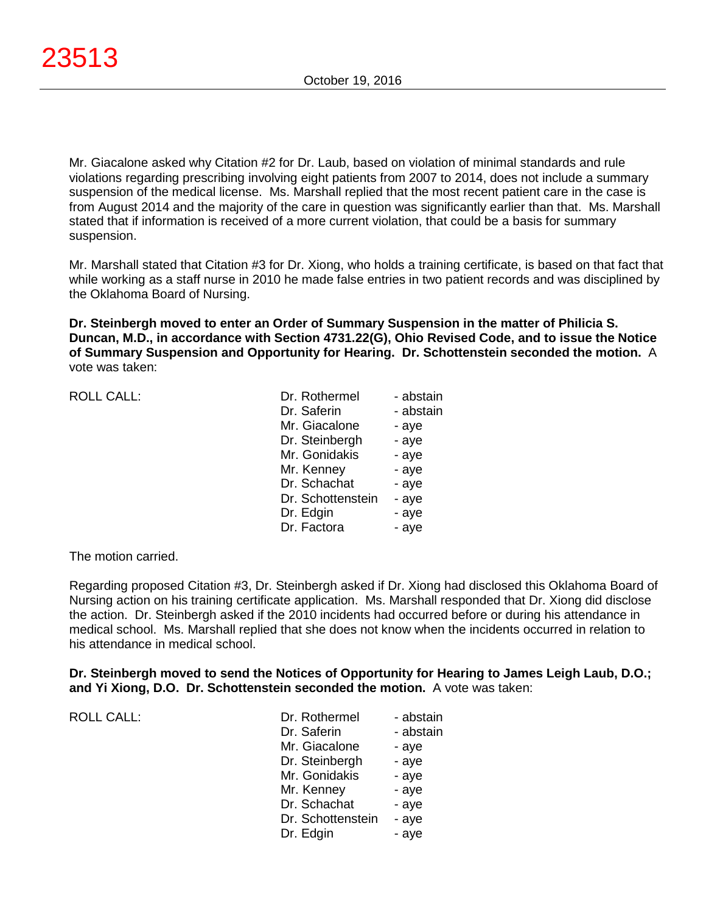Mr. Giacalone asked why Citation #2 for Dr. Laub, based on violation of minimal standards and rule violations regarding prescribing involving eight patients from 2007 to 2014, does not include a summary suspension of the medical license. Ms. Marshall replied that the most recent patient care in the case is from August 2014 and the majority of the care in question was significantly earlier than that. Ms. Marshall stated that if information is received of a more current violation, that could be a basis for summary suspension.

Mr. Marshall stated that Citation #3 for Dr. Xiong, who holds a training certificate, is based on that fact that while working as a staff nurse in 2010 he made false entries in two patient records and was disciplined by the Oklahoma Board of Nursing.

**Dr. Steinbergh moved to enter an Order of Summary Suspension in the matter of Philicia S. Duncan, M.D., in accordance with Section 4731.22(G), Ohio Revised Code, and to issue the Notice of Summary Suspension and Opportunity for Hearing. Dr. Schottenstein seconded the motion.** A vote was taken:

| <b>ROLL CALL:</b> | Dr. Rothermel     | - abstain |
|-------------------|-------------------|-----------|
|                   | Dr. Saferin       | - abstain |
|                   | Mr. Giacalone     | - aye     |
|                   | Dr. Steinbergh    | - aye     |
|                   | Mr. Gonidakis     | - aye     |
|                   | Mr. Kenney        | - aye     |
|                   | Dr. Schachat      | - aye     |
|                   | Dr. Schottenstein | - aye     |
|                   | Dr. Edgin         | - aye     |
|                   | Dr. Factora       | - aye     |
|                   |                   |           |

The motion carried.

Regarding proposed Citation #3, Dr. Steinbergh asked if Dr. Xiong had disclosed this Oklahoma Board of Nursing action on his training certificate application. Ms. Marshall responded that Dr. Xiong did disclose the action. Dr. Steinbergh asked if the 2010 incidents had occurred before or during his attendance in medical school. Ms. Marshall replied that she does not know when the incidents occurred in relation to his attendance in medical school.

**Dr. Steinbergh moved to send the Notices of Opportunity for Hearing to James Leigh Laub, D.O.; and Yi Xiong, D.O. Dr. Schottenstein seconded the motion.** A vote was taken:

| <b>ROLL CALL:</b> | Dr. Rothermel<br>Dr. Saferin | - abstain<br>- abstain |
|-------------------|------------------------------|------------------------|
|                   |                              |                        |
|                   | Mr. Giacalone                | - aye                  |
|                   | Dr. Steinbergh               | - aye                  |
|                   | Mr. Gonidakis                | - aye                  |
|                   | Mr. Kenney                   | - aye                  |
|                   | Dr. Schachat                 | - aye                  |
|                   | Dr. Schottenstein            | - aye                  |
|                   | Dr. Edgin                    | - aye                  |
|                   |                              |                        |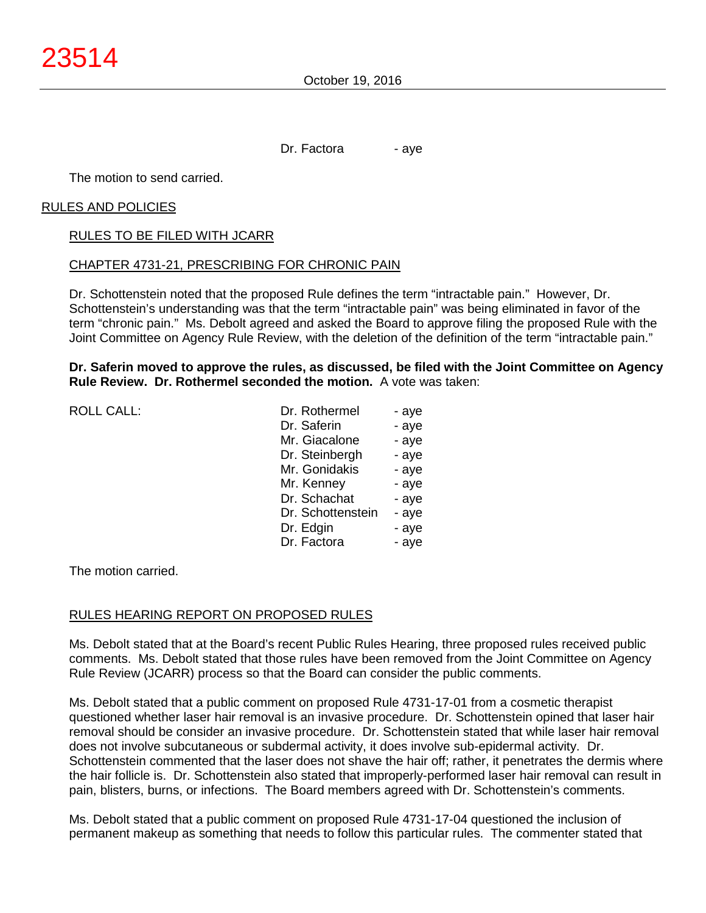Dr. Factora - aye

The motion to send carried.

#### RULES AND POLICIES

#### RULES TO BE FILED WITH JCARR

#### CHAPTER 4731-21, PRESCRIBING FOR CHRONIC PAIN

Dr. Schottenstein noted that the proposed Rule defines the term "intractable pain." However, Dr. Schottenstein's understanding was that the term "intractable pain" was being eliminated in favor of the term "chronic pain." Ms. Debolt agreed and asked the Board to approve filing the proposed Rule with the Joint Committee on Agency Rule Review, with the deletion of the definition of the term "intractable pain."

#### **Dr. Saferin moved to approve the rules, as discussed, be filed with the Joint Committee on Agency Rule Review. Dr. Rothermel seconded the motion.** A vote was taken:

| <b>ROLL CALL:</b> | Dr. Rothermel     | - aye |
|-------------------|-------------------|-------|
|                   | Dr. Saferin       | - aye |
|                   | Mr. Giacalone     | - aye |
|                   | Dr. Steinbergh    | - aye |
|                   | Mr. Gonidakis     | - aye |
|                   | Mr. Kenney        | - aye |
|                   | Dr. Schachat      | - aye |
|                   | Dr. Schottenstein | - aye |
|                   | Dr. Edgin         | - aye |
|                   | Dr. Factora       | - aye |
|                   |                   |       |
|                   |                   |       |

The motion carried.

#### RULES HEARING REPORT ON PROPOSED RULES

Ms. Debolt stated that at the Board's recent Public Rules Hearing, three proposed rules received public comments. Ms. Debolt stated that those rules have been removed from the Joint Committee on Agency Rule Review (JCARR) process so that the Board can consider the public comments.

Ms. Debolt stated that a public comment on proposed Rule 4731-17-01 from a cosmetic therapist questioned whether laser hair removal is an invasive procedure. Dr. Schottenstein opined that laser hair removal should be consider an invasive procedure. Dr. Schottenstein stated that while laser hair removal does not involve subcutaneous or subdermal activity, it does involve sub-epidermal activity. Dr. Schottenstein commented that the laser does not shave the hair off; rather, it penetrates the dermis where the hair follicle is. Dr. Schottenstein also stated that improperly-performed laser hair removal can result in pain, blisters, burns, or infections. The Board members agreed with Dr. Schottenstein's comments.

Ms. Debolt stated that a public comment on proposed Rule 4731-17-04 questioned the inclusion of permanent makeup as something that needs to follow this particular rules. The commenter stated that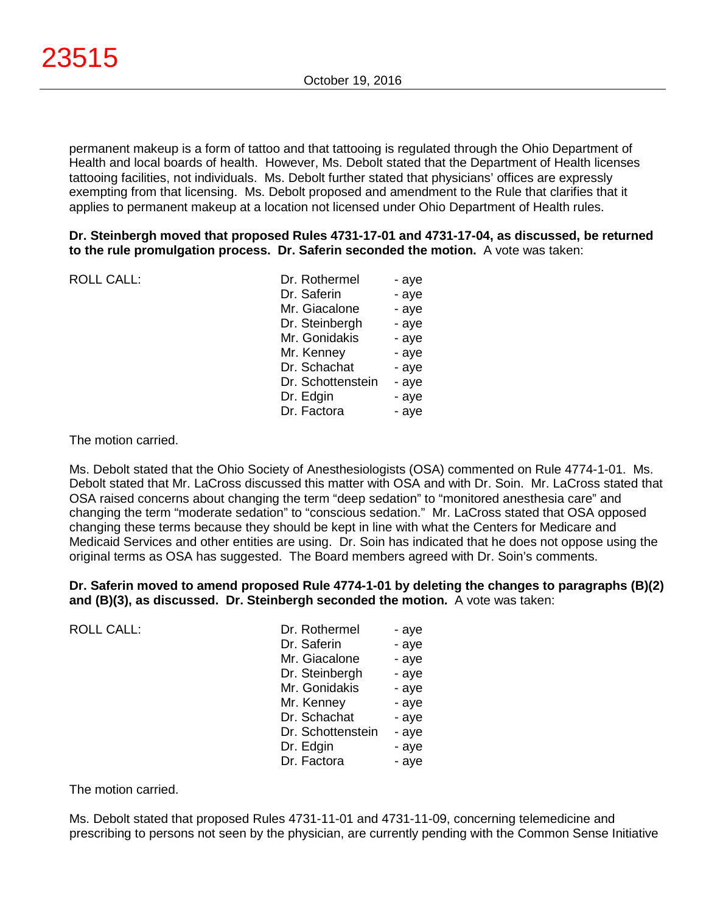permanent makeup is a form of tattoo and that tattooing is regulated through the Ohio Department of Health and local boards of health. However, Ms. Debolt stated that the Department of Health licenses tattooing facilities, not individuals. Ms. Debolt further stated that physicians' offices are expressly exempting from that licensing. Ms. Debolt proposed and amendment to the Rule that clarifies that it applies to permanent makeup at a location not licensed under Ohio Department of Health rules.

#### **Dr. Steinbergh moved that proposed Rules 4731-17-01 and 4731-17-04, as discussed, be returned to the rule promulgation process. Dr. Saferin seconded the motion.** A vote was taken:

| <b>ROLL CALL:</b> | Dr. Rothermel     | - aye |
|-------------------|-------------------|-------|
|                   | Dr. Saferin       | - aye |
|                   | Mr. Giacalone     | - aye |
|                   | Dr. Steinbergh    | - aye |
|                   | Mr. Gonidakis     | - aye |
|                   | Mr. Kenney        | - aye |
|                   | Dr. Schachat      | - aye |
|                   | Dr. Schottenstein | - aye |
|                   | Dr. Edgin         | - aye |
|                   | Dr. Factora       | - aye |
|                   |                   |       |

The motion carried.

Ms. Debolt stated that the Ohio Society of Anesthesiologists (OSA) commented on Rule 4774-1-01. Ms. Debolt stated that Mr. LaCross discussed this matter with OSA and with Dr. Soin. Mr. LaCross stated that OSA raised concerns about changing the term "deep sedation" to "monitored anesthesia care" and changing the term "moderate sedation" to "conscious sedation." Mr. LaCross stated that OSA opposed changing these terms because they should be kept in line with what the Centers for Medicare and Medicaid Services and other entities are using. Dr. Soin has indicated that he does not oppose using the original terms as OSA has suggested. The Board members agreed with Dr. Soin's comments.

**Dr. Saferin moved to amend proposed Rule 4774-1-01 by deleting the changes to paragraphs (B)(2) and (B)(3), as discussed. Dr. Steinbergh seconded the motion.** A vote was taken:

ROLL CALL:

| Dr. Rothermel     | - aye |
|-------------------|-------|
| Dr. Saferin       | - aye |
| Mr. Giacalone     | - aye |
| Dr. Steinbergh    | - aye |
| Mr. Gonidakis     | - aye |
| Mr. Kenney        | - aye |
| Dr. Schachat      | - aye |
| Dr. Schottenstein | - aye |
| Dr. Edgin         | - aye |
| Dr. Factora       | - ave |

The motion carried.

Ms. Debolt stated that proposed Rules 4731-11-01 and 4731-11-09, concerning telemedicine and prescribing to persons not seen by the physician, are currently pending with the Common Sense Initiative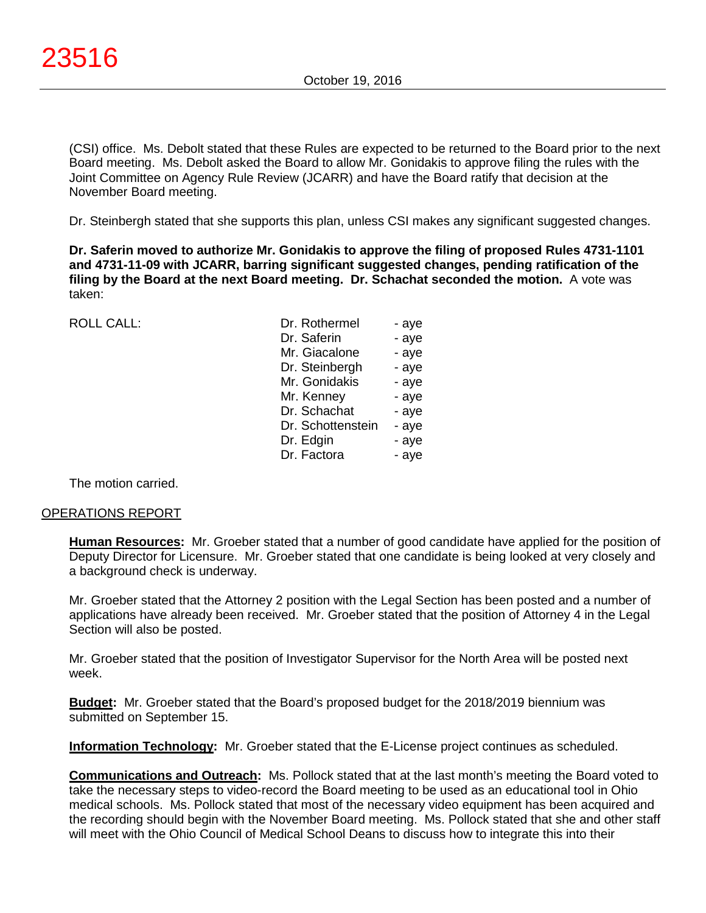(CSI) office. Ms. Debolt stated that these Rules are expected to be returned to the Board prior to the next Board meeting. Ms. Debolt asked the Board to allow Mr. Gonidakis to approve filing the rules with the Joint Committee on Agency Rule Review (JCARR) and have the Board ratify that decision at the November Board meeting.

Dr. Steinbergh stated that she supports this plan, unless CSI makes any significant suggested changes.

**Dr. Saferin moved to authorize Mr. Gonidakis to approve the filing of proposed Rules 4731-1101 and 4731-11-09 with JCARR, barring significant suggested changes, pending ratification of the filing by the Board at the next Board meeting. Dr. Schachat seconded the motion.** A vote was taken:

ROLL CALL:

| Dr. Rothermel     | - aye |
|-------------------|-------|
| Dr. Saferin       | - aye |
| Mr. Giacalone     | - aye |
| Dr. Steinbergh    | - aye |
| Mr. Gonidakis     | - aye |
| Mr. Kenney        | - aye |
| Dr. Schachat      | - aye |
| Dr. Schottenstein | - aye |
| Dr. Edgin         | - aye |
| Dr. Factora       | - ave |

The motion carried.

#### OPERATIONS REPORT

**Human Resources:** Mr. Groeber stated that a number of good candidate have applied for the position of Deputy Director for Licensure. Mr. Groeber stated that one candidate is being looked at very closely and a background check is underway.

Mr. Groeber stated that the Attorney 2 position with the Legal Section has been posted and a number of applications have already been received. Mr. Groeber stated that the position of Attorney 4 in the Legal Section will also be posted.

Mr. Groeber stated that the position of Investigator Supervisor for the North Area will be posted next week.

**Budget:** Mr. Groeber stated that the Board's proposed budget for the 2018/2019 biennium was submitted on September 15.

**Information Technology:** Mr. Groeber stated that the E-License project continues as scheduled.

**Communications and Outreach:** Ms. Pollock stated that at the last month's meeting the Board voted to take the necessary steps to video-record the Board meeting to be used as an educational tool in Ohio medical schools. Ms. Pollock stated that most of the necessary video equipment has been acquired and the recording should begin with the November Board meeting. Ms. Pollock stated that she and other staff will meet with the Ohio Council of Medical School Deans to discuss how to integrate this into their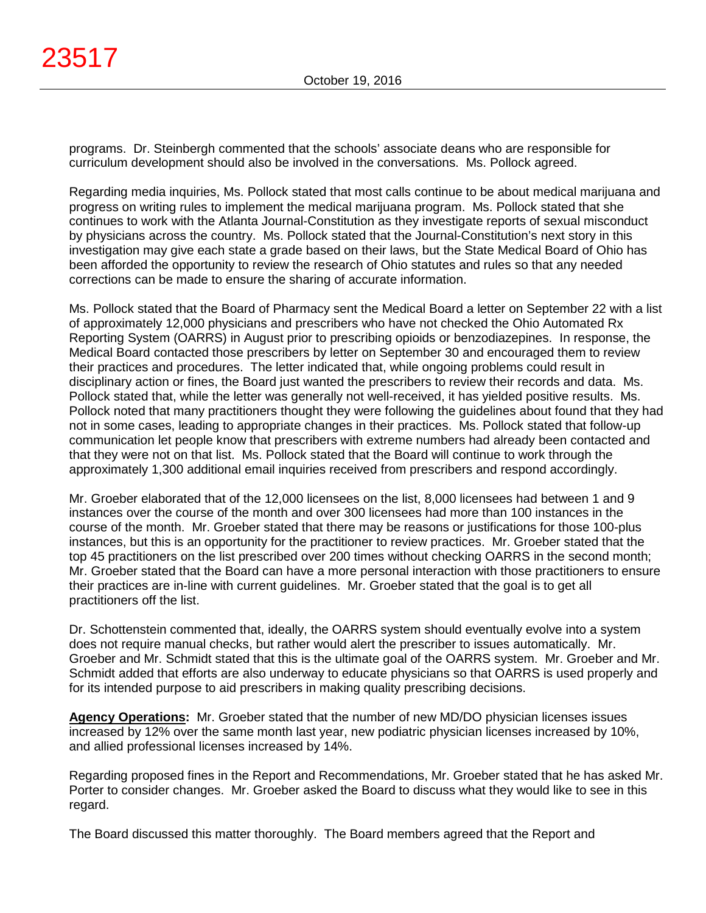programs. Dr. Steinbergh commented that the schools' associate deans who are responsible for curriculum development should also be involved in the conversations. Ms. Pollock agreed.

Regarding media inquiries, Ms. Pollock stated that most calls continue to be about medical marijuana and progress on writing rules to implement the medical marijuana program. Ms. Pollock stated that she continues to work with the Atlanta Journal-Constitution as they investigate reports of sexual misconduct by physicians across the country. Ms. Pollock stated that the Journal-Constitution's next story in this investigation may give each state a grade based on their laws, but the State Medical Board of Ohio has been afforded the opportunity to review the research of Ohio statutes and rules so that any needed corrections can be made to ensure the sharing of accurate information.

Ms. Pollock stated that the Board of Pharmacy sent the Medical Board a letter on September 22 with a list of approximately 12,000 physicians and prescribers who have not checked the Ohio Automated Rx Reporting System (OARRS) in August prior to prescribing opioids or benzodiazepines. In response, the Medical Board contacted those prescribers by letter on September 30 and encouraged them to review their practices and procedures. The letter indicated that, while ongoing problems could result in disciplinary action or fines, the Board just wanted the prescribers to review their records and data. Ms. Pollock stated that, while the letter was generally not well-received, it has yielded positive results. Ms. Pollock noted that many practitioners thought they were following the guidelines about found that they had not in some cases, leading to appropriate changes in their practices. Ms. Pollock stated that follow-up communication let people know that prescribers with extreme numbers had already been contacted and that they were not on that list. Ms. Pollock stated that the Board will continue to work through the approximately 1,300 additional email inquiries received from prescribers and respond accordingly.

Mr. Groeber elaborated that of the 12,000 licensees on the list, 8,000 licensees had between 1 and 9 instances over the course of the month and over 300 licensees had more than 100 instances in the course of the month. Mr. Groeber stated that there may be reasons or justifications for those 100-plus instances, but this is an opportunity for the practitioner to review practices. Mr. Groeber stated that the top 45 practitioners on the list prescribed over 200 times without checking OARRS in the second month; Mr. Groeber stated that the Board can have a more personal interaction with those practitioners to ensure their practices are in-line with current guidelines. Mr. Groeber stated that the goal is to get all practitioners off the list.

Dr. Schottenstein commented that, ideally, the OARRS system should eventually evolve into a system does not require manual checks, but rather would alert the prescriber to issues automatically. Mr. Groeber and Mr. Schmidt stated that this is the ultimate goal of the OARRS system. Mr. Groeber and Mr. Schmidt added that efforts are also underway to educate physicians so that OARRS is used properly and for its intended purpose to aid prescribers in making quality prescribing decisions.

**Agency Operations:** Mr. Groeber stated that the number of new MD/DO physician licenses issues increased by 12% over the same month last year, new podiatric physician licenses increased by 10%, and allied professional licenses increased by 14%.

Regarding proposed fines in the Report and Recommendations, Mr. Groeber stated that he has asked Mr. Porter to consider changes. Mr. Groeber asked the Board to discuss what they would like to see in this regard.

The Board discussed this matter thoroughly. The Board members agreed that the Report and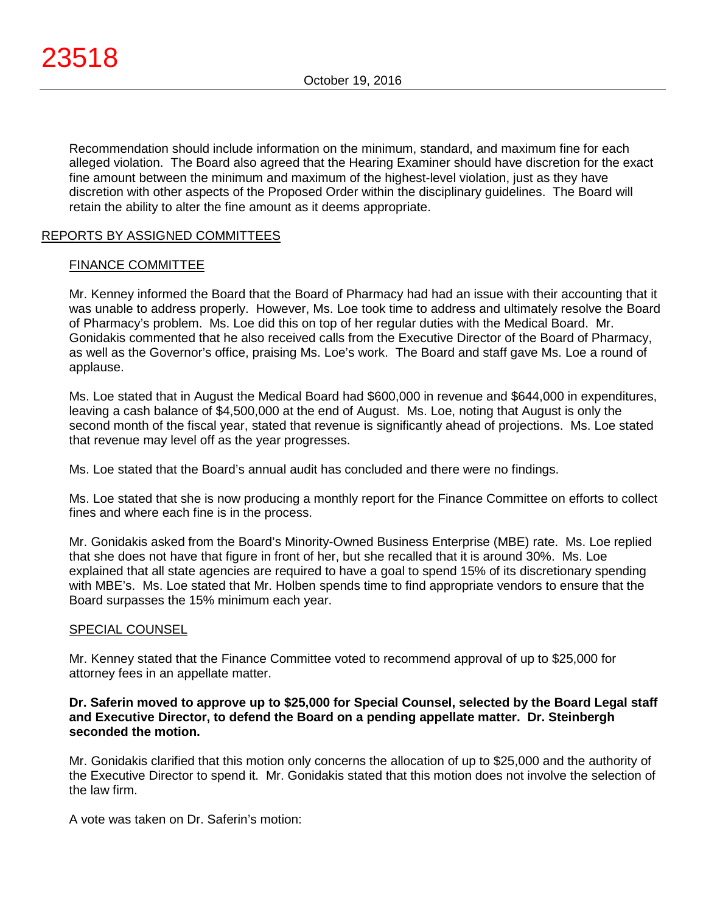Recommendation should include information on the minimum, standard, and maximum fine for each alleged violation. The Board also agreed that the Hearing Examiner should have discretion for the exact fine amount between the minimum and maximum of the highest-level violation, just as they have discretion with other aspects of the Proposed Order within the disciplinary guidelines. The Board will retain the ability to alter the fine amount as it deems appropriate.

# REPORTS BY ASSIGNED COMMITTEES

#### FINANCE COMMITTEE

Mr. Kenney informed the Board that the Board of Pharmacy had had an issue with their accounting that it was unable to address properly. However, Ms. Loe took time to address and ultimately resolve the Board of Pharmacy's problem. Ms. Loe did this on top of her regular duties with the Medical Board. Mr. Gonidakis commented that he also received calls from the Executive Director of the Board of Pharmacy, as well as the Governor's office, praising Ms. Loe's work. The Board and staff gave Ms. Loe a round of applause.

Ms. Loe stated that in August the Medical Board had \$600,000 in revenue and \$644,000 in expenditures, leaving a cash balance of \$4,500,000 at the end of August. Ms. Loe, noting that August is only the second month of the fiscal year, stated that revenue is significantly ahead of projections. Ms. Loe stated that revenue may level off as the year progresses.

Ms. Loe stated that the Board's annual audit has concluded and there were no findings.

Ms. Loe stated that she is now producing a monthly report for the Finance Committee on efforts to collect fines and where each fine is in the process.

Mr. Gonidakis asked from the Board's Minority-Owned Business Enterprise (MBE) rate. Ms. Loe replied that she does not have that figure in front of her, but she recalled that it is around 30%. Ms. Loe explained that all state agencies are required to have a goal to spend 15% of its discretionary spending with MBE's. Ms. Loe stated that Mr. Holben spends time to find appropriate vendors to ensure that the Board surpasses the 15% minimum each year.

#### SPECIAL COUNSEL

Mr. Kenney stated that the Finance Committee voted to recommend approval of up to \$25,000 for attorney fees in an appellate matter.

### **Dr. Saferin moved to approve up to \$25,000 for Special Counsel, selected by the Board Legal staff and Executive Director, to defend the Board on a pending appellate matter. Dr. Steinbergh seconded the motion.**

Mr. Gonidakis clarified that this motion only concerns the allocation of up to \$25,000 and the authority of the Executive Director to spend it. Mr. Gonidakis stated that this motion does not involve the selection of the law firm.

A vote was taken on Dr. Saferin's motion: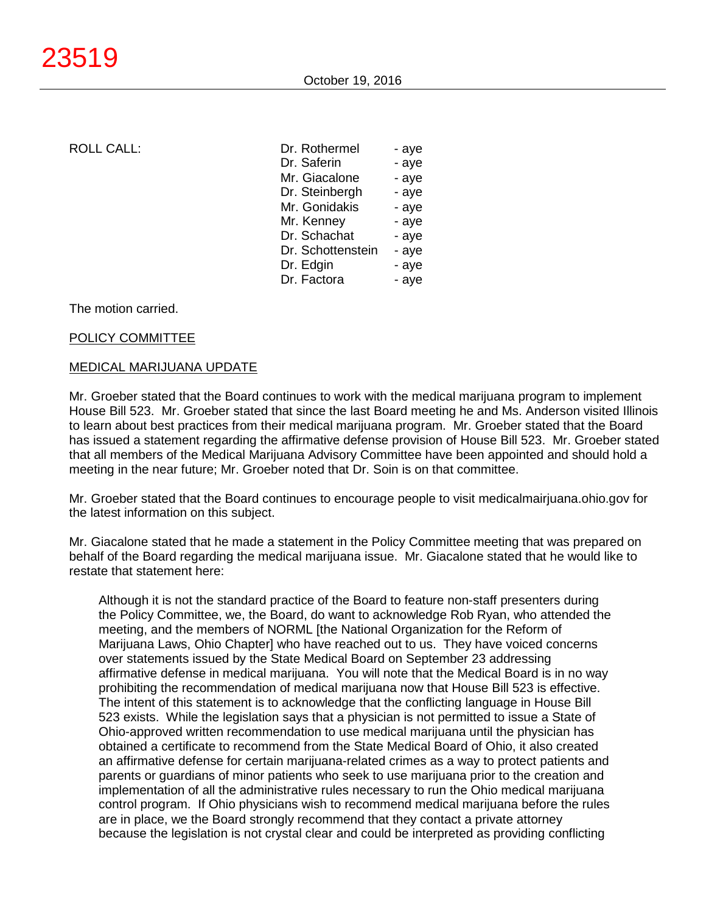ROLL CALL:

| Dr. Rothermel     | - aye |
|-------------------|-------|
| Dr. Saferin       | - aye |
| Mr. Giacalone     | - aye |
| Dr. Steinbergh    | - aye |
| Mr. Gonidakis     | - aye |
| Mr. Kenney        | - aye |
| Dr. Schachat      | - aye |
| Dr. Schottenstein | - aye |
| Dr. Edgin         | - aye |
| Dr. Factora       | - aye |
|                   |       |

The motion carried.

# POLICY COMMITTEE

# MEDICAL MARIJUANA UPDATE

Mr. Groeber stated that the Board continues to work with the medical marijuana program to implement House Bill 523. Mr. Groeber stated that since the last Board meeting he and Ms. Anderson visited Illinois to learn about best practices from their medical marijuana program. Mr. Groeber stated that the Board has issued a statement regarding the affirmative defense provision of House Bill 523. Mr. Groeber stated that all members of the Medical Marijuana Advisory Committee have been appointed and should hold a meeting in the near future; Mr. Groeber noted that Dr. Soin is on that committee.

Mr. Groeber stated that the Board continues to encourage people to visit medicalmairjuana.ohio.gov for the latest information on this subject.

Mr. Giacalone stated that he made a statement in the Policy Committee meeting that was prepared on behalf of the Board regarding the medical marijuana issue. Mr. Giacalone stated that he would like to restate that statement here:

Although it is not the standard practice of the Board to feature non-staff presenters during the Policy Committee, we, the Board, do want to acknowledge Rob Ryan, who attended the meeting, and the members of NORML [the National Organization for the Reform of Marijuana Laws, Ohio Chapter] who have reached out to us. They have voiced concerns over statements issued by the State Medical Board on September 23 addressing affirmative defense in medical marijuana. You will note that the Medical Board is in no way prohibiting the recommendation of medical marijuana now that House Bill 523 is effective. The intent of this statement is to acknowledge that the conflicting language in House Bill 523 exists. While the legislation says that a physician is not permitted to issue a State of Ohio-approved written recommendation to use medical marijuana until the physician has obtained a certificate to recommend from the State Medical Board of Ohio, it also created an affirmative defense for certain marijuana-related crimes as a way to protect patients and parents or guardians of minor patients who seek to use marijuana prior to the creation and implementation of all the administrative rules necessary to run the Ohio medical marijuana control program. If Ohio physicians wish to recommend medical marijuana before the rules are in place, we the Board strongly recommend that they contact a private attorney because the legislation is not crystal clear and could be interpreted as providing conflicting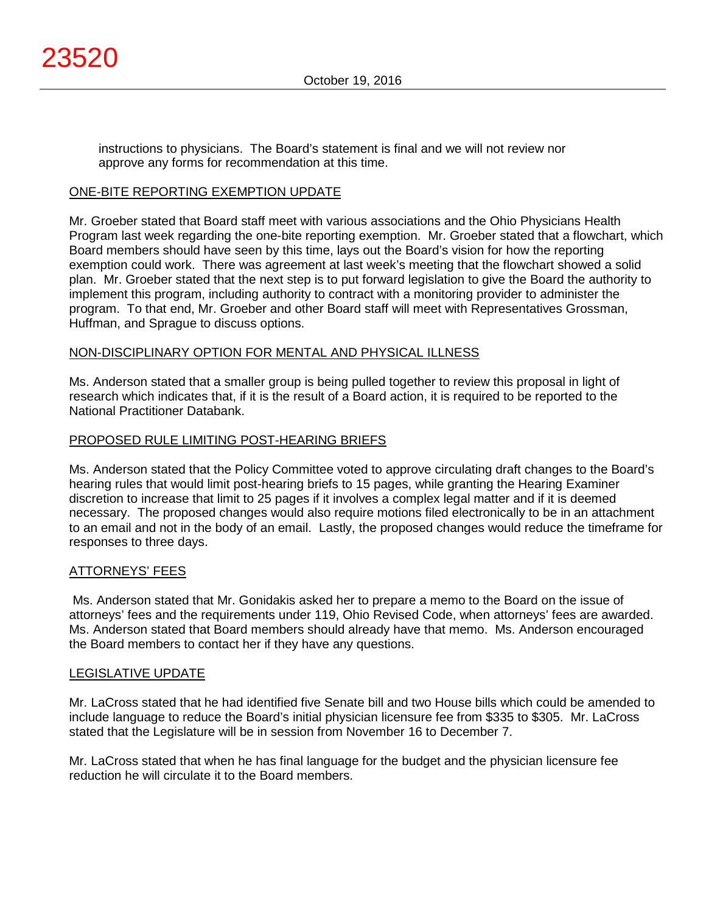instructions to physicians. The Board's statement is final and we will not review nor approve any forms for recommendation at this time.

#### ONE-BITE REPORTING EXEMPTION UPDATE

Mr. Groeber stated that Board staff meet with various associations and the Ohio Physicians Health Program last week regarding the one-bite reporting exemption. Mr. Groeber stated that a flowchart, which Board members should have seen by this time, lays out the Board's vision for how the reporting exemption could work. There was agreement at last week's meeting that the flowchart showed a solid plan. Mr. Groeber stated that the next step is to put forward legislation to give the Board the authority to implement this program, including authority to contract with a monitoring provider to administer the program. To that end, Mr. Groeber and other Board staff will meet with Representatives Grossman, Huffman, and Sprague to discuss options.

# NON-DISCIPLINARY OPTION FOR MENTAL AND PHYSICAL ILLNESS

Ms. Anderson stated that a smaller group is being pulled together to review this proposal in light of research which indicates that, if it is the result of a Board action, it is required to be reported to the National Practitioner Databank.

# PROPOSED RULE LIMITING POST-HEARING BRIEFS

Ms. Anderson stated that the Policy Committee voted to approve circulating draft changes to the Board's hearing rules that would limit post-hearing briefs to 15 pages, while granting the Hearing Examiner discretion to increase that limit to 25 pages if it involves a complex legal matter and if it is deemed necessary. The proposed changes would also require motions filed electronically to be in an attachment to an email and not in the body of an email. Lastly, the proposed changes would reduce the timeframe for responses to three days.

#### ATTORNEYS' FEES

Ms. Anderson stated that Mr. Gonidakis asked her to prepare a memo to the Board on the issue of attorneys' fees and the requirements under 119, Ohio Revised Code, when attorneys' fees are awarded. Ms. Anderson stated that Board members should already have that memo. Ms. Anderson encouraged the Board members to contact her if they have any questions.

#### LEGISLATIVE UPDATE

Mr. LaCross stated that he had identified five Senate bill and two House bills which could be amended to include language to reduce the Board's initial physician licensure fee from \$335 to \$305. Mr. LaCross stated that the Legislature will be in session from November 16 to December 7.

Mr. LaCross stated that when he has final language for the budget and the physician licensure fee reduction he will circulate it to the Board members.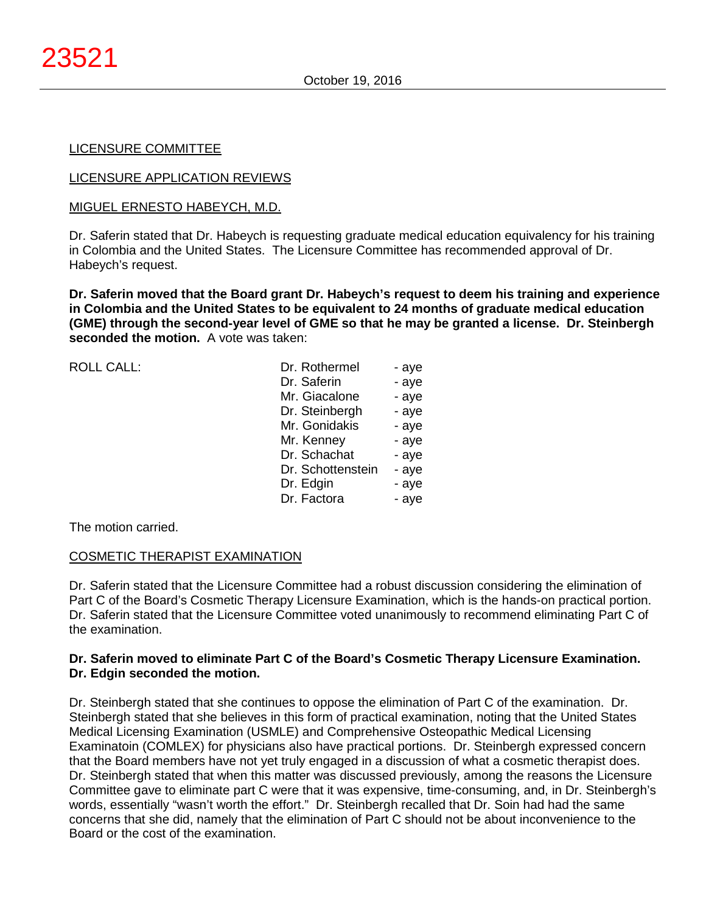#### LICENSURE COMMITTEE

#### LICENSURE APPLICATION REVIEWS

#### MIGUEL ERNESTO HABEYCH, M.D.

Dr. Saferin stated that Dr. Habeych is requesting graduate medical education equivalency for his training in Colombia and the United States. The Licensure Committee has recommended approval of Dr. Habeych's request.

**Dr. Saferin moved that the Board grant Dr. Habeych's request to deem his training and experience in Colombia and the United States to be equivalent to 24 months of graduate medical education (GME) through the second-year level of GME so that he may be granted a license. Dr. Steinbergh seconded the motion.** A vote was taken:

| ROLL CALL: | Dr. Rothermel     | - aye |
|------------|-------------------|-------|
|            | Dr. Saferin       | - aye |
|            | Mr. Giacalone     | - aye |
|            | Dr. Steinbergh    | - aye |
|            | Mr. Gonidakis     | - aye |
|            | Mr. Kenney        | - aye |
|            | Dr. Schachat      | - aye |
|            | Dr. Schottenstein | - aye |
|            | Dr. Edgin         | - aye |
|            | Dr. Factora       | - aye |
|            |                   |       |

The motion carried.

# COSMETIC THERAPIST EXAMINATION

Dr. Saferin stated that the Licensure Committee had a robust discussion considering the elimination of Part C of the Board's Cosmetic Therapy Licensure Examination, which is the hands-on practical portion. Dr. Saferin stated that the Licensure Committee voted unanimously to recommend eliminating Part C of the examination.

# **Dr. Saferin moved to eliminate Part C of the Board's Cosmetic Therapy Licensure Examination. Dr. Edgin seconded the motion.**

Dr. Steinbergh stated that she continues to oppose the elimination of Part C of the examination. Dr. Steinbergh stated that she believes in this form of practical examination, noting that the United States Medical Licensing Examination (USMLE) and Comprehensive Osteopathic Medical Licensing Examinatoin (COMLEX) for physicians also have practical portions. Dr. Steinbergh expressed concern that the Board members have not yet truly engaged in a discussion of what a cosmetic therapist does. Dr. Steinbergh stated that when this matter was discussed previously, among the reasons the Licensure Committee gave to eliminate part C were that it was expensive, time-consuming, and, in Dr. Steinbergh's words, essentially "wasn't worth the effort." Dr. Steinbergh recalled that Dr. Soin had had the same concerns that she did, namely that the elimination of Part C should not be about inconvenience to the Board or the cost of the examination.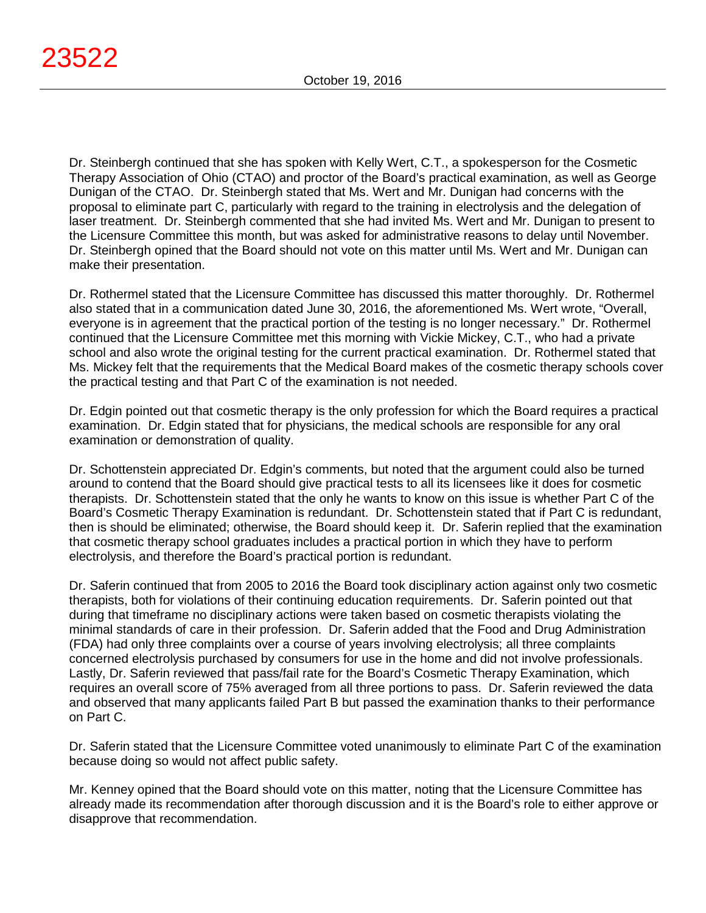Dr. Steinbergh continued that she has spoken with Kelly Wert, C.T., a spokesperson for the Cosmetic Therapy Association of Ohio (CTAO) and proctor of the Board's practical examination, as well as George Dunigan of the CTAO. Dr. Steinbergh stated that Ms. Wert and Mr. Dunigan had concerns with the proposal to eliminate part C, particularly with regard to the training in electrolysis and the delegation of laser treatment. Dr. Steinbergh commented that she had invited Ms. Wert and Mr. Dunigan to present to the Licensure Committee this month, but was asked for administrative reasons to delay until November. Dr. Steinbergh opined that the Board should not vote on this matter until Ms. Wert and Mr. Dunigan can make their presentation.

Dr. Rothermel stated that the Licensure Committee has discussed this matter thoroughly. Dr. Rothermel also stated that in a communication dated June 30, 2016, the aforementioned Ms. Wert wrote, "Overall, everyone is in agreement that the practical portion of the testing is no longer necessary." Dr. Rothermel continued that the Licensure Committee met this morning with Vickie Mickey, C.T., who had a private school and also wrote the original testing for the current practical examination. Dr. Rothermel stated that Ms. Mickey felt that the requirements that the Medical Board makes of the cosmetic therapy schools cover the practical testing and that Part C of the examination is not needed.

Dr. Edgin pointed out that cosmetic therapy is the only profession for which the Board requires a practical examination. Dr. Edgin stated that for physicians, the medical schools are responsible for any oral examination or demonstration of quality.

Dr. Schottenstein appreciated Dr. Edgin's comments, but noted that the argument could also be turned around to contend that the Board should give practical tests to all its licensees like it does for cosmetic therapists. Dr. Schottenstein stated that the only he wants to know on this issue is whether Part C of the Board's Cosmetic Therapy Examination is redundant. Dr. Schottenstein stated that if Part C is redundant, then is should be eliminated; otherwise, the Board should keep it. Dr. Saferin replied that the examination that cosmetic therapy school graduates includes a practical portion in which they have to perform electrolysis, and therefore the Board's practical portion is redundant.

Dr. Saferin continued that from 2005 to 2016 the Board took disciplinary action against only two cosmetic therapists, both for violations of their continuing education requirements. Dr. Saferin pointed out that during that timeframe no disciplinary actions were taken based on cosmetic therapists violating the minimal standards of care in their profession. Dr. Saferin added that the Food and Drug Administration (FDA) had only three complaints over a course of years involving electrolysis; all three complaints concerned electrolysis purchased by consumers for use in the home and did not involve professionals. Lastly, Dr. Saferin reviewed that pass/fail rate for the Board's Cosmetic Therapy Examination, which requires an overall score of 75% averaged from all three portions to pass. Dr. Saferin reviewed the data and observed that many applicants failed Part B but passed the examination thanks to their performance on Part C.

Dr. Saferin stated that the Licensure Committee voted unanimously to eliminate Part C of the examination because doing so would not affect public safety.

Mr. Kenney opined that the Board should vote on this matter, noting that the Licensure Committee has already made its recommendation after thorough discussion and it is the Board's role to either approve or disapprove that recommendation.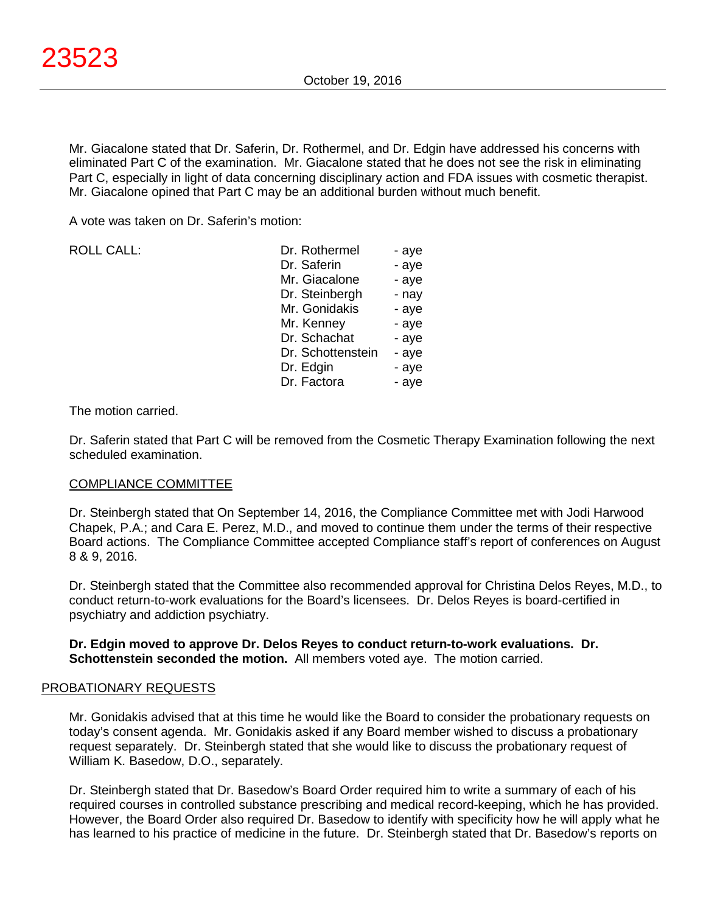Mr. Giacalone stated that Dr. Saferin, Dr. Rothermel, and Dr. Edgin have addressed his concerns with eliminated Part C of the examination. Mr. Giacalone stated that he does not see the risk in eliminating Part C, especially in light of data concerning disciplinary action and FDA issues with cosmetic therapist. Mr. Giacalone opined that Part C may be an additional burden without much benefit.

A vote was taken on Dr. Saferin's motion:

| - aye |
|-------|
| - aye |
| - aye |
| - nay |
| - aye |
| - aye |
| - aye |
| - aye |
| - aye |
| - aye |
|       |

The motion carried.

Dr. Saferin stated that Part C will be removed from the Cosmetic Therapy Examination following the next scheduled examination.

#### COMPLIANCE COMMITTEE

Dr. Steinbergh stated that On September 14, 2016, the Compliance Committee met with Jodi Harwood Chapek, P.A.; and Cara E. Perez, M.D., and moved to continue them under the terms of their respective Board actions. The Compliance Committee accepted Compliance staff's report of conferences on August 8 & 9, 2016.

Dr. Steinbergh stated that the Committee also recommended approval for Christina Delos Reyes, M.D., to conduct return-to-work evaluations for the Board's licensees. Dr. Delos Reyes is board-certified in psychiatry and addiction psychiatry.

#### **Dr. Edgin moved to approve Dr. Delos Reyes to conduct return-to-work evaluations. Dr. Schottenstein seconded the motion.** All members voted aye. The motion carried.

#### PROBATIONARY REQUESTS

Mr. Gonidakis advised that at this time he would like the Board to consider the probationary requests on today's consent agenda. Mr. Gonidakis asked if any Board member wished to discuss a probationary request separately. Dr. Steinbergh stated that she would like to discuss the probationary request of William K. Basedow, D.O., separately.

Dr. Steinbergh stated that Dr. Basedow's Board Order required him to write a summary of each of his required courses in controlled substance prescribing and medical record-keeping, which he has provided. However, the Board Order also required Dr. Basedow to identify with specificity how he will apply what he has learned to his practice of medicine in the future. Dr. Steinbergh stated that Dr. Basedow's reports on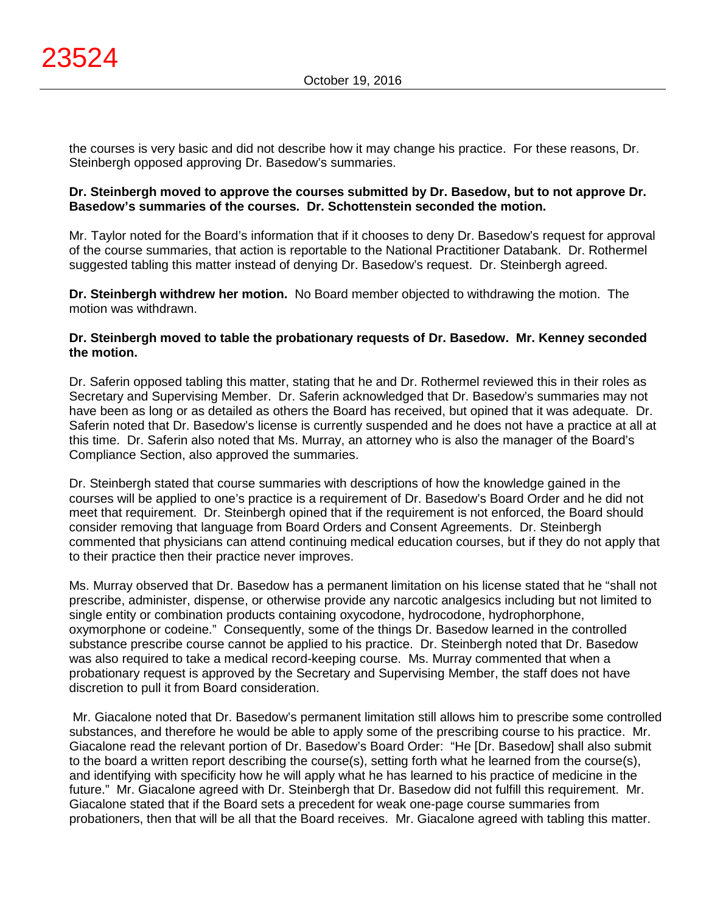the courses is very basic and did not describe how it may change his practice. For these reasons, Dr. Steinbergh opposed approving Dr. Basedow's summaries.

#### **Dr. Steinbergh moved to approve the courses submitted by Dr. Basedow, but to not approve Dr. Basedow's summaries of the courses. Dr. Schottenstein seconded the motion.**

Mr. Taylor noted for the Board's information that if it chooses to deny Dr. Basedow's request for approval of the course summaries, that action is reportable to the National Practitioner Databank. Dr. Rothermel suggested tabling this matter instead of denying Dr. Basedow's request. Dr. Steinbergh agreed.

**Dr. Steinbergh withdrew her motion.** No Board member objected to withdrawing the motion. The motion was withdrawn.

#### **Dr. Steinbergh moved to table the probationary requests of Dr. Basedow. Mr. Kenney seconded the motion.**

Dr. Saferin opposed tabling this matter, stating that he and Dr. Rothermel reviewed this in their roles as Secretary and Supervising Member. Dr. Saferin acknowledged that Dr. Basedow's summaries may not have been as long or as detailed as others the Board has received, but opined that it was adequate. Dr. Saferin noted that Dr. Basedow's license is currently suspended and he does not have a practice at all at this time. Dr. Saferin also noted that Ms. Murray, an attorney who is also the manager of the Board's Compliance Section, also approved the summaries.

Dr. Steinbergh stated that course summaries with descriptions of how the knowledge gained in the courses will be applied to one's practice is a requirement of Dr. Basedow's Board Order and he did not meet that requirement. Dr. Steinbergh opined that if the requirement is not enforced, the Board should consider removing that language from Board Orders and Consent Agreements. Dr. Steinbergh commented that physicians can attend continuing medical education courses, but if they do not apply that to their practice then their practice never improves.

Ms. Murray observed that Dr. Basedow has a permanent limitation on his license stated that he "shall not prescribe, administer, dispense, or otherwise provide any narcotic analgesics including but not limited to single entity or combination products containing oxycodone, hydrocodone, hydrophorphone, oxymorphone or codeine." Consequently, some of the things Dr. Basedow learned in the controlled substance prescribe course cannot be applied to his practice. Dr. Steinbergh noted that Dr. Basedow was also required to take a medical record-keeping course. Ms. Murray commented that when a probationary request is approved by the Secretary and Supervising Member, the staff does not have discretion to pull it from Board consideration.

Mr. Giacalone noted that Dr. Basedow's permanent limitation still allows him to prescribe some controlled substances, and therefore he would be able to apply some of the prescribing course to his practice. Mr. Giacalone read the relevant portion of Dr. Basedow's Board Order: "He [Dr. Basedow] shall also submit to the board a written report describing the course(s), setting forth what he learned from the course(s), and identifying with specificity how he will apply what he has learned to his practice of medicine in the future." Mr. Giacalone agreed with Dr. Steinbergh that Dr. Basedow did not fulfill this requirement. Mr. Giacalone stated that if the Board sets a precedent for weak one-page course summaries from probationers, then that will be all that the Board receives. Mr. Giacalone agreed with tabling this matter.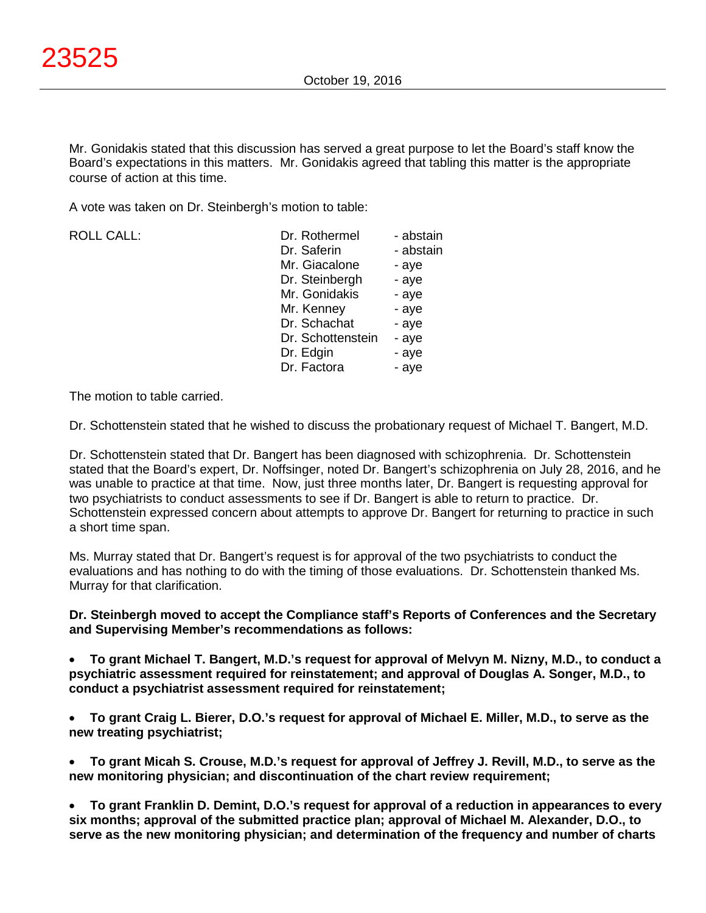Mr. Gonidakis stated that this discussion has served a great purpose to let the Board's staff know the Board's expectations in this matters. Mr. Gonidakis agreed that tabling this matter is the appropriate course of action at this time.

A vote was taken on Dr. Steinbergh's motion to table:

| <b>ROLL CALL:</b> |  |
|-------------------|--|
|                   |  |

| <b>ROLL CALL:</b> | Dr. Rothermel     | - abstain |
|-------------------|-------------------|-----------|
|                   | Dr. Saferin       | - abstain |
|                   | Mr. Giacalone     | - aye     |
|                   | Dr. Steinbergh    | - aye     |
|                   | Mr. Gonidakis     | - aye     |
|                   | Mr. Kenney        | - aye     |
|                   | Dr. Schachat      | - aye     |
|                   | Dr. Schottenstein | - aye     |
|                   | Dr. Edgin         | - aye     |
|                   | Dr. Factora       | - aye     |
|                   |                   |           |

The motion to table carried.

Dr. Schottenstein stated that he wished to discuss the probationary request of Michael T. Bangert, M.D.

Dr. Schottenstein stated that Dr. Bangert has been diagnosed with schizophrenia. Dr. Schottenstein stated that the Board's expert, Dr. Noffsinger, noted Dr. Bangert's schizophrenia on July 28, 2016, and he was unable to practice at that time. Now, just three months later, Dr. Bangert is requesting approval for two psychiatrists to conduct assessments to see if Dr. Bangert is able to return to practice. Dr. Schottenstein expressed concern about attempts to approve Dr. Bangert for returning to practice in such a short time span.

Ms. Murray stated that Dr. Bangert's request is for approval of the two psychiatrists to conduct the evaluations and has nothing to do with the timing of those evaluations. Dr. Schottenstein thanked Ms. Murray for that clarification.

# **Dr. Steinbergh moved to accept the Compliance staff's Reports of Conferences and the Secretary and Supervising Member's recommendations as follows:**

• **To grant Michael T. Bangert, M.D.'s request for approval of Melvyn M. Nizny, M.D., to conduct a psychiatric assessment required for reinstatement; and approval of Douglas A. Songer, M.D., to conduct a psychiatrist assessment required for reinstatement;**

• **To grant Craig L. Bierer, D.O.'s request for approval of Michael E. Miller, M.D., to serve as the new treating psychiatrist;**

• **To grant Micah S. Crouse, M.D.'s request for approval of Jeffrey J. Revill, M.D., to serve as the new monitoring physician; and discontinuation of the chart review requirement;**

• **To grant Franklin D. Demint, D.O.'s request for approval of a reduction in appearances to every six months; approval of the submitted practice plan; approval of Michael M. Alexander, D.O., to serve as the new monitoring physician; and determination of the frequency and number of charts**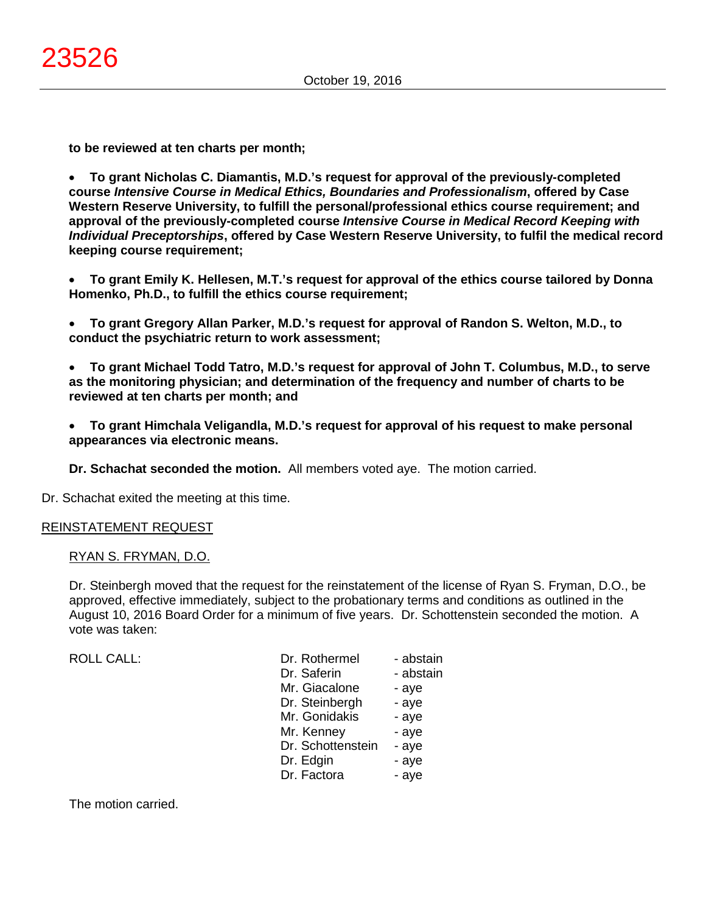**to be reviewed at ten charts per month;**

• **To grant Nicholas C. Diamantis, M.D.'s request for approval of the previously-completed course** *Intensive Course in Medical Ethics, Boundaries and Professionalism***, offered by Case Western Reserve University, to fulfill the personal/professional ethics course requirement; and approval of the previously-completed course** *Intensive Course in Medical Record Keeping with Individual Preceptorships***, offered by Case Western Reserve University, to fulfil the medical record keeping course requirement;**

• **To grant Emily K. Hellesen, M.T.'s request for approval of the ethics course tailored by Donna Homenko, Ph.D., to fulfill the ethics course requirement;**

• **To grant Gregory Allan Parker, M.D.'s request for approval of Randon S. Welton, M.D., to conduct the psychiatric return to work assessment;**

• **To grant Michael Todd Tatro, M.D.'s request for approval of John T. Columbus, M.D., to serve as the monitoring physician; and determination of the frequency and number of charts to be reviewed at ten charts per month; and**

• **To grant Himchala Veligandla, M.D.'s request for approval of his request to make personal appearances via electronic means.**

**Dr. Schachat seconded the motion.** All members voted aye. The motion carried.

Dr. Schachat exited the meeting at this time.

#### REINSTATEMENT REQUEST

#### RYAN S. FRYMAN, D.O.

Dr. Steinbergh moved that the request for the reinstatement of the license of Ryan S. Fryman, D.O., be approved, effective immediately, subject to the probationary terms and conditions as outlined in the August 10, 2016 Board Order for a minimum of five years. Dr. Schottenstein seconded the motion. A vote was taken:

| <b>ROLL CALL:</b> | Dr. Rothermel     | - abstain |
|-------------------|-------------------|-----------|
|                   | Dr. Saferin       | - abstain |
|                   | Mr. Giacalone     | - aye     |
|                   | Dr. Steinbergh    | - aye     |
|                   | Mr. Gonidakis     | - aye     |
|                   | Mr. Kenney        | - aye     |
|                   | Dr. Schottenstein | - aye     |
|                   | Dr. Edgin         | - aye     |
|                   | Dr. Factora       | - aye     |
|                   |                   |           |

The motion carried.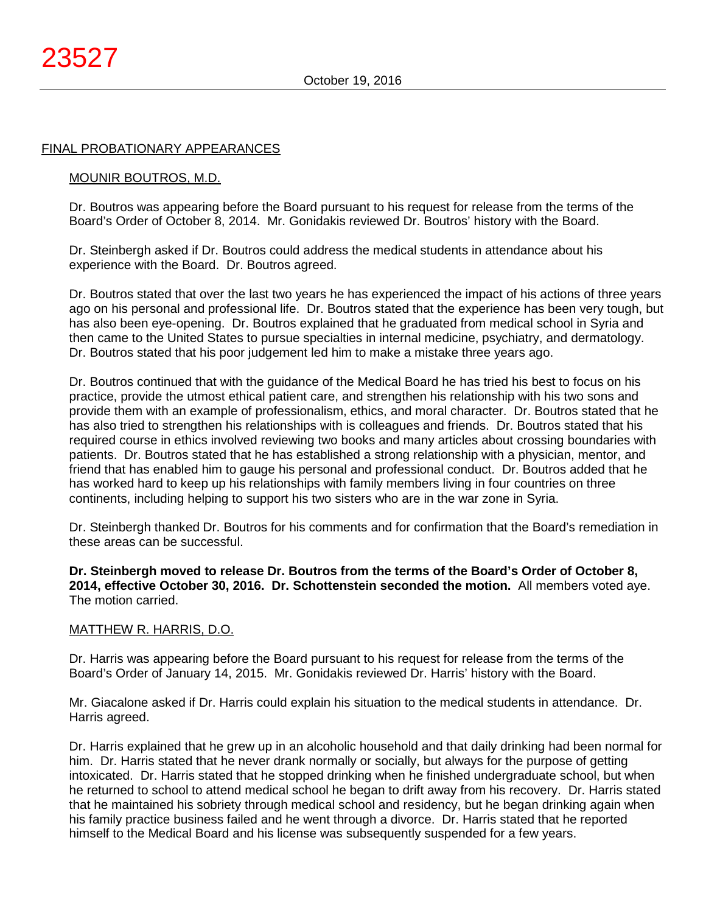#### FINAL PROBATIONARY APPEARANCES

#### MOUNIR BOUTROS, M.D.

Dr. Boutros was appearing before the Board pursuant to his request for release from the terms of the Board's Order of October 8, 2014. Mr. Gonidakis reviewed Dr. Boutros' history with the Board.

Dr. Steinbergh asked if Dr. Boutros could address the medical students in attendance about his experience with the Board. Dr. Boutros agreed.

Dr. Boutros stated that over the last two years he has experienced the impact of his actions of three years ago on his personal and professional life. Dr. Boutros stated that the experience has been very tough, but has also been eye-opening. Dr. Boutros explained that he graduated from medical school in Syria and then came to the United States to pursue specialties in internal medicine, psychiatry, and dermatology. Dr. Boutros stated that his poor judgement led him to make a mistake three years ago.

Dr. Boutros continued that with the guidance of the Medical Board he has tried his best to focus on his practice, provide the utmost ethical patient care, and strengthen his relationship with his two sons and provide them with an example of professionalism, ethics, and moral character. Dr. Boutros stated that he has also tried to strengthen his relationships with is colleagues and friends. Dr. Boutros stated that his required course in ethics involved reviewing two books and many articles about crossing boundaries with patients. Dr. Boutros stated that he has established a strong relationship with a physician, mentor, and friend that has enabled him to gauge his personal and professional conduct. Dr. Boutros added that he has worked hard to keep up his relationships with family members living in four countries on three continents, including helping to support his two sisters who are in the war zone in Syria.

Dr. Steinbergh thanked Dr. Boutros for his comments and for confirmation that the Board's remediation in these areas can be successful.

**Dr. Steinbergh moved to release Dr. Boutros from the terms of the Board's Order of October 8, 2014, effective October 30, 2016. Dr. Schottenstein seconded the motion.** All members voted aye. The motion carried.

#### MATTHEW R. HARRIS, D.O.

Dr. Harris was appearing before the Board pursuant to his request for release from the terms of the Board's Order of January 14, 2015. Mr. Gonidakis reviewed Dr. Harris' history with the Board.

Mr. Giacalone asked if Dr. Harris could explain his situation to the medical students in attendance. Dr. Harris agreed.

Dr. Harris explained that he grew up in an alcoholic household and that daily drinking had been normal for him. Dr. Harris stated that he never drank normally or socially, but always for the purpose of getting intoxicated. Dr. Harris stated that he stopped drinking when he finished undergraduate school, but when he returned to school to attend medical school he began to drift away from his recovery. Dr. Harris stated that he maintained his sobriety through medical school and residency, but he began drinking again when his family practice business failed and he went through a divorce. Dr. Harris stated that he reported himself to the Medical Board and his license was subsequently suspended for a few years.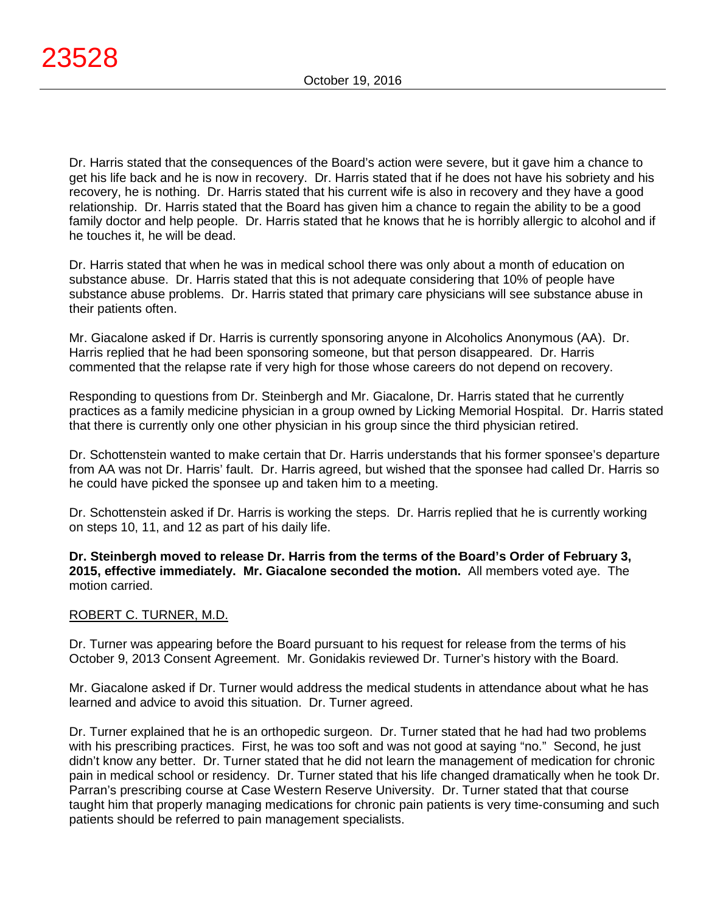Dr. Harris stated that the consequences of the Board's action were severe, but it gave him a chance to get his life back and he is now in recovery. Dr. Harris stated that if he does not have his sobriety and his recovery, he is nothing. Dr. Harris stated that his current wife is also in recovery and they have a good relationship. Dr. Harris stated that the Board has given him a chance to regain the ability to be a good family doctor and help people. Dr. Harris stated that he knows that he is horribly allergic to alcohol and if he touches it, he will be dead.

Dr. Harris stated that when he was in medical school there was only about a month of education on substance abuse. Dr. Harris stated that this is not adequate considering that 10% of people have substance abuse problems. Dr. Harris stated that primary care physicians will see substance abuse in their patients often.

Mr. Giacalone asked if Dr. Harris is currently sponsoring anyone in Alcoholics Anonymous (AA). Dr. Harris replied that he had been sponsoring someone, but that person disappeared. Dr. Harris commented that the relapse rate if very high for those whose careers do not depend on recovery.

Responding to questions from Dr. Steinbergh and Mr. Giacalone, Dr. Harris stated that he currently practices as a family medicine physician in a group owned by Licking Memorial Hospital. Dr. Harris stated that there is currently only one other physician in his group since the third physician retired.

Dr. Schottenstein wanted to make certain that Dr. Harris understands that his former sponsee's departure from AA was not Dr. Harris' fault. Dr. Harris agreed, but wished that the sponsee had called Dr. Harris so he could have picked the sponsee up and taken him to a meeting.

Dr. Schottenstein asked if Dr. Harris is working the steps. Dr. Harris replied that he is currently working on steps 10, 11, and 12 as part of his daily life.

**Dr. Steinbergh moved to release Dr. Harris from the terms of the Board's Order of February 3, 2015, effective immediately. Mr. Giacalone seconded the motion.** All members voted aye. The motion carried.

# ROBERT C. TURNER, M.D.

Dr. Turner was appearing before the Board pursuant to his request for release from the terms of his October 9, 2013 Consent Agreement. Mr. Gonidakis reviewed Dr. Turner's history with the Board.

Mr. Giacalone asked if Dr. Turner would address the medical students in attendance about what he has learned and advice to avoid this situation. Dr. Turner agreed.

Dr. Turner explained that he is an orthopedic surgeon. Dr. Turner stated that he had had two problems with his prescribing practices. First, he was too soft and was not good at saying "no." Second, he just didn't know any better. Dr. Turner stated that he did not learn the management of medication for chronic pain in medical school or residency. Dr. Turner stated that his life changed dramatically when he took Dr. Parran's prescribing course at Case Western Reserve University. Dr. Turner stated that that course taught him that properly managing medications for chronic pain patients is very time-consuming and such patients should be referred to pain management specialists.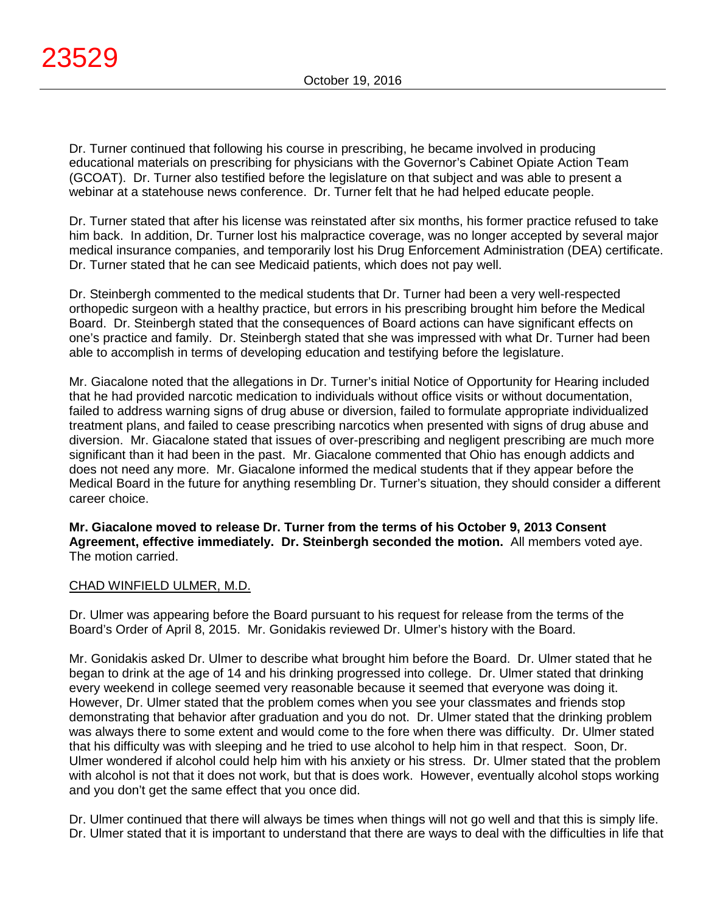Dr. Turner continued that following his course in prescribing, he became involved in producing educational materials on prescribing for physicians with the Governor's Cabinet Opiate Action Team (GCOAT). Dr. Turner also testified before the legislature on that subject and was able to present a webinar at a statehouse news conference. Dr. Turner felt that he had helped educate people.

Dr. Turner stated that after his license was reinstated after six months, his former practice refused to take him back. In addition, Dr. Turner lost his malpractice coverage, was no longer accepted by several major medical insurance companies, and temporarily lost his Drug Enforcement Administration (DEA) certificate. Dr. Turner stated that he can see Medicaid patients, which does not pay well.

Dr. Steinbergh commented to the medical students that Dr. Turner had been a very well-respected orthopedic surgeon with a healthy practice, but errors in his prescribing brought him before the Medical Board. Dr. Steinbergh stated that the consequences of Board actions can have significant effects on one's practice and family. Dr. Steinbergh stated that she was impressed with what Dr. Turner had been able to accomplish in terms of developing education and testifying before the legislature.

Mr. Giacalone noted that the allegations in Dr. Turner's initial Notice of Opportunity for Hearing included that he had provided narcotic medication to individuals without office visits or without documentation, failed to address warning signs of drug abuse or diversion, failed to formulate appropriate individualized treatment plans, and failed to cease prescribing narcotics when presented with signs of drug abuse and diversion. Mr. Giacalone stated that issues of over-prescribing and negligent prescribing are much more significant than it had been in the past. Mr. Giacalone commented that Ohio has enough addicts and does not need any more. Mr. Giacalone informed the medical students that if they appear before the Medical Board in the future for anything resembling Dr. Turner's situation, they should consider a different career choice.

**Mr. Giacalone moved to release Dr. Turner from the terms of his October 9, 2013 Consent Agreement, effective immediately. Dr. Steinbergh seconded the motion.** All members voted aye. The motion carried.

#### CHAD WINFIELD ULMER, M.D.

Dr. Ulmer was appearing before the Board pursuant to his request for release from the terms of the Board's Order of April 8, 2015. Mr. Gonidakis reviewed Dr. Ulmer's history with the Board.

Mr. Gonidakis asked Dr. Ulmer to describe what brought him before the Board. Dr. Ulmer stated that he began to drink at the age of 14 and his drinking progressed into college. Dr. Ulmer stated that drinking every weekend in college seemed very reasonable because it seemed that everyone was doing it. However, Dr. Ulmer stated that the problem comes when you see your classmates and friends stop demonstrating that behavior after graduation and you do not. Dr. Ulmer stated that the drinking problem was always there to some extent and would come to the fore when there was difficulty. Dr. Ulmer stated that his difficulty was with sleeping and he tried to use alcohol to help him in that respect. Soon, Dr. Ulmer wondered if alcohol could help him with his anxiety or his stress. Dr. Ulmer stated that the problem with alcohol is not that it does not work, but that is does work. However, eventually alcohol stops working and you don't get the same effect that you once did.

Dr. Ulmer continued that there will always be times when things will not go well and that this is simply life. Dr. Ulmer stated that it is important to understand that there are ways to deal with the difficulties in life that